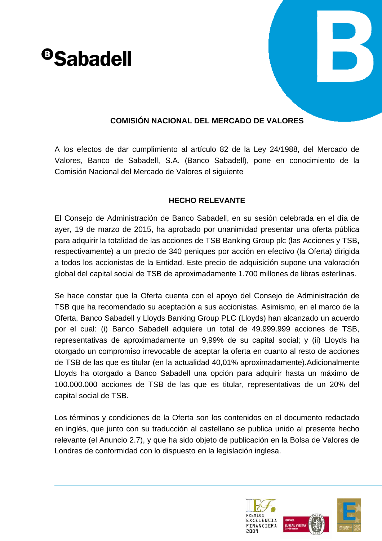# <sup>o</sup>Sabadell



# **COMISIÓN NACIONAL DEL MERCADO DE VALORES**

A los efectos de dar cumplimiento al artículo 82 de la Ley 24/1988, del Mercado de Valores, Banco de Sabadell, S.A. (Banco Sabadell), pone en conocimiento de la Comisión Nacional del Mercado de Valores el siguiente

# **HECHO RELEVANTE**

El Consejo de Administración de Banco Sabadell, en su sesión celebrada en el día de ayer, 19 de marzo de 2015, ha aprobado por unanimidad presentar una oferta pública para adquirir la totalidad de las acciones de TSB Banking Group plc (las Acciones y TSB**,** respectivamente) a un precio de 340 peniques por acción en efectivo (la Oferta) dirigida a todos los accionistas de la Entidad. Este precio de adquisición supone una valoración global del capital social de TSB de aproximadamente 1.700 millones de libras esterlinas.

Se hace constar que la Oferta cuenta con el apoyo del Consejo de Administración de TSB que ha recomendado su aceptación a sus accionistas. Asimismo, en el marco de la Oferta, Banco Sabadell y Lloyds Banking Group PLC (Lloyds) han alcanzado un acuerdo por el cual: (i) Banco Sabadell adquiere un total de 49.999.999 acciones de TSB, representativas de aproximadamente un 9,99% de su capital social; y (ii) Lloyds ha otorgado un compromiso irrevocable de aceptar la oferta en cuanto al resto de acciones de TSB de las que es titular (en la actualidad 40,01% aproximadamente).Adicionalmente Lloyds ha otorgado a Banco Sabadell una opción para adquirir hasta un máximo de 100.000.000 acciones de TSB de las que es titular, representativas de un 20% del capital social de TSB.

Los términos y condiciones de la Oferta son los contenidos en el documento redactado en inglés, que junto con su traducción al castellano se publica unido al presente hecho relevante (el Anuncio 2.7), y que ha sido objeto de publicación en la Bolsa de Valores de Londres de conformidad con lo dispuesto en la legislación inglesa.

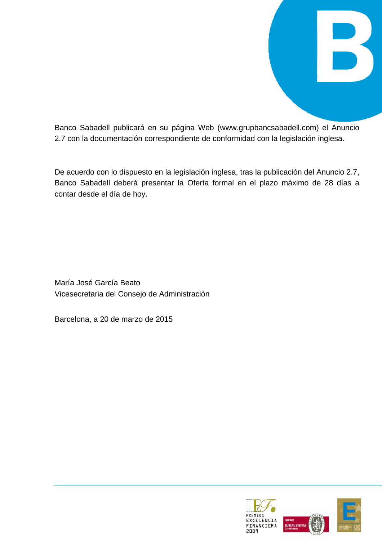

Banco Sabadell publicará en su página Web (www.grupbancsabadell.com) el Anuncio 2.7 con la documentación correspondiente de conformidad con la legislación inglesa.

De acuerdo con lo dispuesto en la legislación inglesa, tras la publicación del Anuncio 2.7, Banco Sabadell deberá presentar la Oferta formal en el plazo máximo de 28 días a contar desde el día de hoy.

María José García Beato Vicesecretaria del Consejo de Administración

Barcelona, a 20 de marzo de 2015

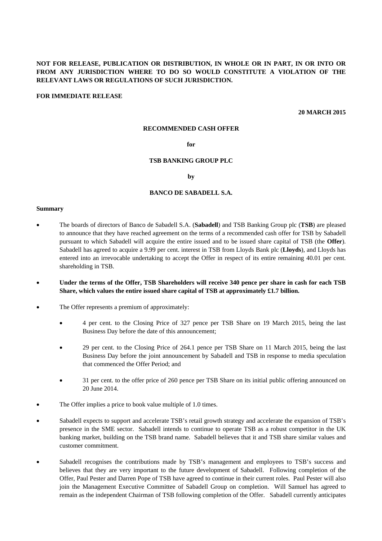# **NOT FOR RELEASE, PUBLICATION OR DISTRIBUTION, IN WHOLE OR IN PART, IN OR INTO OR FROM ANY JURISDICTION WHERE TO DO SO WOULD CONSTITUTE A VIOLATION OF THE RELEVANT LAWS OR REGULATIONS OF SUCH JURISDICTION.**

#### **FOR IMMEDIATE RELEASE**

**20 MARCH 2015** 

#### **RECOMMENDED CASH OFFER**

# **for**

#### **TSB BANKING GROUP PLC**

#### **by**

#### **BANCO DE SABADELL S.A.**

#### **Summary**

- The boards of directors of Banco de Sabadell S.A. (**Sabadell**) and TSB Banking Group plc (**TSB**) are pleased to announce that they have reached agreement on the terms of a recommended cash offer for TSB by Sabadell pursuant to which Sabadell will acquire the entire issued and to be issued share capital of TSB (the **Offer**). Sabadell has agreed to acquire a 9.99 per cent. interest in TSB from Lloyds Bank plc (**Lloyds**), and Lloyds has entered into an irrevocable undertaking to accept the Offer in respect of its entire remaining 40.01 per cent. shareholding in TSB.
- **Under the terms of the Offer, TSB Shareholders will receive 340 pence per share in cash for each TSB Share, which values the entire issued share capital of TSB at approximately £1.7 billion.**
- The Offer represents a premium of approximately:
	- 4 per cent. to the Closing Price of 327 pence per TSB Share on 19 March 2015, being the last Business Day before the date of this announcement;
	- 29 per cent. to the Closing Price of 264.1 pence per TSB Share on 11 March 2015, being the last Business Day before the joint announcement by Sabadell and TSB in response to media speculation that commenced the Offer Period; and
	- 31 per cent. to the offer price of 260 pence per TSB Share on its initial public offering announced on 20 June 2014.
- The Offer implies a price to book value multiple of 1.0 times.
- Sabadell expects to support and accelerate TSB's retail growth strategy and accelerate the expansion of TSB's presence in the SME sector. Sabadell intends to continue to operate TSB as a robust competitor in the UK banking market, building on the TSB brand name. Sabadell believes that it and TSB share similar values and customer commitment.
- Sabadell recognises the contributions made by TSB's management and employees to TSB's success and believes that they are very important to the future development of Sabadell. Following completion of the Offer, Paul Pester and Darren Pope of TSB have agreed to continue in their current roles. Paul Pester will also join the Management Executive Committee of Sabadell Group on completion. Will Samuel has agreed to remain as the independent Chairman of TSB following completion of the Offer. Sabadell currently anticipates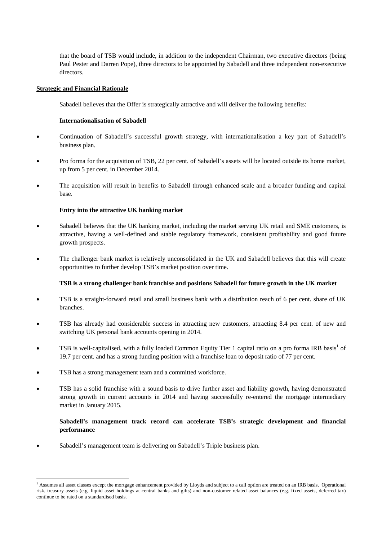that the board of TSB would include, in addition to the independent Chairman, two executive directors (being Paul Pester and Darren Pope), three directors to be appointed by Sabadell and three independent non-executive directors.

# **Strategic and Financial Rationale**

Sabadell believes that the Offer is strategically attractive and will deliver the following benefits:

# **Internationalisation of Sabadell**

- Continuation of Sabadell's successful growth strategy, with internationalisation a key part of Sabadell's business plan.
- Pro forma for the acquisition of TSB, 22 per cent. of Sabadell's assets will be located outside its home market, up from 5 per cent. in December 2014.
- The acquisition will result in benefits to Sabadell through enhanced scale and a broader funding and capital base.

# **Entry into the attractive UK banking market**

- Sabadell believes that the UK banking market, including the market serving UK retail and SME customers, is attractive, having a well-defined and stable regulatory framework, consistent profitability and good future growth prospects.
- The challenger bank market is relatively unconsolidated in the UK and Sabadell believes that this will create opportunities to further develop TSB's market position over time.

# **TSB is a strong challenger bank franchise and positions Sabadell for future growth in the UK market**

- TSB is a straight-forward retail and small business bank with a distribution reach of 6 per cent. share of UK branches.
- TSB has already had considerable success in attracting new customers, attracting 8.4 per cent. of new and switching UK personal bank accounts opening in 2014.
- TSB is well-capitalised, with a fully loaded Common Equity Tier 1 capital ratio on a pro forma IRB basis<sup>1</sup> of 19.7 per cent. and has a strong funding position with a franchise loan to deposit ratio of 77 per cent.
- TSB has a strong management team and a committed workforce.

l

 TSB has a solid franchise with a sound basis to drive further asset and liability growth, having demonstrated strong growth in current accounts in 2014 and having successfully re-entered the mortgage intermediary market in January 2015.

# **Sabadell's management track record can accelerate TSB's strategic development and financial performance**

Sabadell's management team is delivering on Sabadell's Triple business plan.

<sup>&</sup>lt;sup>1</sup> Assumes all asset classes except the mortgage enhancement provided by Lloyds and subject to a call option are treated on an IRB basis. Operational risk, treasury assets (e.g. liquid asset holdings at central banks and gilts) and non-customer related asset balances (e.g. fixed assets, deferred tax) continue to be rated on a standardised basis.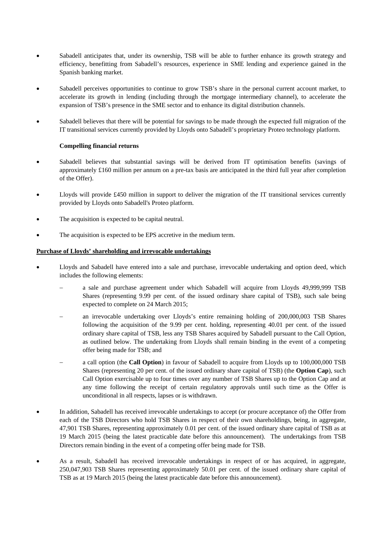- Sabadell anticipates that, under its ownership, TSB will be able to further enhance its growth strategy and efficiency, benefitting from Sabadell's resources, experience in SME lending and experience gained in the Spanish banking market.
- Sabadell perceives opportunities to continue to grow TSB's share in the personal current account market, to accelerate its growth in lending (including through the mortgage intermediary channel), to accelerate the expansion of TSB's presence in the SME sector and to enhance its digital distribution channels.
- Sabadell believes that there will be potential for savings to be made through the expected full migration of the IT transitional services currently provided by Lloyds onto Sabadell's proprietary Proteo technology platform.

# **Compelling financial returns**

- Sabadell believes that substantial savings will be derived from IT optimisation benefits (savings of approximately £160 million per annum on a pre-tax basis are anticipated in the third full year after completion of the Offer).
- Lloyds will provide £450 million in support to deliver the migration of the IT transitional services currently provided by Lloyds onto Sabadell's Proteo platform.
- The acquisition is expected to be capital neutral.
- The acquisition is expected to be EPS accretive in the medium term.

# **Purchase of Lloyds' shareholding and irrevocable undertakings**

- Lloyds and Sabadell have entered into a sale and purchase, irrevocable undertaking and option deed, which includes the following elements:
	- a sale and purchase agreement under which Sabadell will acquire from Lloyds 49,999,999 TSB Shares (representing 9.99 per cent. of the issued ordinary share capital of TSB), such sale being expected to complete on 24 March 2015;
	- an irrevocable undertaking over Lloyds's entire remaining holding of 200,000,003 TSB Shares following the acquisition of the 9.99 per cent. holding, representing 40.01 per cent. of the issued ordinary share capital of TSB, less any TSB Shares acquired by Sabadell pursuant to the Call Option, as outlined below. The undertaking from Lloyds shall remain binding in the event of a competing offer being made for TSB; and
	- a call option (the **Call Option**) in favour of Sabadell to acquire from Lloyds up to 100,000,000 TSB Shares (representing 20 per cent. of the issued ordinary share capital of TSB) (the **Option Cap**), such Call Option exercisable up to four times over any number of TSB Shares up to the Option Cap and at any time following the receipt of certain regulatory approvals until such time as the Offer is unconditional in all respects, lapses or is withdrawn.
- In addition, Sabadell has received irrevocable undertakings to accept (or procure acceptance of) the Offer from each of the TSB Directors who hold TSB Shares in respect of their own shareholdings, being, in aggregate, 47,901 TSB Shares, representing approximately 0.01 per cent. of the issued ordinary share capital of TSB as at 19 March 2015 (being the latest practicable date before this announcement). The undertakings from TSB Directors remain binding in the event of a competing offer being made for TSB.
- As a result, Sabadell has received irrevocable undertakings in respect of or has acquired, in aggregate, 250,047,903 TSB Shares representing approximately 50.01 per cent. of the issued ordinary share capital of TSB as at 19 March 2015 (being the latest practicable date before this announcement).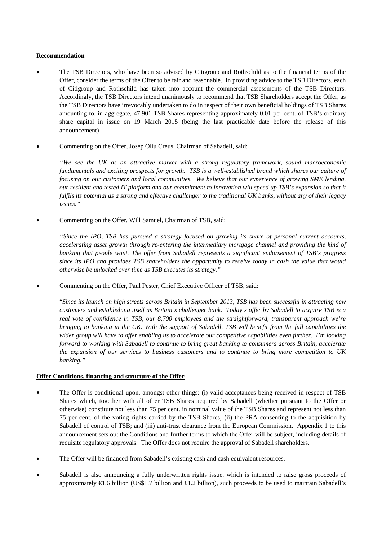# **Recommendation**

- The TSB Directors, who have been so advised by Citigroup and Rothschild as to the financial terms of the Offer, consider the terms of the Offer to be fair and reasonable. In providing advice to the TSB Directors, each of Citigroup and Rothschild has taken into account the commercial assessments of the TSB Directors. Accordingly, the TSB Directors intend unanimously to recommend that TSB Shareholders accept the Offer, as the TSB Directors have irrevocably undertaken to do in respect of their own beneficial holdings of TSB Shares amounting to, in aggregate, 47,901 TSB Shares representing approximately 0.01 per cent. of TSB's ordinary share capital in issue on 19 March 2015 (being the last practicable date before the release of this announcement)
- Commenting on the Offer, Josep Oliu Creus, Chairman of Sabadell, said:

*"We see the UK as an attractive market with a strong regulatory framework, sound macroeconomic fundamentals and exciting prospects for growth. TSB is a well-established brand which shares our culture of focusing on our customers and local communities. We believe that our experience of growing SME lending, our resilient and tested IT platform and our commitment to innovation will speed up TSB's expansion so that it fulfils its potential as a strong and effective challenger to the traditional UK banks, without any of their legacy issues."* 

Commenting on the Offer, Will Samuel, Chairman of TSB, said:

*"Since the IPO, TSB has pursued a strategy focused on growing its share of personal current accounts, accelerating asset growth through re-entering the intermediary mortgage channel and providing the kind of banking that people want. The offer from Sabadell represents a significant endorsement of TSB's progress since its IPO and provides TSB shareholders the opportunity to receive today in cash the value that would otherwise be unlocked over time as TSB executes its strategy."* 

Commenting on the Offer, Paul Pester, Chief Executive Officer of TSB, said:

"*Since its launch on high streets across Britain in September 2013, TSB has been successful in attracting new customers and establishing itself as Britain's challenger bank. Today's offer by Sabadell to acquire TSB is a real vote of confidence in TSB, our 8,700 employees and the straightforward, transparent approach we're bringing to banking in the UK. With the support of Sabadell, TSB will benefit from the full capabilities the wider group will have to offer enabling us to accelerate our competitive capabilities even further. I'm looking forward to working with Sabadell to continue to bring great banking to consumers across Britain, accelerate the expansion of our services to business customers and to continue to bring more competition to UK banking."*

# **Offer Conditions, financing and structure of the Offer**

- The Offer is conditional upon, amongst other things: (i) valid acceptances being received in respect of TSB Shares which, together with all other TSB Shares acquired by Sabadell (whether pursuant to the Offer or otherwise) constitute not less than 75 per cent. in nominal value of the TSB Shares and represent not less than 75 per cent. of the voting rights carried by the TSB Shares; (ii) the PRA consenting to the acquisition by Sabadell of control of TSB; and (iii) anti-trust clearance from the European Commission. Appendix 1 to this announcement sets out the Conditions and further terms to which the Offer will be subject, including details of requisite regulatory approvals. The Offer does not require the approval of Sabadell shareholders.
- The Offer will be financed from Sabadell's existing cash and cash equivalent resources.
- Sabadell is also announcing a fully underwritten rights issue, which is intended to raise gross proceeds of approximately  $\bigoplus$ .6 billion (US\$1.7 billion and £1.2 billion), such proceeds to be used to maintain Sabadell's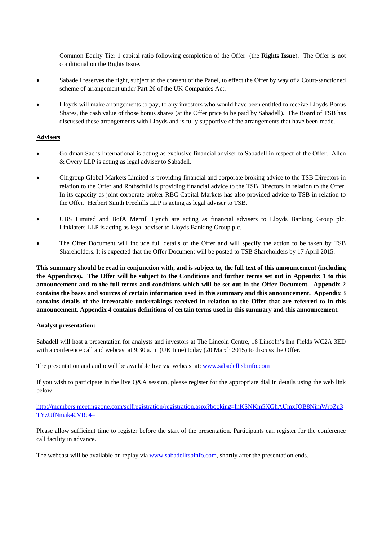Common Equity Tier 1 capital ratio following completion of the Offer (the **Rights Issue**). The Offer is not conditional on the Rights Issue.

- Sabadell reserves the right, subject to the consent of the Panel, to effect the Offer by way of a Court-sanctioned scheme of arrangement under Part 26 of the UK Companies Act.
- Lloyds will make arrangements to pay, to any investors who would have been entitled to receive Lloyds Bonus Shares, the cash value of those bonus shares (at the Offer price to be paid by Sabadell). The Board of TSB has discussed these arrangements with Lloyds and is fully supportive of the arrangements that have been made.

# **Advisers**

- Goldman Sachs International is acting as exclusive financial adviser to Sabadell in respect of the Offer. Allen & Overy LLP is acting as legal adviser to Sabadell.
- Citigroup Global Markets Limited is providing financial and corporate broking advice to the TSB Directors in relation to the Offer and Rothschild is providing financial advice to the TSB Directors in relation to the Offer. In its capacity as joint-corporate broker RBC Capital Markets has also provided advice to TSB in relation to the Offer. Herbert Smith Freehills LLP is acting as legal adviser to TSB.
- UBS Limited and BofA Merrill Lynch are acting as financial advisers to Lloyds Banking Group plc. Linklaters LLP is acting as legal adviser to Lloyds Banking Group plc.
- The Offer Document will include full details of the Offer and will specify the action to be taken by TSB Shareholders. It is expected that the Offer Document will be posted to TSB Shareholders by 17 April 2015.

**This summary should be read in conjunction with, and is subject to, the full text of this announcement (including the Appendices). The Offer will be subject to the Conditions and further terms set out in Appendix 1 to this announcement and to the full terms and conditions which will be set out in the Offer Document. Appendix 2 contains the bases and sources of certain information used in this summary and this announcement. Appendix 3 contains details of the irrevocable undertakings received in relation to the Offer that are referred to in this announcement. Appendix 4 contains definitions of certain terms used in this summary and this announcement.** 

# **Analyst presentation:**

Sabadell will host a presentation for analysts and investors at The Lincoln Centre, 18 Lincoln's Inn Fields WC2A 3ED with a conference call and webcast at 9:30 a.m. (UK time) today (20 March 2015) to discuss the Offer.

The presentation and audio will be available live via webcast at: www.sabadelltsbinfo.com

If you wish to participate in the live Q&A session, please register for the appropriate dial in details using the web link below:

http://members.meetingzone.com/selfregistration/registration.aspx?booking=lnKSNKm5XGhAUmxJQB8NimWrbZu3 TYzUfNmak40VRe4=

Please allow sufficient time to register before the start of the presentation. Participants can register for the conference call facility in advance.

The webcast will be available on replay via www.sabadelltsbinfo.com, shortly after the presentation ends.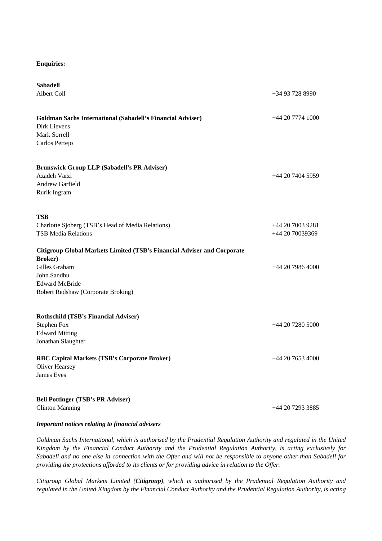# **Enquiries:**

| <b>Sabadell</b><br>Albert Coll                                                                        | +34 93 728 8990  |
|-------------------------------------------------------------------------------------------------------|------------------|
| <b>Goldman Sachs International (Sabadell's Financial Adviser)</b><br>Dirk Lievens<br>Mark Sorrell     | $+442077741000$  |
| Carlos Pertejo                                                                                        |                  |
| <b>Brunswick Group LLP (Sabadell's PR Adviser)</b><br>Azadeh Varzi<br>Andrew Garfield<br>Rurik Ingram | $+442074045959$  |
| TSB                                                                                                   | +44 20 7003 9281 |
| Charlotte Sjoberg (TSB's Head of Media Relations)<br><b>TSB Media Relations</b>                       | $+442070039369$  |
| Citigroup Global Markets Limited (TSB's Financial Adviser and Corporate<br><b>Broker</b> )            |                  |
| Gilles Graham                                                                                         | +44 20 7986 4000 |
| John Sandhu<br><b>Edward McBride</b><br>Robert Redshaw (Corporate Broking)                            |                  |
| <b>Rothschild (TSB's Financial Adviser)</b>                                                           |                  |
| <b>Stephen Fox</b><br><b>Edward Mitting</b><br>Jonathan Slaughter                                     | $+442072805000$  |
| <b>RBC Capital Markets (TSB's Corporate Broker)</b><br>Oliver Hearsey                                 | $+442076534000$  |
| <b>James Eves</b>                                                                                     |                  |
| <b>Bell Pottinger (TSB's PR Adviser)</b>                                                              |                  |
| <b>Clinton Manning</b>                                                                                | +44 20 7293 3885 |

# *Important notices relating to financial advisers*

*Goldman Sachs International, which is authorised by the Prudential Regulation Authority and regulated in the United Kingdom by the Financial Conduct Authority and the Prudential Regulation Authority, is acting exclusively for Sabadell and no one else in connection with the Offer and will not be responsible to anyone other than Sabadell for providing the protections afforded to its clients or for providing advice in relation to the Offer.*

*Citigroup Global Markets Limited (Citigroup), which is authorised by the Prudential Regulation Authority and regulated in the United Kingdom by the Financial Conduct Authority and the Prudential Regulation Authority, is acting*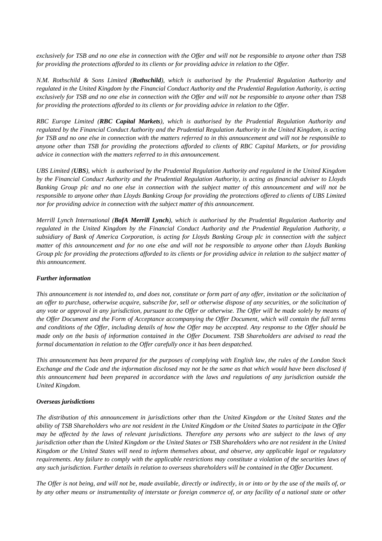*exclusively for TSB and no one else in connection with the Offer and will not be responsible to anyone other than TSB for providing the protections afforded to its clients or for providing advice in relation to the Offer.*

*N.M. Rothschild & Sons Limited (Rothschild), which is authorised by the Prudential Regulation Authority and regulated in the United Kingdom by the Financial Conduct Authority and the Prudential Regulation Authority, is acting exclusively for TSB and no one else in connection with the Offer and will not be responsible to anyone other than TSB for providing the protections afforded to its clients or for providing advice in relation to the Offer.* 

*RBC Europe Limited (RBC Capital Markets), which is authorised by the Prudential Regulation Authority and regulated by the Financial Conduct Authority and the Prudential Regulation Authority in the United Kingdom, is acting for TSB and no one else in connection with the matters referred to in this announcement and will not be responsible to anyone other than TSB for providing the protections afforded to clients of RBC Capital Markets, or for providing advice in connection with the matters referred to in this announcement.* 

*UBS Limited (UBS), which is authorised by the Prudential Regulation Authority and regulated in the United Kingdom by the Financial Conduct Authority and the Prudential Regulation Authority, is acting as financial adviser to Lloyds Banking Group plc and no one else in connection with the subject matter of this announcement and will not be responsible to anyone other than Lloyds Banking Group for providing the protections offered to clients of UBS Limited nor for providing advice in connection with the subject matter of this announcement.* 

*Merrill Lynch International (BofA Merrill Lynch), which is authorised by the Prudential Regulation Authority and regulated in the United Kingdom by the Financial Conduct Authority and the Prudential Regulation Authority, a subsidiary of Bank of America Corporation, is acting for Lloyds Banking Group plc in connection with the subject matter of this announcement and for no one else and will not be responsible to anyone other than Lloyds Banking Group plc for providing the protections afforded to its clients or for providing advice in relation to the subject matter of this announcement.* 

# *Further information*

*This announcement is not intended to, and does not, constitute or form part of any offer, invitation or the solicitation of an offer to purchase, otherwise acquire, subscribe for, sell or otherwise dispose of any securities, or the solicitation of any vote or approval in any jurisdiction, pursuant to the Offer or otherwise. The Offer will be made solely by means of the Offer Document and the Form of Acceptance accompanying the Offer Document, which will contain the full terms and conditions of the Offer, including details of how the Offer may be accepted. Any response to the Offer should be made only on the basis of information contained in the Offer Document. TSB Shareholders are advised to read the formal documentation in relation to the Offer carefully once it has been despatched.*

*This announcement has been prepared for the purposes of complying with English law, the rules of the London Stock Exchange and the Code and the information disclosed may not be the same as that which would have been disclosed if this announcement had been prepared in accordance with the laws and regulations of any jurisdiction outside the United Kingdom.* 

# *Overseas jurisdictions*

*The distribution of this announcement in jurisdictions other than the United Kingdom or the United States and the ability of TSB Shareholders who are not resident in the United Kingdom or the United States to participate in the Offer may be affected by the laws of relevant jurisdictions. Therefore any persons who are subject to the laws of any jurisdiction other than the United Kingdom or the United States or TSB Shareholders who are not resident in the United Kingdom or the United States will need to inform themselves about, and observe, any applicable legal or regulatory requirements. Any failure to comply with the applicable restrictions may constitute a violation of the securities laws of any such jurisdiction. Further details in relation to overseas shareholders will be contained in the Offer Document.*

*The Offer is not being, and will not be, made available, directly or indirectly, in or into or by the use of the mails of, or by any other means or instrumentality of interstate or foreign commerce of, or any facility of a national state or other*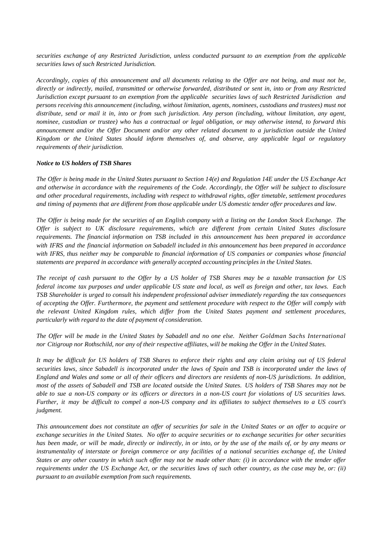*securities exchange of any Restricted Jurisdiction, unless conducted pursuant to an exemption from the applicable securities laws of such Restricted Jurisdiction.*

*Accordingly, copies of this announcement and all documents relating to the Offer are not being, and must not be, directly or indirectly, mailed, transmitted or otherwise forwarded, distributed or sent in, into or from any Restricted Jurisdiction except pursuant to an exemption from the applicable securities laws of such Restricted Jurisdiction and persons receiving this announcement (including, without limitation, agents, nominees, custodians and trustees) must not distribute, send or mail it in, into or from such jurisdiction. Any person (including, without limitation, any agent, nominee, custodian or trustee) who has a contractual or legal obligation, or may otherwise intend, to forward this announcement and/or the Offer Document and/or any other related document to a jurisdiction outside the United Kingdom or the United States should inform themselves of, and observe, any applicable legal or regulatory requirements of their jurisdiction.*

#### *Notice to US holders of TSB Shares*

*The Offer is being made in the United States pursuant to Section 14(e) and Regulation 14E under the US Exchange Act and otherwise in accordance with the requirements of the Code. Accordingly, the Offer will be subject to disclosure and other procedural requirements, including with respect to withdrawal rights, offer timetable, settlement procedures and timing of payments that are different from those applicable under US domestic tender offer procedures and law.* 

*The Offer is being made for the securities of an English company with a listing on the London Stock Exchange. The Offer is subject to UK disclosure requirements, which are different from certain United States disclosure requirements. The financial information on TSB included in this announcement has been prepared in accordance with IFRS and the financial information on Sabadell included in this announcement has been prepared in accordance with IFRS, thus neither may be comparable to financial information of US companies or companies whose financial statements are prepared in accordance with generally accepted accounting principles in the United States.*

*The receipt of cash pursuant to the Offer by a US holder of TSB Shares may be a taxable transaction for US federal income tax purposes and under applicable US state and local, as well as foreign and other, tax laws. Each TSB Shareholder is urged to consult his independent professional adviser immediately regarding the tax consequences of accepting the Offer. Furthermore, the payment and settlement procedure with respect to the Offer will comply with the relevant United Kingdom rules, which differ from the United States payment and settlement procedures, particularly with regard to the date of payment of consideration.*

*The Offer will be made in the United States by Sabadell and no one else. Neither Goldman Sachs International nor Citigroup nor Rothschild, nor any of their respective affiliates, will be making the Offer in the United States.*

*It may be difficult for US holders of TSB Shares to enforce their rights and any claim arising out of US federal securities laws, since Sabadell is incorporated under the laws of Spain and TSB is incorporated under the laws of England and Wales and some or all of their officers and directors are residents of non-US jurisdictions. In addition, most of the assets of Sabadell and TSB are located outside the United States. US holders of TSB Shares may not be able to sue a non-US company or its officers or directors in a non-US court for violations of US securities laws. Further, it may be difficult to compel a non-US company and its affiliates to subject themselves to a US court's judgment.*

*This announcement does not constitute an offer of securities for sale in the United States or an offer to acquire or exchange securities in the United States. No offer to acquire securities or to exchange securities for other securities has been made, or will be made, directly or indirectly, in or into, or by the use of the mails of, or by any means or instrumentality of interstate or foreign commerce or any facilities of a national securities exchange of, the United States or any other country in which such offer may not be made other than: (i) in accordance with the tender offer requirements under the US Exchange Act, or the securities laws of such other country, as the case may be, or: (ii) pursuant to an available exemption from such requirements.*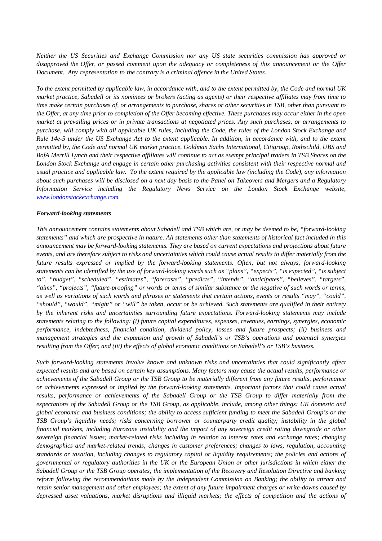*Neither the US Securities and Exchange Commission nor any US state securities commission has approved or disapproved the Offer, or passed comment upon the adequacy or completeness of this announcement or the Offer Document. Any representation to the contrary is a criminal offence in the United States.*

*To the extent permitted by applicable law, in accordance with, and to the extent permitted by, the Code and normal UK market practice, Sabadell or its nominees or brokers (acting as agents) or their respective affiliates may from time to time make certain purchases of, or arrangements to purchase, shares or other securities in TSB, other than pursuant to the Offer, at any time prior to completion of the Offer becoming effective. These purchases may occur either in the open market at prevailing prices or in private transactions at negotiated prices. Any such purchases, or arrangements to purchase, will comply with all applicable UK rules, including the Code, the rules of the London Stock Exchange and Rule 14e-5 under the US Exchange Act to the extent applicable. In addition, in accordance with, and to the extent permitted by, the Code and normal UK market practice, Goldman Sachs International, Citigroup, Rothschild, UBS and BofA Merrill Lynch and their respective affiliates will continue to act as exempt principal traders in TSB Shares on the London Stock Exchange and engage in certain other purchasing activities consistent with their respective normal and usual practice and applicable law. To the extent required by the applicable law (including the Code), any information about such purchases will be disclosed on a next day basis to the Panel on Takeovers and Mergers and a Regulatory Information Service including the Regulatory News Service on the London Stock Exchange website, www.londonstockexchange.com.*

#### *Forward-looking statements*

*This announcement contains statements about Sabadell and TSB which are, or may be deemed to be, "forward-looking statements" and which are prospective in nature. All statements other than statements of historical fact included in this announcement may be forward-looking statements. They are based on current expectations and projections about future events, and are therefore subject to risks and uncertainties which could cause actual results to differ materially from the future results expressed or implied by the forward-looking statements. Often, but not always, forward-looking statements can be identified by the use of forward-looking words such as "plans", "expects", "is expected", "is subject to", "budget", "scheduled", "estimates", "forecasts", "predicts", "intends", "anticipates", "believes", "targets", "aims", "projects", "future-proofing" or words or terms of similar substance or the negative of such words or terms, as well as variations of such words and phrases or statements that certain actions, events or results "may", "could", "should", "would", "might" or "will" be taken, occur or be achieved. Such statements are qualified in their entirety by the inherent risks and uncertainties surrounding future expectations. Forward-looking statements may include statements relating to the following: (i) future capital expenditures, expenses, revenues, earnings, synergies, economic performance, indebtedness, financial condition, dividend policy, losses and future prospects; (ii) business and management strategies and the expansion and growth of Sabadell's or TSB's operations and potential synergies resulting from the Offer; and (iii) the effects of global economic conditions on Sabadell's or TSB's business.* 

*Such forward-looking statements involve known and unknown risks and uncertainties that could significantly affect expected results and are based on certain key assumptions. Many factors may cause the actual results, performance or achievements of the Sabadell Group or the TSB Group to be materially different from any future results, performance or achievements expressed or implied by the forward-looking statements. Important factors that could cause actual results, performance or achievements of the Sabadell Group or the TSB Group to differ materially from the expectations of the Sabadell Group or the TSB Group, as applicable, include, among other things: UK domestic and global economic and business conditions; the ability to access sufficient funding to meet the Sabadell Group's or the TSB Group's liquidity needs; risks concerning borrower or counterparty credit quality; instability in the global financial markets, including Eurozone instability and the impact of any sovereign credit rating downgrade or other sovereign financial issues; market-related risks including in relation to interest rates and exchange rates; changing demographics and market-related trends; changes in customer preferences; changes to laws, regulation, accounting standards or taxation, including changes to regulatory capital or liquidity requirements; the policies and actions of governmental or regulatory authorities in the UK or the European Union or other jurisdictions in which either the Sabadell Group or the TSB Group operates; the implementation of the Recovery and Resolution Directive and banking reform following the recommendations made by the Independent Commission on Banking; the ability to attract and retain senior management and other employees; the extent of any future impairment charges or write-downs caused by depressed asset valuations, market disruptions and illiquid markets; the effects of competition and the actions of*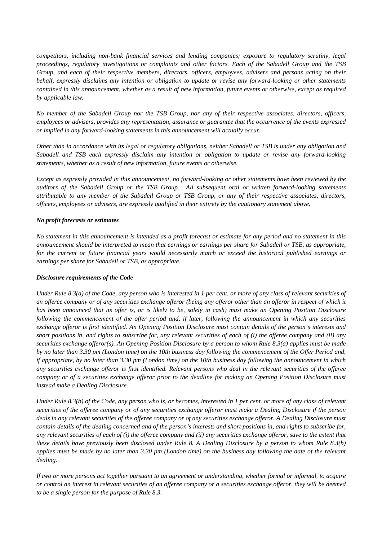*competitors, including non-bank financial services and lending companies; exposure to regulatory scrutiny, legal proceedings, regulatory investigations or complaints and other factors. Each of the Sabadell Group and the TSB Group, and each of their respective members, directors, officers, employees, advisers and persons acting on their behalf, expressly disclaims any intention or obligation to update or revise any forward-looking or other statements contained in this announcement, whether as a result of new information, future events or otherwise, except as required by applicable law.* 

*No member of the Sabadell Group nor the TSB Group, nor any of their respective associates, directors, officers, employees or advisers, provides any representation, assurance or guarantee that the occurrence of the events expressed or implied in any forward-looking statements in this announcement will actually occur.*

*Other than in accordance with its legal or regulatory obligations, neither Sabadell or TSB is under any obligation and Sabadell and TSB each expressly disclaim any intention or obligation to update or revise any forward-looking statements, whether as a result of new information, future events or otherwise.*

*Except as expressly provided in this announcement, no forward-looking or other statements have been reviewed by the auditors of the Sabadell Group or the TSB Group. All subsequent oral or written forward-looking statements attributable to any member of the Sabadell Group or TSB Group, or any of their respective associates, directors, officers, employees or advisers, are expressly qualified in their entirety by the cautionary statement above.*

# *No profit forecasts or estimates*

*No statement in this announcement is intended as a profit forecast or estimate for any period and no statement in this announcement should be interpreted to mean that earnings or earnings per share for Sabadell or TSB, as appropriate,*  for the current or future financial years would necessarily match or exceed the historical published earnings or *earnings per share for Sabadell or TSB, as appropriate.*

# *Disclosure requirements of the Code*

*Under Rule 8.3(a) of the Code, any person who is interested in 1 per cent. or more of any class of relevant securities of an offeree company or of any securities exchange offeror (being any offeror other than an offeror in respect of which it has been announced that its offer is, or is likely to be, solely in cash) must make an Opening Position Disclosure*  following the commencement of the offer period and, if later, following the announcement in which any securities *exchange offeror is first identified. An Opening Position Disclosure must contain details of the person's interests and short positions in, and rights to subscribe for, any relevant securities of each of (i) the offeree company and (ii) any securities exchange offeror(s). An Opening Position Disclosure by a person to whom Rule 8.3(a) applies must be made by no later than 3.30 pm (London time) on the 10th business day following the commencement of the Offer Period and, if appropriate, by no later than 3.30 pm (London time) on the 10th business day following the announcement in which any securities exchange offeror is first identified. Relevant persons who deal in the relevant securities of the offeree company or of a securities exchange offeror prior to the deadline for making an Opening Position Disclosure must instead make a Dealing Disclosure.*

*Under Rule 8.3(b) of the Code, any person who is, or becomes, interested in 1 per cent. or more of any class of relevant securities of the offeree company or of any securities exchange offeror must make a Dealing Disclosure if the person deals in any relevant securities of the offeree company or of any securities exchange offeror. A Dealing Disclosure must contain details of the dealing concerned and of the person's interests and short positions in, and rights to subscribe for, any relevant securities of each of (i) the offeree company and (ii) any securities exchange offeror, save to the extent that these details have previously been disclosed under Rule 8. A Dealing Disclosure by a person to whom Rule 8.3(b) applies must be made by no later than 3.30 pm (London time) on the business day following the date of the relevant dealing.*

*If two or more persons act together pursuant to an agreement or understanding, whether formal or informal, to acquire or control an interest in relevant securities of an offeree company or a securities exchange offeror, they will be deemed to be a single person for the purpose of Rule 8.3.*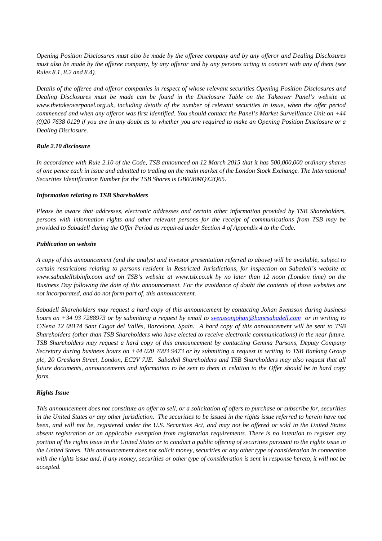*Opening Position Disclosures must also be made by the offeree company and by any offeror and Dealing Disclosures must also be made by the offeree company, by any offeror and by any persons acting in concert with any of them (see Rules 8.1, 8.2 and 8.4).*

*Details of the offeree and offeror companies in respect of whose relevant securities Opening Position Disclosures and Dealing Disclosures must be made can be found in the Disclosure Table on the Takeover Panel's website at www.thetakeoverpanel.org.uk, including details of the number of relevant securities in issue, when the offer period commenced and when any offeror was first identified. You should contact the Panel's Market Surveillance Unit on +44 (0)20 7638 0129 if you are in any doubt as to whether you are required to make an Opening Position Disclosure or a Dealing Disclosure.*

# *Rule 2.10 disclosure*

*In accordance with Rule 2.10 of the Code, TSB announced on 12 March 2015 that it has 500,000,000 ordinary shares of one pence each in issue and admitted to trading on the main market of the London Stock Exchange. The International Securities Identification Number for the TSB Shares is GB00BMQX2Q65.*

# *Information relating to TSB Shareholders*

*Please be aware that addresses, electronic addresses and certain other information provided by TSB Shareholders, persons with information rights and other relevant persons for the receipt of communications from TSB may be provided to Sabadell during the Offer Period as required under Section 4 of Appendix 4 to the Code.*

# *Publication on website*

*A copy of this announcement (and the analyst and investor presentation referred to above) will be available, subject to certain restrictions relating to persons resident in Restricted Jurisdictions, for inspection on Sabadell's website at www.sabadelltsbinfo.com and on TSB's website at www.tsb.co.uk by no later than 12 noon (London time) on the Business Day following the date of this announcement. For the avoidance of doubt the contents of those websites are not incorporated, and do not form part of, this announcement.*

*Sabadell Shareholders may request a hard copy of this announcement by contacting Johan Svensson during business hours on +34 93 7288973 or by submitting a request by email to svenssonjohan@bancsabadell.com or in writing to C/Sena 12 08174 Sant Cugat del Vallés, Barcelona, Spain. A hard copy of this announcement will be sent to TSB Shareholders (other than TSB Shareholders who have elected to receive electronic communications) in the near future. TSB Shareholders may request a hard copy of this announcement by contacting Gemma Parsons, Deputy Company Secretary during business hours on +44 020 7003 9473 or by submitting a request in writing to TSB Banking Group plc, 20 Gresham Street, London, EC2V 7JE. Sabadell Shareholders and TSB Shareholders may also request that all future documents, announcements and information to be sent to them in relation to the Offer should be in hard copy form.*

# *Rights Issue*

*This announcement does not constitute an offer to sell, or a solicitation of offers to purchase or subscribe for, securities in the United States or any other jurisdiction. The securities to be issued in the rights issue referred to herein have not been, and will not be, registered under the U.S. Securities Act, and may not be offered or sold in the United States absent registration or an applicable exemption from registration requirements. There is no intention to register any portion of the rights issue in the United States or to conduct a public offering of securities pursuant to the rights issue in the United States. This announcement does not solicit money, securities or any other type of consideration in connection with the rights issue and, if any money, securities or other type of consideration is sent in response hereto, it will not be accepted.*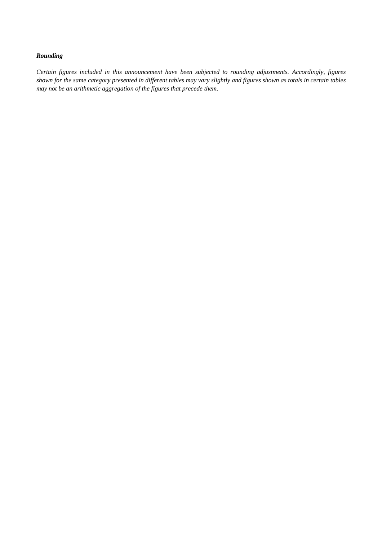# *Rounding*

*Certain figures included in this announcement have been subjected to rounding adjustments. Accordingly, figures shown for the same category presented in different tables may vary slightly and figures shown as totals in certain tables may not be an arithmetic aggregation of the figures that precede them.*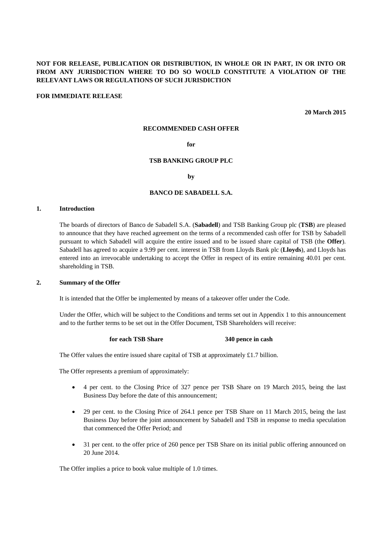# **NOT FOR RELEASE, PUBLICATION OR DISTRIBUTION, IN WHOLE OR IN PART, IN OR INTO OR FROM ANY JURISDICTION WHERE TO DO SO WOULD CONSTITUTE A VIOLATION OF THE RELEVANT LAWS OR REGULATIONS OF SUCH JURISDICTION**

#### **FOR IMMEDIATE RELEASE**

**20 March 2015**

#### **RECOMMENDED CASH OFFER**

# **for**

#### **TSB BANKING GROUP PLC**

**by**

#### **BANCO DE SABADELL S.A.**

#### **1. Introduction**

The boards of directors of Banco de Sabadell S.A. (**Sabadell**) and TSB Banking Group plc (**TSB**) are pleased to announce that they have reached agreement on the terms of a recommended cash offer for TSB by Sabadell pursuant to which Sabadell will acquire the entire issued and to be issued share capital of TSB (the **Offer**). Sabadell has agreed to acquire a 9.99 per cent. interest in TSB from Lloyds Bank plc (**Lloyds**), and Lloyds has entered into an irrevocable undertaking to accept the Offer in respect of its entire remaining 40.01 per cent. shareholding in TSB.

#### **2. Summary of the Offer**

It is intended that the Offer be implemented by means of a takeover offer under the Code.

Under the Offer, which will be subject to the Conditions and terms set out in Appendix 1 to this announcement and to the further terms to be set out in the Offer Document, TSB Shareholders will receive:

#### **for each TSB Share 340 pence in cash**

The Offer values the entire issued share capital of TSB at approximately £1.7 billion.

The Offer represents a premium of approximately:

- 4 per cent. to the Closing Price of 327 pence per TSB Share on 19 March 2015, being the last Business Day before the date of this announcement;
- 29 per cent. to the Closing Price of 264.1 pence per TSB Share on 11 March 2015, being the last Business Day before the joint announcement by Sabadell and TSB in response to media speculation that commenced the Offer Period; and
- 31 per cent. to the offer price of 260 pence per TSB Share on its initial public offering announced on 20 June 2014.

The Offer implies a price to book value multiple of 1.0 times.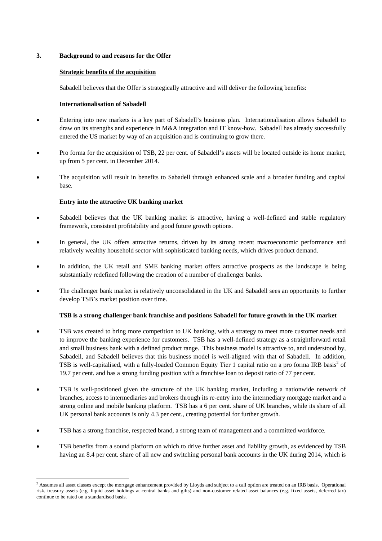# **3. Background to and reasons for the Offer**

## **Strategic benefits of the acquisition**

Sabadell believes that the Offer is strategically attractive and will deliver the following benefits:

#### **Internationalisation of Sabadell**

- Entering into new markets is a key part of Sabadell's business plan. Internationalisation allows Sabadell to draw on its strengths and experience in M&A integration and IT know-how. Sabadell has already successfully entered the US market by way of an acquisition and is continuing to grow there.
- Pro forma for the acquisition of TSB, 22 per cent. of Sabadell's assets will be located outside its home market, up from 5 per cent. in December 2014.
- The acquisition will result in benefits to Sabadell through enhanced scale and a broader funding and capital base.

#### **Entry into the attractive UK banking market**

- Sabadell believes that the UK banking market is attractive, having a well-defined and stable regulatory framework, consistent profitability and good future growth options.
- In general, the UK offers attractive returns, driven by its strong recent macroeconomic performance and relatively wealthy household sector with sophisticated banking needs, which drives product demand.
- In addition, the UK retail and SME banking market offers attractive prospects as the landscape is being substantially redefined following the creation of a number of challenger banks.
- The challenger bank market is relatively unconsolidated in the UK and Sabadell sees an opportunity to further develop TSB's market position over time.

# **TSB is a strong challenger bank franchise and positions Sabadell for future growth in the UK market**

- TSB was created to bring more competition to UK banking, with a strategy to meet more customer needs and to improve the banking experience for customers. TSB has a well-defined strategy as a straightforward retail and small business bank with a defined product range. This business model is attractive to, and understood by, Sabadell, and Sabadell believes that this business model is well-aligned with that of Sabadell. In addition, TSB is well-capitalised, with a fully-loaded Common Equity Tier 1 capital ratio on a pro forma IRB basis<sup>2</sup> of 19.7 per cent. and has a strong funding position with a franchise loan to deposit ratio of 77 per cent.
- TSB is well-positioned given the structure of the UK banking market, including a nationwide network of branches, access to intermediaries and brokers through its re-entry into the intermediary mortgage market and a strong online and mobile banking platform. TSB has a 6 per cent. share of UK branches, while its share of all UK personal bank accounts is only 4.3 per cent., creating potential for further growth.
- TSB has a strong franchise, respected brand, a strong team of management and a committed workforce.
- TSB benefits from a sound platform on which to drive further asset and liability growth, as evidenced by TSB having an 8.4 per cent, share of all new and switching personal bank accounts in the UK during 2014, which is

<sup>&</sup>lt;sup>2</sup> Assumes all asset classes except the mortgage enhancement provided by Lloyds and subject to a call option are treated on an IRB basis. Operational risk, treasury assets (e.g. liquid asset holdings at central banks and gilts) and non-customer related asset balances (e.g. fixed assets, deferred tax) continue to be rated on a standardised basis.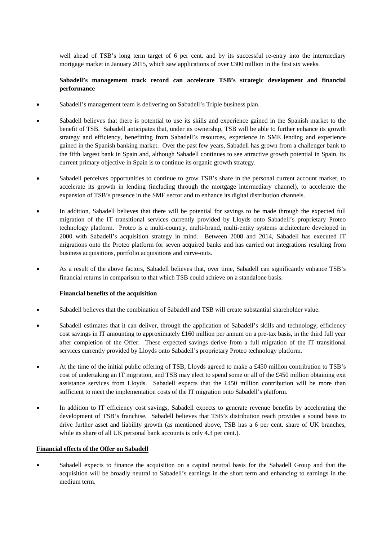well ahead of TSB's long term target of 6 per cent. and by its successful re-entry into the intermediary mortgage market in January 2015, which saw applications of over £300 million in the first six weeks.

# **Sabadell's management track record can accelerate TSB's strategic development and financial performance**

- Sabadell's management team is delivering on Sabadell's Triple business plan.
- Sabadell believes that there is potential to use its skills and experience gained in the Spanish market to the benefit of TSB. Sabadell anticipates that, under its ownership, TSB will be able to further enhance its growth strategy and efficiency, benefitting from Sabadell's resources, experience in SME lending and experience gained in the Spanish banking market. Over the past few years, Sabadell has grown from a challenger bank to the fifth largest bank in Spain and, although Sabadell continues to see attractive growth potential in Spain, its current primary objective in Spain is to continue its organic growth strategy.
- Sabadell perceives opportunities to continue to grow TSB's share in the personal current account market, to accelerate its growth in lending (including through the mortgage intermediary channel), to accelerate the expansion of TSB's presence in the SME sector and to enhance its digital distribution channels.
- In addition, Sabadell believes that there will be potential for savings to be made through the expected full migration of the IT transitional services currently provided by Lloyds onto Sabadell's proprietary Proteo technology platform. Proteo is a multi-country, multi-brand, multi-entity systems architecture developed in 2000 with Sabadell's acquisition strategy in mind. Between 2008 and 2014, Sabadell has executed IT migrations onto the Proteo platform for seven acquired banks and has carried out integrations resulting from business acquisitions, portfolio acquisitions and carve-outs.
- As a result of the above factors, Sabadell believes that, over time, Sabadell can significantly enhance TSB's financial returns in comparison to that which TSB could achieve on a standalone basis.

# **Financial benefits of the acquisition**

- Sabadell believes that the combination of Sabadell and TSB will create substantial shareholder value.
- Sabadell estimates that it can deliver, through the application of Sabadell's skills and technology, efficiency cost savings in IT amounting to approximately  $\pounds 160$  million per annum on a pre-tax basis, in the third full year after completion of the Offer. These expected savings derive from a full migration of the IT transitional services currently provided by Lloyds onto Sabadell's proprietary Proteo technology platform.
- At the time of the initial public offering of TSB, Lloyds agreed to make a £450 million contribution to TSB's cost of undertaking an IT migration, and TSB may elect to spend some or all of the £450 million obtaining exit assistance services from Lloyds. Sabadell expects that the £450 million contribution will be more than sufficient to meet the implementation costs of the IT migration onto Sabadell's platform.
- In addition to IT efficiency cost savings, Sabadell expects to generate revenue benefits by accelerating the development of TSB's franchise. Sabadell believes that TSB's distribution reach provides a sound basis to drive further asset and liability growth (as mentioned above, TSB has a 6 per cent. share of UK branches, while its share of all UK personal bank accounts is only 4.3 per cent.).

# **Financial effects of the Offer on Sabadell**

 Sabadell expects to finance the acquisition on a capital neutral basis for the Sabadell Group and that the acquisition will be broadly neutral to Sabadell's earnings in the short term and enhancing to earnings in the medium term.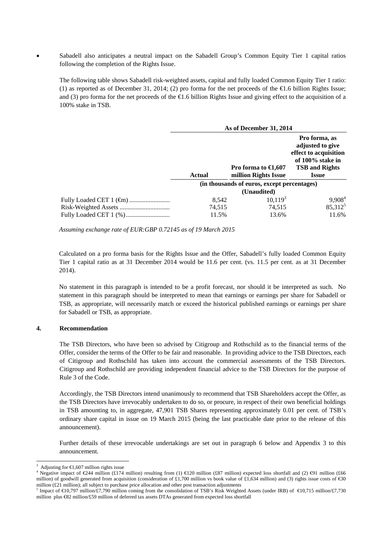Sabadell also anticipates a neutral impact on the Sabadell Group's Common Equity Tier 1 capital ratios following the completion of the Rights Issue.

The following table shows Sabadell risk-weighted assets, capital and fully loaded Common Equity Tier 1 ratio: (1) as reported as of December 31, 2014; (2) pro forma for the net proceeds of the €1.6 billion Rights Issue; and (3) pro forma for the net proceeds of the €1.6 billion Rights Issue and giving effect to the acquisition of a 100% stake in TSB.

| As of December 31, 2014                     |                                                  |                                                                                                                         |
|---------------------------------------------|--------------------------------------------------|-------------------------------------------------------------------------------------------------------------------------|
| <b>Actual</b>                               | Pro forma to $\in 1,607$<br>million Rights Issue | Pro forma, as<br>adjusted to give<br>effect to acquisition<br>of 100% stake in<br><b>TSB and Rights</b><br><b>Issue</b> |
| (in thousands of euros, except percentages) |                                                  |                                                                                                                         |
|                                             | (Unaudited)                                      |                                                                                                                         |
| 8.542                                       | $10,119^3$                                       | $9,908^4$                                                                                                               |
| 74,515                                      | 74,515                                           | 85,312 <sup>5</sup>                                                                                                     |
| 11.5%                                       | 13.6%                                            | 11.6%                                                                                                                   |

*Assuming exchange rate of EUR:GBP 0.72145 as of 19 March 2015* 

Calculated on a pro forma basis for the Rights Issue and the Offer, Sabadell's fully loaded Common Equity Tier 1 capital ratio as at 31 December 2014 would be 11.6 per cent. (vs. 11.5 per cent. as at 31 December 2014).

No statement in this paragraph is intended to be a profit forecast, nor should it be interpreted as such. No statement in this paragraph should be interpreted to mean that earnings or earnings per share for Sabadell or TSB, as appropriate, will necessarily match or exceed the historical published earnings or earnings per share for Sabadell or TSB, as appropriate.

# **4. Recommendation**

The TSB Directors, who have been so advised by Citigroup and Rothschild as to the financial terms of the Offer, consider the terms of the Offer to be fair and reasonable. In providing advice to the TSB Directors, each of Citigroup and Rothschild has taken into account the commercial assessments of the TSB Directors. Citigroup and Rothschild are providing independent financial advice to the TSB Directors for the purpose of Rule 3 of the Code.

Accordingly, the TSB Directors intend unanimously to recommend that TSB Shareholders accept the Offer, as the TSB Directors have irrevocably undertaken to do so, or procure, in respect of their own beneficial holdings in TSB amounting to, in aggregate, 47,901 TSB Shares representing approximately 0.01 per cent. of TSB's ordinary share capital in issue on 19 March 2015 (being the last practicable date prior to the release of this announcement).

Further details of these irrevocable undertakings are set out in paragraph 6 below and Appendix 3 to this announcement.

l

<sup>3</sup> Adjusting for  $\epsilon 1,607$  million rights issue

<sup>4</sup> Negative impact of  $\in 244$  million (£174 million) resulting from (1)  $\in 120$  million (£87 million) expected loss shortfall and (2)  $\oplus$ 1 million (£66 million) of goodwill generated from acquisition (consideration of £1,700 million vs book value of £1,634 million) and (3) rights issue costs of  $\text{€0}$ million  $(E21$  million); all subject to purchase price allocation and other post transaction adjustments

<sup>&</sup>lt;sup>5</sup> Impact of  $\bigoplus$  0.797 million/£7,790 million coming from the consolidation of TSB's Risk Weighted Assets (under IRB) of  $\bigoplus$  0.715 million/£7,730 million plus €82 million/£59 million of deferred tax assets DTAs generated from expected loss shortfall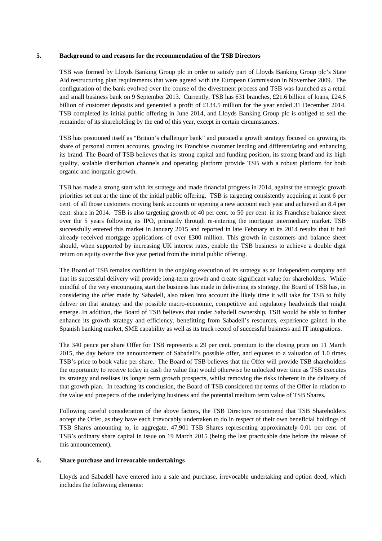#### **5. Background to and reasons for the recommendation of the TSB Directors**

TSB was formed by Lloyds Banking Group plc in order to satisfy part of Lloyds Banking Group plc's State Aid restructuring plan requirements that were agreed with the European Commission in November 2009. The configuration of the bank evolved over the course of the divestment process and TSB was launched as a retail and small business bank on 9 September 2013. Currently, TSB has 631 branches, £21.6 billion of loans, £24.6 billion of customer deposits and generated a profit of £134.5 million for the year ended 31 December 2014. TSB completed its initial public offering in June 2014, and Lloyds Banking Group plc is obliged to sell the remainder of its shareholding by the end of this year, except in certain circumstances.

TSB has positioned itself as "Britain's challenger bank" and pursued a growth strategy focused on growing its share of personal current accounts, growing its Franchise customer lending and differentiating and enhancing its brand. The Board of TSB believes that its strong capital and funding position, its strong brand and its high quality, scalable distribution channels and operating platform provide TSB with a robust platform for both organic and inorganic growth.

TSB has made a strong start with its strategy and made financial progress in 2014, against the strategic growth priorities set out at the time of the initial public offering. TSB is targeting consistently acquiring at least 6 per cent. of all those customers moving bank accounts or opening a new account each year and achieved an 8.4 per cent. share in 2014. TSB is also targeting growth of 40 per cent. to 50 per cent. in its Franchise balance sheet over the 5 years following its IPO, primarily through re-entering the mortgage intermediary market. TSB successfully entered this market in January 2015 and reported in late February at its 2014 results that it had already received mortgage applications of over £300 million. This growth in customers and balance sheet should, when supported by increasing UK interest rates, enable the TSB business to achieve a double digit return on equity over the five year period from the initial public offering.

The Board of TSB remains confident in the ongoing execution of its strategy as an independent company and that its successful delivery will provide long-term growth and create significant value for shareholders. While mindful of the very encouraging start the business has made in delivering its strategy, the Board of TSB has, in considering the offer made by Sabadell, also taken into account the likely time it will take for TSB to fully deliver on that strategy and the possible macro-economic, competitive and regulatory headwinds that might emerge. In addition, the Board of TSB believes that under Sabadell ownership, TSB would be able to further enhance its growth strategy and efficiency, benefitting from Sabadell's resources, experience gained in the Spanish banking market, SME capability as well as its track record of successful business and IT integrations.

The 340 pence per share Offer for TSB represents a 29 per cent. premium to the closing price on 11 March 2015, the day before the announcement of Sabadell's possible offer, and equates to a valuation of 1.0 times TSB's price to book value per share. The Board of TSB believes that the Offer will provide TSB shareholders the opportunity to receive today in cash the value that would otherwise be unlocked over time as TSB executes its strategy and realises its longer term growth prospects, whilst removing the risks inherent in the delivery of that growth plan. In reaching its conclusion, the Board of TSB considered the terms of the Offer in relation to the value and prospects of the underlying business and the potential medium term value of TSB Shares.

Following careful consideration of the above factors, the TSB Directors recommend that TSB Shareholders accept the Offer, as they have each irrevocably undertaken to do in respect of their own beneficial holdings of TSB Shares amounting to, in aggregate, 47,901 TSB Shares representing approximately 0.01 per cent. of TSB's ordinary share capital in issue on 19 March 2015 (being the last practicable date before the release of this announcement).

### **6. Share purchase and irrevocable undertakings**

Lloyds and Sabadell have entered into a sale and purchase, irrevocable undertaking and option deed, which includes the following elements: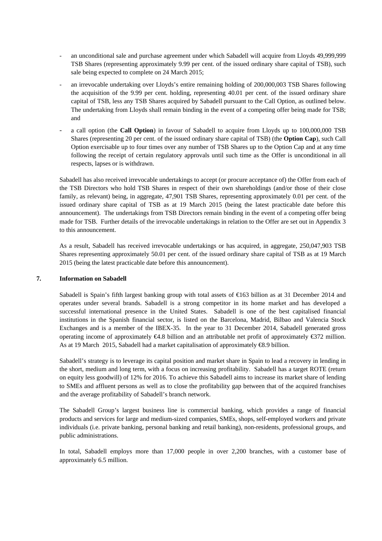- an unconditional sale and purchase agreement under which Sabadell will acquire from Lloyds 49,999,999 TSB Shares (representing approximately 9.99 per cent. of the issued ordinary share capital of TSB), such sale being expected to complete on 24 March 2015;
- an irrevocable undertaking over Lloyds's entire remaining holding of 200,000,003 TSB Shares following the acquisition of the 9.99 per cent. holding, representing 40.01 per cent. of the issued ordinary share capital of TSB, less any TSB Shares acquired by Sabadell pursuant to the Call Option, as outlined below. The undertaking from Lloyds shall remain binding in the event of a competing offer being made for TSB; and
- a call option (the **Call Option**) in favour of Sabadell to acquire from Lloyds up to 100,000,000 TSB Shares (representing 20 per cent. of the issued ordinary share capital of TSB) (the **Option Cap**), such Call Option exercisable up to four times over any number of TSB Shares up to the Option Cap and at any time following the receipt of certain regulatory approvals until such time as the Offer is unconditional in all respects, lapses or is withdrawn.

Sabadell has also received irrevocable undertakings to accept (or procure acceptance of) the Offer from each of the TSB Directors who hold TSB Shares in respect of their own shareholdings (and/or those of their close family, as relevant) being, in aggregate, 47,901 TSB Shares, representing approximately 0.01 per cent. of the issued ordinary share capital of TSB as at 19 March 2015 (being the latest practicable date before this announcement). The undertakings from TSB Directors remain binding in the event of a competing offer being made for TSB. Further details of the irrevocable undertakings in relation to the Offer are set out in Appendix 3 to this announcement.

As a result, Sabadell has received irrevocable undertakings or has acquired, in aggregate, 250,047,903 TSB Shares representing approximately 50.01 per cent. of the issued ordinary share capital of TSB as at 19 March 2015 (being the latest practicable date before this announcement).

# **7. Information on Sabadell**

Sabadell is Spain's fifth largest banking group with total assets of  $\epsilon$ 63 billion as at 31 December 2014 and operates under several brands. Sabadell is a strong competitor in its home market and has developed a successful international presence in the United States. Sabadell is one of the best capitalised financial institutions in the Spanish financial sector, is listed on the Barcelona, Madrid, Bilbao and Valencia Stock Exchanges and is a member of the IBEX-35. In the year to 31 December 2014, Sabadell generated gross operating income of approximately  $\bigoplus$ .8 billion and an attributable net profit of approximately  $\bigoplus$ 72 million. As at 19 March 2015, Sabadell had a market capitalisation of approximately €8.9 billion.

Sabadell's strategy is to leverage its capital position and market share in Spain to lead a recovery in lending in the short, medium and long term, with a focus on increasing profitability. Sabadell has a target ROTE (return on equity less goodwill) of 12% for 2016. To achieve this Sabadell aims to increase its market share of lending to SMEs and affluent persons as well as to close the profitability gap between that of the acquired franchises and the average profitability of Sabadell's branch network.

The Sabadell Group's largest business line is commercial banking, which provides a range of financial products and services for large and medium-sized companies, SMEs, shops, self-employed workers and private individuals (i.e. private banking, personal banking and retail banking), non-residents, professional groups, and public administrations.

In total, Sabadell employs more than 17,000 people in over 2,200 branches, with a customer base of approximately 6.5 million.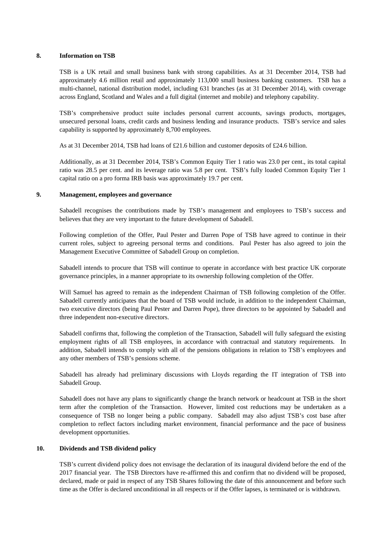#### **8. Information on TSB**

TSB is a UK retail and small business bank with strong capabilities. As at 31 December 2014, TSB had approximately 4.6 million retail and approximately 113,000 small business banking customers. TSB has a multi-channel, national distribution model, including 631 branches (as at 31 December 2014), with coverage across England, Scotland and Wales and a full digital (internet and mobile) and telephony capability.

TSB's comprehensive product suite includes personal current accounts, savings products, mortgages, unsecured personal loans, credit cards and business lending and insurance products. TSB's service and sales capability is supported by approximately 8,700 employees.

As at 31 December 2014, TSB had loans of £21.6 billion and customer deposits of £24.6 billion.

Additionally, as at 31 December 2014, TSB's Common Equity Tier 1 ratio was 23.0 per cent., its total capital ratio was 28.5 per cent. and its leverage ratio was 5.8 per cent. TSB's fully loaded Common Equity Tier 1 capital ratio on a pro forma IRB basis was approximately 19.7 per cent.

#### **9. Management, employees and governance**

Sabadell recognises the contributions made by TSB's management and employees to TSB's success and believes that they are very important to the future development of Sabadell.

Following completion of the Offer, Paul Pester and Darren Pope of TSB have agreed to continue in their current roles, subject to agreeing personal terms and conditions. Paul Pester has also agreed to join the Management Executive Committee of Sabadell Group on completion.

Sabadell intends to procure that TSB will continue to operate in accordance with best practice UK corporate governance principles, in a manner appropriate to its ownership following completion of the Offer.

Will Samuel has agreed to remain as the independent Chairman of TSB following completion of the Offer. Sabadell currently anticipates that the board of TSB would include, in addition to the independent Chairman, two executive directors (being Paul Pester and Darren Pope), three directors to be appointed by Sabadell and three independent non-executive directors.

Sabadell confirms that, following the completion of the Transaction, Sabadell will fully safeguard the existing employment rights of all TSB employees, in accordance with contractual and statutory requirements. In addition, Sabadell intends to comply with all of the pensions obligations in relation to TSB's employees and any other members of TSB's pensions scheme.

Sabadell has already had preliminary discussions with Lloyds regarding the IT integration of TSB into Sabadell Group.

Sabadell does not have any plans to significantly change the branch network or headcount at TSB in the short term after the completion of the Transaction. However, limited cost reductions may be undertaken as a consequence of TSB no longer being a public company. Sabadell may also adjust TSB's cost base after completion to reflect factors including market environment, financial performance and the pace of business development opportunities.

# **10. Dividends and TSB dividend policy**

TSB's current dividend policy does not envisage the declaration of its inaugural dividend before the end of the 2017 financial year. The TSB Directors have re-affirmed this and confirm that no dividend will be proposed, declared, made or paid in respect of any TSB Shares following the date of this announcement and before such time as the Offer is declared unconditional in all respects or if the Offer lapses, is terminated or is withdrawn.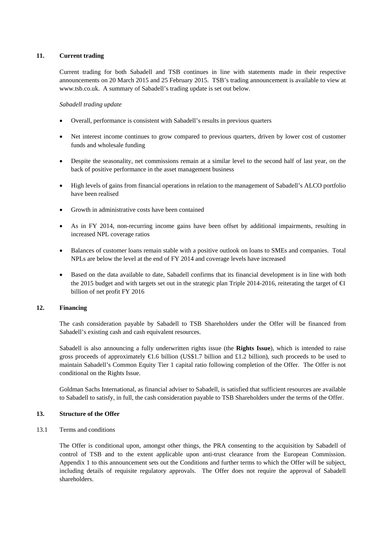# **11. Current trading**

Current trading for both Sabadell and TSB continues in line with statements made in their respective announcements on 20 March 2015 and 25 February 2015. TSB's trading announcement is available to view at www.tsb.co.uk. A summary of Sabadell's trading update is set out below.

# *Sabadell trading update*

- Overall, performance is consistent with Sabadell's results in previous quarters
- Net interest income continues to grow compared to previous quarters, driven by lower cost of customer funds and wholesale funding
- Despite the seasonality, net commissions remain at a similar level to the second half of last year, on the back of positive performance in the asset management business
- High levels of gains from financial operations in relation to the management of Sabadell's ALCO portfolio have been realised
- Growth in administrative costs have been contained
- As in FY 2014, non-recurring income gains have been offset by additional impairments, resulting in increased NPL coverage ratios
- Balances of customer loans remain stable with a positive outlook on loans to SMEs and companies. Total NPLs are below the level at the end of FY 2014 and coverage levels have increased
- Based on the data available to date, Sabadell confirms that its financial development is in line with both the 2015 budget and with targets set out in the strategic plan Triple 2014-2016, reiterating the target of  $\bigoplus$ billion of net profit FY 2016

# **12. Financing**

The cash consideration payable by Sabadell to TSB Shareholders under the Offer will be financed from Sabadell's existing cash and cash equivalent resources.

Sabadell is also announcing a fully underwritten rights issue (the **Rights Issue**), which is intended to raise gross proceeds of approximately  $\bigoplus$ .6 billion (US\$1.7 billion and £1.2 billion), such proceeds to be used to maintain Sabadell's Common Equity Tier 1 capital ratio following completion of the Offer. The Offer is not conditional on the Rights Issue.

Goldman Sachs International, as financial adviser to Sabadell, is satisfied that sufficient resources are available to Sabadell to satisfy, in full, the cash consideration payable to TSB Shareholders under the terms of the Offer.

# **13. Structure of the Offer**

13.1 Terms and conditions

The Offer is conditional upon, amongst other things, the PRA consenting to the acquisition by Sabadell of control of TSB and to the extent applicable upon anti-trust clearance from the European Commission. Appendix 1 to this announcement sets out the Conditions and further terms to which the Offer will be subject, including details of requisite regulatory approvals. The Offer does not require the approval of Sabadell shareholders.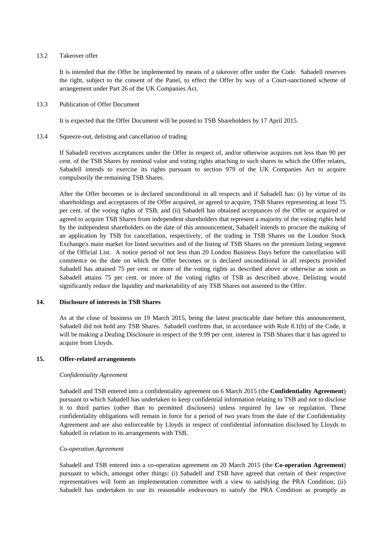#### 13.2 Takeover offer

It is intended that the Offer be implemented by means of a takeover offer under the Code*.* Sabadell reserves the right, subject to the consent of the Panel, to effect the Offer by way of a Court-sanctioned scheme of arrangement under Part 26 of the UK Companies Act.

#### 13.3 Publication of Offer Document

It is expected that the Offer Document will be posted to TSB Shareholders by 17 April 2015.

#### 13.4 Squeeze-out, delisting and cancellation of trading

If Sabadell receives acceptances under the Offer in respect of, and/or otherwise acquires not less than 90 per cent. of the TSB Shares by nominal value and voting rights attaching to such shares to which the Offer relates, Sabadell intends to exercise its rights pursuant to section 979 of the UK Companies Act to acquire compulsorily the remaining TSB Shares.

After the Offer becomes or is declared unconditional in all respects and if Sabadell has: (i) by virtue of its shareholdings and acceptances of the Offer acquired, or agreed to acquire, TSB Shares representing at least 75 per cent. of the voting rights of TSB; and (ii) Sabadell has obtained acceptances of the Offer or acquired or agreed to acquire TSB Shares from independent shareholders that represent a majority of the voting rights held by the independent shareholders on the date of this announcement, Sabadell intends to procure the making of an application by TSB for cancellation, respectively, of the trading in TSB Shares on the London Stock Exchange's main market for listed securities and of the listing of TSB Shares on the premium listing segment of the Official List. A notice period of not less than 20 London Business Days before the cancellation will commence on the date on which the Offer becomes or is declared unconditional in all respects provided Sabadell has attained 75 per cent. or more of the voting rights as described above or otherwise as soon as Sabadell attains 75 per cent. or more of the voting rights of TSB as described above. Delisting would significantly reduce the liquidity and marketability of any TSB Shares not assented to the Offer.

# **14. Disclosure of interests in TSB Shares**

As at the close of business on 19 March 2015, being the latest practicable date before this announcement, Sabadell did not hold any TSB Shares. Sabadell confirms that, in accordance with Rule 8.1(b) of the Code, it will be making a Dealing Disclosure in respect of the 9.99 per cent. interest in TSB Shares that it has agreed to acquire from Lloyds.

# **15. Offer-related arrangements**

# *Confidentiality Agreement*

Sabadell and TSB entered into a confidentiality agreement on 6 March 2015 (the **Confidentiality Agreement**) pursuant to which Sabadell has undertaken to keep confidential information relating to TSB and not to disclose it to third parties (other than to permitted disclosees) unless required by law or regulation. These confidentiality obligations will remain in force for a period of two years from the date of the Confidentiality Agreement and are also enforceable by Lloyds in respect of confidential information disclosed by Lloyds to Sabadell in relation to its arrangements with TSB.

#### *Co-operation Agreement*

Sabadell and TSB entered into a co-operation agreement on 20 March 2015 (the **Co-operation Agreement**) pursuant to which, amongst other things: (i) Sabadell and TSB have agreed that certain of their respective representatives will form an implementation committee with a view to satisfying the PRA Condition; (ii) Sabadell has undertaken to use its reasonable endeavours to satisfy the PRA Condition as promptly as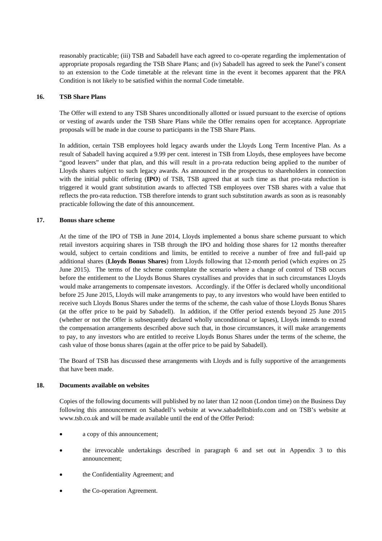reasonably practicable; (iii) TSB and Sabadell have each agreed to co-operate regarding the implementation of appropriate proposals regarding the TSB Share Plans; and (iv) Sabadell has agreed to seek the Panel's consent to an extension to the Code timetable at the relevant time in the event it becomes apparent that the PRA Condition is not likely to be satisfied within the normal Code timetable.

# **16. TSB Share Plans**

The Offer will extend to any TSB Shares unconditionally allotted or issued pursuant to the exercise of options or vesting of awards under the TSB Share Plans while the Offer remains open for acceptance. Appropriate proposals will be made in due course to participants in the TSB Share Plans.

In addition, certain TSB employees hold legacy awards under the Lloyds Long Term Incentive Plan. As a result of Sabadell having acquired a 9.99 per cent. interest in TSB from Lloyds, these employees have become "good leavers" under that plan, and this will result in a pro-rata reduction being applied to the number of Lloyds shares subject to such legacy awards. As announced in the prospectus to shareholders in connection with the initial public offering (**IPO**) of TSB, TSB agreed that at such time as that pro-rata reduction is triggered it would grant substitution awards to affected TSB employees over TSB shares with a value that reflects the pro-rata reduction. TSB therefore intends to grant such substitution awards as soon as is reasonably practicable following the date of this announcement.

#### **17. Bonus share scheme**

At the time of the IPO of TSB in June 2014, Lloyds implemented a bonus share scheme pursuant to which retail investors acquiring shares in TSB through the IPO and holding those shares for 12 months thereafter would, subject to certain conditions and limits, be entitled to receive a number of free and full-paid up additional shares (**Lloyds Bonus Shares**) from Lloyds following that 12-month period (which expires on 25 June 2015). The terms of the scheme contemplate the scenario where a change of control of TSB occurs before the entitlement to the Lloyds Bonus Shares crystallises and provides that in such circumstances Lloyds would make arrangements to compensate investors. Accordingly. if the Offer is declared wholly unconditional before 25 June 2015, Lloyds will make arrangements to pay, to any investors who would have been entitled to receive such Lloyds Bonus Shares under the terms of the scheme, the cash value of those Lloyds Bonus Shares (at the offer price to be paid by Sabadell). In addition, if the Offer period extends beyond 25 June 2015 (whether or not the Offer is subsequently declared wholly unconditional or lapses), Lloyds intends to extend the compensation arrangements described above such that, in those circumstances, it will make arrangements to pay, to any investors who are entitled to receive Lloyds Bonus Shares under the terms of the scheme, the cash value of those bonus shares (again at the offer price to be paid by Sabadell).

The Board of TSB has discussed these arrangements with Lloyds and is fully supportive of the arrangements that have been made.

#### **18. Documents available on websites**

Copies of the following documents will published by no later than 12 noon (London time) on the Business Day following this announcement on Sabadell's website at www.sabadelltsbinfo.com and on TSB's website at www.tsb.co.uk and will be made available until the end of the Offer Period:

- a copy of this announcement;
- the irrevocable undertakings described in paragraph 6 and set out in Appendix 3 to this announcement;
- the Confidentiality Agreement; and
- the Co-operation Agreement.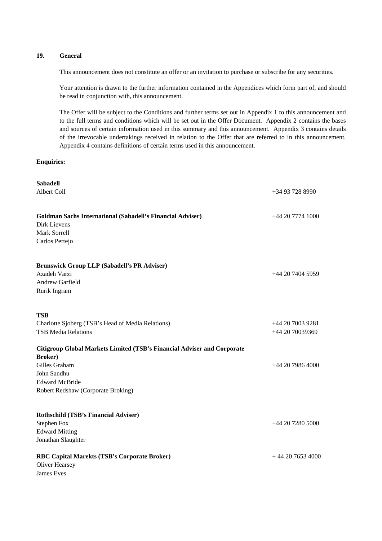# **19. General**

This announcement does not constitute an offer or an invitation to purchase or subscribe for any securities.

Your attention is drawn to the further information contained in the Appendices which form part of, and should be read in conjunction with, this announcement.

The Offer will be subject to the Conditions and further terms set out in Appendix 1 to this announcement and to the full terms and conditions which will be set out in the Offer Document. Appendix 2 contains the bases and sources of certain information used in this summary and this announcement. Appendix 3 contains details of the irrevocable undertakings received in relation to the Offer that are referred to in this announcement. Appendix 4 contains definitions of certain terms used in this announcement.

# **Enquiries:**

| <b>Sabadell</b>                                                         |                    |
|-------------------------------------------------------------------------|--------------------|
| Albert Coll                                                             | $+34937288990$     |
|                                                                         |                    |
| <b>Goldman Sachs International (Sabadell's Financial Adviser)</b>       | $+442077741000$    |
| Dirk Lievens                                                            |                    |
| Mark Sorrell                                                            |                    |
| Carlos Pertejo                                                          |                    |
| <b>Brunswick Group LLP (Sabadell's PR Adviser)</b>                      |                    |
| Azadeh Varzi                                                            | $+44$ 20 7404 5959 |
| Andrew Garfield                                                         |                    |
| Rurik Ingram                                                            |                    |
|                                                                         |                    |
| <b>TSB</b>                                                              |                    |
| Charlotte Sjoberg (TSB's Head of Media Relations)                       | +44 20 7003 9281   |
| <b>TSB Media Relations</b>                                              | +44 20 70039369    |
| Citigroup Global Markets Limited (TSB's Financial Adviser and Corporate |                    |
| <b>Broker</b> )                                                         |                    |
| Gilles Graham                                                           | $+442079864000$    |
| John Sandhu                                                             |                    |
| <b>Edward McBride</b>                                                   |                    |
| Robert Redshaw (Corporate Broking)                                      |                    |
|                                                                         |                    |
| <b>Rothschild (TSB's Financial Adviser)</b>                             |                    |
| <b>Stephen Fox</b>                                                      | +44 20 7280 5000   |
| <b>Edward Mitting</b>                                                   |                    |
| Jonathan Slaughter                                                      |                    |
| RBC Capital Marekts (TSB's Corporate Broker)                            | $+442076534000$    |
| <b>Oliver Hearsey</b>                                                   |                    |
| <b>James</b> Eves                                                       |                    |
|                                                                         |                    |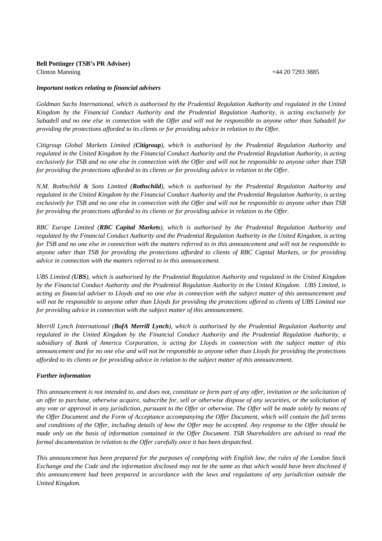# **Bell Pottinger (TSB's PR Adviser)**  Clinton Manning +44 20 7293 3885

#### *Important notices relating to financial advisers*

*Goldman Sachs International, which is authorised by the Prudential Regulation Authority and regulated in the United Kingdom by the Financial Conduct Authority and the Prudential Regulation Authority, is acting exclusively for Sabadell and no one else in connection with the Offer and will not be responsible to anyone other than Sabadell for providing the protections afforded to its clients or for providing advice in relation to the Offer.*

*Citigroup Global Markets Limited (Citigroup), which is authorised by the Prudential Regulation Authority and regulated in the United Kingdom by the Financial Conduct Authority and the Prudential Regulation Authority, is acting exclusively for TSB and no one else in connection with the Offer and will not be responsible to anyone other than TSB for providing the protections afforded to its clients or for providing advice in relation to the Offer.*

*N.M. Rothschild & Sons Limited (Rothschild), which is authorised by the Prudential Regulation Authority and regulated in the United Kingdom by the Financial Conduct Authority and the Prudential Regulation Authority, is acting exclusively for TSB and no one else in connection with the Offer and will not be responsible to anyone other than TSB for providing the protections afforded to its clients or for providing advice in relation to the Offer.* 

*RBC Europe Limited (RBC Capital Markets), which is authorised by the Prudential Regulation Authority and regulated by the Financial Conduct Authority and the Prudential Regulation Authority in the United Kingdom, is acting for TSB and no one else in connection with the matters referred to in this announcement and will not be responsible to anyone other than TSB for providing the protections afforded to clients of RBC Capital Markets, or for providing advice in connection with the matters referred to in this announcement.* 

*UBS Limited (UBS), which is authorised by the Prudential Regulation Authority and regulated in the United Kingdom by the Financial Conduct Authority and the Prudential Regulation Authority in the United Kingdom. UBS Limited, is acting as financial adviser to Lloyds and no one else in connection with the subject matter of this announcement and will not be responsible to anyone other than Lloyds for providing the protections offered to clients of UBS Limited nor for providing advice in connection with the subject matter of this announcement.* 

*Merrill Lynch International (BofA Merrill Lynch), which is authorised by the Prudential Regulation Authority and regulated in the United Kingdom by the Financial Conduct Authority and the Prudential Regulation Authority, a subsidiary of Bank of America Corporation, is acting for Lloyds in connection with the subject matter of this announcement and for no one else and will not be responsible to anyone other than Lloyds for providing the protections afforded to its clients or for providing advice in relation to the subject matter of this announcement.* 

# *Further information*

*This announcement is not intended to, and does not, constitute or form part of any offer, invitation or the solicitation of an offer to purchase, otherwise acquire, subscribe for, sell or otherwise dispose of any securities, or the solicitation of any vote or approval in any jurisdiction, pursuant to the Offer or otherwise. The Offer will be made solely by means of the Offer Document and the Form of Acceptance accompanying the Offer Document, which will contain the full terms and conditions of the Offer, including details of how the Offer may be accepted. Any response to the Offer should be made only on the basis of information contained in the Offer Document. TSB Shareholders are advised to read the formal documentation in relation to the Offer carefully once it has been despatched.*

*This announcement has been prepared for the purposes of complying with English law, the rules of the London Stock Exchange and the Code and the information disclosed may not be the same as that which would have been disclosed if this announcement had been prepared in accordance with the laws and regulations of any jurisdiction outside the United Kingdom.*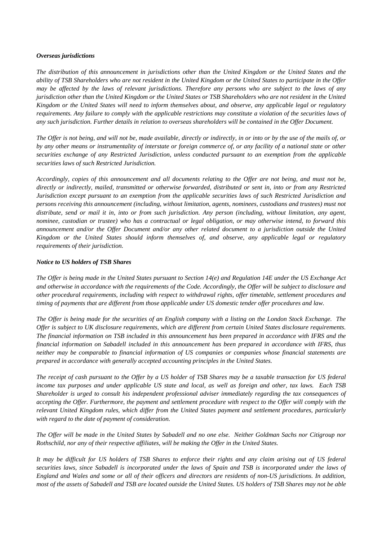#### *Overseas jurisdictions*

*The distribution of this announcement in jurisdictions other than the United Kingdom or the United States and the ability of TSB Shareholders who are not resident in the United Kingdom or the United States to participate in the Offer may be affected by the laws of relevant jurisdictions. Therefore any persons who are subject to the laws of any jurisdiction other than the United Kingdom or the United States or TSB Shareholders who are not resident in the United Kingdom or the United States will need to inform themselves about, and observe, any applicable legal or regulatory requirements. Any failure to comply with the applicable restrictions may constitute a violation of the securities laws of any such jurisdiction. Further details in relation to overseas shareholders will be contained in the Offer Document.*

*The Offer is not being, and will not be, made available, directly or indirectly, in or into or by the use of the mails of, or by any other means or instrumentality of interstate or foreign commerce of, or any facility of a national state or other securities exchange of any Restricted Jurisdiction, unless conducted pursuant to an exemption from the applicable securities laws of such Restricted Jurisdiction.*

*Accordingly, copies of this announcement and all documents relating to the Offer are not being, and must not be, directly or indirectly, mailed, transmitted or otherwise forwarded, distributed or sent in, into or from any Restricted Jurisdiction except pursuant to an exemption from the applicable securities laws of such Restricted Jurisdiction and persons receiving this announcement (including, without limitation, agents, nominees, custodians and trustees) must not distribute, send or mail it in, into or from such jurisdiction. Any person (including, without limitation, any agent, nominee, custodian or trustee) who has a contractual or legal obligation, or may otherwise intend, to forward this announcement and/or the Offer Document and/or any other related document to a jurisdiction outside the United Kingdom or the United States should inform themselves of, and observe, any applicable legal or regulatory requirements of their jurisdiction.*

# *Notice to US holders of TSB Shares*

*The Offer is being made in the United States pursuant to Section 14(e) and Regulation 14E under the US Exchange Act and otherwise in accordance with the requirements of the Code. Accordingly, the Offer will be subject to disclosure and other procedural requirements, including with respect to withdrawal rights, offer timetable, settlement procedures and timing of payments that are different from those applicable under US domestic tender offer procedures and law.* 

*The Offer is being made for the securities of an English company with a listing on the London Stock Exchange. The Offer is subject to UK disclosure requirements, which are different from certain United States disclosure requirements. The financial information on TSB included in this announcement has been prepared in accordance with IFRS and the financial information on Sabadell included in this announcement has been prepared in accordance with IFRS, thus neither may be comparable to financial information of US companies or companies whose financial statements are prepared in accordance with generally accepted accounting principles in the United States.*

*The receipt of cash pursuant to the Offer by a US holder of TSB Shares may be a taxable transaction for US federal income tax purposes and under applicable US state and local, as well as foreign and other, tax laws. Each TSB Shareholder is urged to consult his independent professional adviser immediately regarding the tax consequences of accepting the Offer. Furthermore, the payment and settlement procedure with respect to the Offer will comply with the relevant United Kingdom rules, which differ from the United States payment and settlement procedures, particularly with regard to the date of payment of consideration.*

*The Offer will be made in the United States by Sabadell and no one else. Neither Goldman Sachs nor Citigroup nor Rothschild, nor any of their respective affiliates, will be making the Offer in the United States.*

*It may be difficult for US holders of TSB Shares to enforce their rights and any claim arising out of US federal securities laws, since Sabadell is incorporated under the laws of Spain and TSB is incorporated under the laws of England and Wales and some or all of their officers and directors are residents of non-US jurisdictions. In addition, most of the assets of Sabadell and TSB are located outside the United States. US holders of TSB Shares may not be able*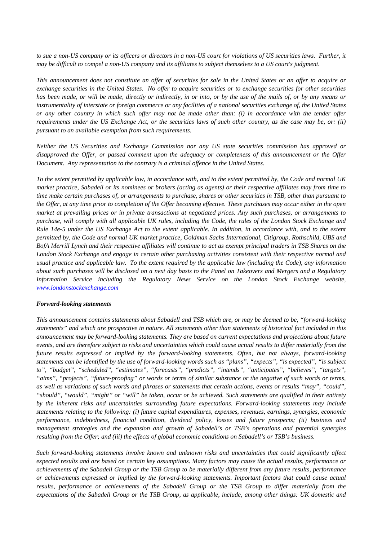*to sue a non-US company or its officers or directors in a non-US court for violations of US securities laws. Further, it may be difficult to compel a non-US company and its affiliates to subject themselves to a US court's judgment.*

*This announcement does not constitute an offer of securities for sale in the United States or an offer to acquire or exchange securities in the United States. No offer to acquire securities or to exchange securities for other securities has been made, or will be made, directly or indirectly, in or into, or by the use of the mails of, or by any means or instrumentality of interstate or foreign commerce or any facilities of a national securities exchange of, the United States or any other country in which such offer may not be made other than: (i) in accordance with the tender offer requirements under the US Exchange Act, or the securities laws of such other country, as the case may be, or: (ii) pursuant to an available exemption from such requirements.*

*Neither the US Securities and Exchange Commission nor any US state securities commission has approved or disapproved the Offer, or passed comment upon the adequacy or completeness of this announcement or the Offer Document. Any representation to the contrary is a criminal offence in the United States.*

*To the extent permitted by applicable law, in accordance with, and to the extent permitted by, the Code and normal UK market practice, Sabadell or its nominees or brokers (acting as agents) or their respective affiliates may from time to time make certain purchases of, or arrangements to purchase, shares or other securities in TSB, other than pursuant to the Offer, at any time prior to completion of the Offer becoming effective. These purchases may occur either in the open market at prevailing prices or in private transactions at negotiated prices. Any such purchases, or arrangements to purchase, will comply with all applicable UK rules, including the Code, the rules of the London Stock Exchange and Rule 14e-5 under the US Exchange Act to the extent applicable. In addition, in accordance with, and to the extent permitted by, the Code and normal UK market practice, Goldman Sachs International, Citigroup, Rothschild, UBS and BofA Merrill Lynch and their respective affiliates will continue to act as exempt principal traders in TSB Shares on the London Stock Exchange and engage in certain other purchasing activities consistent with their respective normal and usual practice and applicable law. To the extent required by the applicable law (including the Code), any information about such purchases will be disclosed on a next day basis to the Panel on Takeovers and Mergers and a Regulatory Information Service including the Regulatory News Service on the London Stock Exchange website, www.londonstockexchange.com*

#### *Forward-looking statements*

*This announcement contains statements about Sabadell and TSB which are, or may be deemed to be, "forward-looking statements" and which are prospective in nature. All statements other than statements of historical fact included in this announcement may be forward-looking statements. They are based on current expectations and projections about future events, and are therefore subject to risks and uncertainties which could cause actual results to differ materially from the future results expressed or implied by the forward-looking statements. Often, but not always, forward-looking statements can be identified by the use of forward-looking words such as "plans", "expects", "is expected", "is subject to", "budget", "scheduled", "estimates", "forecasts", "predicts", "intends", "anticipates", "believes", "targets", "aims", "projects", "future-proofing" or words or terms of similar substance or the negative of such words or terms, as well as variations of such words and phrases or statements that certain actions, events or results "may", "could", "should", "would", "might" or "will" be taken, occur or be achieved. Such statements are qualified in their entirety by the inherent risks and uncertainties surrounding future expectations. Forward-looking statements may include statements relating to the following: (i) future capital expenditures, expenses, revenues, earnings, synergies, economic performance, indebtedness, financial condition, dividend policy, losses and future prospects; (ii) business and management strategies and the expansion and growth of Sabadell's or TSB's operations and potential synergies resulting from the Offer; and (iii) the effects of global economic conditions on Sabadell's or TSB's business.* 

*Such forward-looking statements involve known and unknown risks and uncertainties that could significantly affect expected results and are based on certain key assumptions. Many factors may cause the actual results, performance or achievements of the Sabadell Group or the TSB Group to be materially different from any future results, performance or achievements expressed or implied by the forward-looking statements. Important factors that could cause actual results, performance or achievements of the Sabadell Group or the TSB Group to differ materially from the expectations of the Sabadell Group or the TSB Group, as applicable, include, among other things: UK domestic and*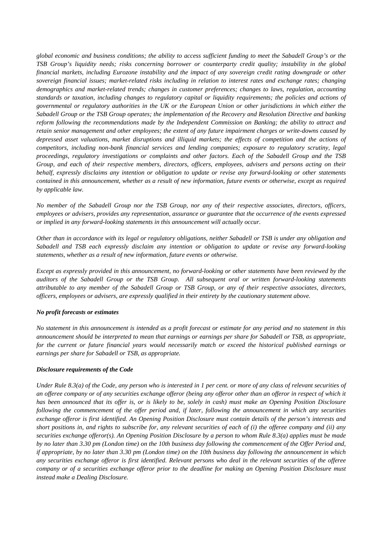*global economic and business conditions; the ability to access sufficient funding to meet the Sabadell Group's or the TSB Group's liquidity needs; risks concerning borrower or counterparty credit quality; instability in the global financial markets, including Eurozone instability and the impact of any sovereign credit rating downgrade or other sovereign financial issues; market-related risks including in relation to interest rates and exchange rates; changing demographics and market-related trends; changes in customer preferences; changes to laws, regulation, accounting standards or taxation, including changes to regulatory capital or liquidity requirements; the policies and actions of governmental or regulatory authorities in the UK or the European Union or other jurisdictions in which either the Sabadell Group or the TSB Group operates; the implementation of the Recovery and Resolution Directive and banking reform following the recommendations made by the Independent Commission on Banking; the ability to attract and retain senior management and other employees; the extent of any future impairment charges or write-downs caused by depressed asset valuations, market disruptions and illiquid markets; the effects of competition and the actions of competitors, including non-bank financial services and lending companies; exposure to regulatory scrutiny, legal proceedings, regulatory investigations or complaints and other factors. Each of the Sabadell Group and the TSB Group, and each of their respective members, directors, officers, employees, advisers and persons acting on their behalf, expressly disclaims any intention or obligation to update or revise any forward-looking or other statements contained in this announcement, whether as a result of new information, future events or otherwise, except as required by applicable law.* 

*No member of the Sabadell Group nor the TSB Group, nor any of their respective associates, directors, officers, employees or advisers, provides any representation, assurance or guarantee that the occurrence of the events expressed or implied in any forward-looking statements in this announcement will actually occur.*

*Other than in accordance with its legal or regulatory obligations, neither Sabadell or TSB is under any obligation and Sabadell and TSB each expressly disclaim any intention or obligation to update or revise any forward-looking statements, whether as a result of new information, future events or otherwise.*

*Except as expressly provided in this announcement, no forward-looking or other statements have been reviewed by the auditors of the Sabadell Group or the TSB Group. All subsequent oral or written forward-looking statements attributable to any member of the Sabadell Group or TSB Group, or any of their respective associates, directors, officers, employees or advisers, are expressly qualified in their entirety by the cautionary statement above.*

# *No profit forecasts or estimates*

*No statement in this announcement is intended as a profit forecast or estimate for any period and no statement in this announcement should be interpreted to mean that earnings or earnings per share for Sabadell or TSB, as appropriate,*  for the current or future financial years would necessarily match or exceed the historical published earnings or *earnings per share for Sabadell or TSB, as appropriate.*

# *Disclosure requirements of the Code*

*Under Rule 8.3(a) of the Code, any person who is interested in 1 per cent. or more of any class of relevant securities of an offeree company or of any securities exchange offeror (being any offeror other than an offeror in respect of which it has been announced that its offer is, or is likely to be, solely in cash) must make an Opening Position Disclosure following the commencement of the offer period and, if later, following the announcement in which any securities exchange offeror is first identified. An Opening Position Disclosure must contain details of the person's interests and short positions in, and rights to subscribe for, any relevant securities of each of (i) the offeree company and (ii) any securities exchange offeror(s). An Opening Position Disclosure by a person to whom Rule 8.3(a) applies must be made by no later than 3.30 pm (London time) on the 10th business day following the commencement of the Offer Period and, if appropriate, by no later than 3.30 pm (London time) on the 10th business day following the announcement in which any securities exchange offeror is first identified. Relevant persons who deal in the relevant securities of the offeree company or of a securities exchange offeror prior to the deadline for making an Opening Position Disclosure must instead make a Dealing Disclosure.*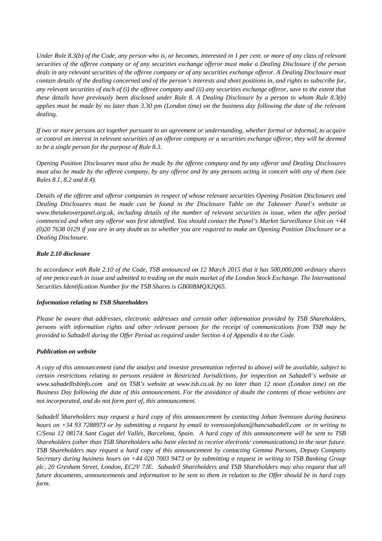*Under Rule 8.3(b) of the Code, any person who is, or becomes, interested in 1 per cent. or more of any class of relevant securities of the offeree company or of any securities exchange offeror must make a Dealing Disclosure if the person deals in any relevant securities of the offeree company or of any securities exchange offeror. A Dealing Disclosure must contain details of the dealing concerned and of the person's interests and short positions in, and rights to subscribe for, any relevant securities of each of (i) the offeree company and (ii) any securities exchange offeror, save to the extent that these details have previously been disclosed under Rule 8. A Dealing Disclosure by a person to whom Rule 8.3(b) applies must be made by no later than 3.30 pm (London time) on the business day following the date of the relevant dealing.*

*If two or more persons act together pursuant to an agreement or understanding, whether formal or informal, to acquire or control an interest in relevant securities of an offeree company or a securities exchange offeror, they will be deemed to be a single person for the purpose of Rule 8.3.*

*Opening Position Disclosures must also be made by the offeree company and by any offeror and Dealing Disclosures must also be made by the offeree company, by any offeror and by any persons acting in concert with any of them (see Rules 8.1, 8.2 and 8.4).*

*Details of the offeree and offeror companies in respect of whose relevant securities Opening Position Disclosures and Dealing Disclosures must be made can be found in the Disclosure Table on the Takeover Panel's website at www.thetakeoverpanel.org.uk, including details of the number of relevant securities in issue, when the offer period commenced and when any offeror was first identified. You should contact the Panel's Market Surveillance Unit on +44 (0)20 7638 0129 if you are in any doubt as to whether you are required to make an Opening Position Disclosure or a Dealing Disclosure.*

# *Rule 2.10 disclosure*

*In accordance with Rule 2.10 of the Code, TSB announced on 12 March 2015 that it has 500,000,000 ordinary shares of one pence each in issue and admitted to trading on the main market of the London Stock Exchange. The International Securities Identification Number for the TSB Shares is GB00BMQX2Q65.*

# *Information relating to TSB Shareholders*

*Please be aware that addresses, electronic addresses and certain other information provided by TSB Shareholders, persons with information rights and other relevant persons for the receipt of communications from TSB may be provided to Sabadell during the Offer Period as required under Section 4 of Appendix 4 to the Code.*

# *Publication on website*

*A copy of this announcement (and the analyst and investor presentation referred to above) will be available, subject to certain restrictions relating to persons resident in Restricted Jurisdictions, for inspection on Sabadell's website at www.sabadelltsbinfo.com and on TSB's website at www.tsb.co.uk by no later than 12 noon (London time) on the Business Day following the date of this announcement. For the avoidance of doubt the contents of those websites are not incorporated, and do not form part of, this announcement.*

*Sabadell Shareholders may request a hard copy of this announcement by contacting Johan Svensson during business hours on +34 93 7288973 or by submitting a request by email to svenssonjohan@bancsabadell.com or in writing to C/Sena 12 08174 Sant Cugat del Vallés, Barcelona, Spain. A hard copy of this announcement will be sent to TSB Shareholders (other than TSB Shareholders who have elected to receive electronic communications) in the near future. TSB Shareholders may request a hard copy of this announcement by contacting Gemma Parsons, Deputy Company Secretary during business hours on +44 020 7003 9473 or by submitting a request in writing to TSB Banking Group plc, 20 Gresham Street, London, EC2V 7JE. Sabadell Shareholders and TSB Shareholders may also request that all future documents, announcements and information to be sent to them in relation to the Offer should be in hard copy form.*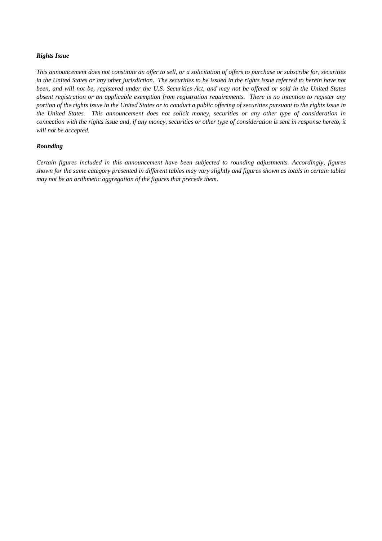# *Rights Issue*

*This announcement does not constitute an offer to sell, or a solicitation of offers to purchase or subscribe for, securities in the United States or any other jurisdiction. The securities to be issued in the rights issue referred to herein have not been, and will not be, registered under the U.S. Securities Act, and may not be offered or sold in the United States absent registration or an applicable exemption from registration requirements. There is no intention to register any portion of the rights issue in the United States or to conduct a public offering of securities pursuant to the rights issue in the United States. This announcement does not solicit money, securities or any other type of consideration in connection with the rights issue and, if any money, securities or other type of consideration is sent in response hereto, it will not be accepted.* 

#### *Rounding*

*Certain figures included in this announcement have been subjected to rounding adjustments. Accordingly, figures shown for the same category presented in different tables may vary slightly and figures shown as totals in certain tables may not be an arithmetic aggregation of the figures that precede them.*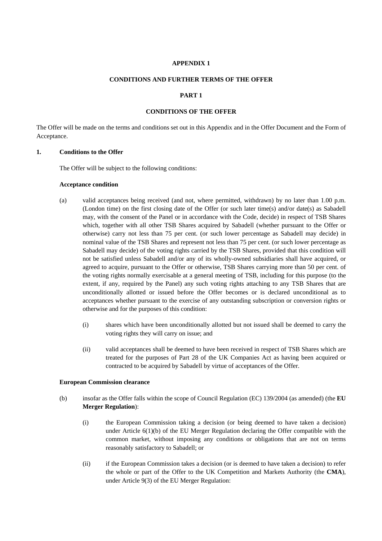#### **APPENDIX 1**

#### **CONDITIONS AND FURTHER TERMS OF THE OFFER**

# **PART 1**

#### **CONDITIONS OF THE OFFER**

The Offer will be made on the terms and conditions set out in this Appendix and in the Offer Document and the Form of Acceptance.

# **1. Conditions to the Offer**

The Offer will be subject to the following conditions:

#### **Acceptance condition**

- (a) valid acceptances being received (and not, where permitted, withdrawn) by no later than 1.00 p.m. (London time) on the first closing date of the Offer (or such later time(s) and/or date(s) as Sabadell may, with the consent of the Panel or in accordance with the Code, decide) in respect of TSB Shares which, together with all other TSB Shares acquired by Sabadell (whether pursuant to the Offer or otherwise) carry not less than 75 per cent. (or such lower percentage as Sabadell may decide) in nominal value of the TSB Shares and represent not less than 75 per cent. (or such lower percentage as Sabadell may decide) of the voting rights carried by the TSB Shares, provided that this condition will not be satisfied unless Sabadell and/or any of its wholly-owned subsidiaries shall have acquired, or agreed to acquire, pursuant to the Offer or otherwise, TSB Shares carrying more than 50 per cent. of the voting rights normally exercisable at a general meeting of TSB, including for this purpose (to the extent, if any, required by the Panel) any such voting rights attaching to any TSB Shares that are unconditionally allotted or issued before the Offer becomes or is declared unconditional as to acceptances whether pursuant to the exercise of any outstanding subscription or conversion rights or otherwise and for the purposes of this condition:
	- (i) shares which have been unconditionally allotted but not issued shall be deemed to carry the voting rights they will carry on issue; and
	- (ii) valid acceptances shall be deemed to have been received in respect of TSB Shares which are treated for the purposes of Part 28 of the UK Companies Act as having been acquired or contracted to be acquired by Sabadell by virtue of acceptances of the Offer.

#### **European Commission clearance**

- (b) insofar as the Offer falls within the scope of Council Regulation (EC) 139/2004 (as amended) (the **EU Merger Regulation**):
	- (i) the European Commission taking a decision (or being deemed to have taken a decision) under Article  $6(1)(b)$  of the EU Merger Regulation declaring the Offer compatible with the common market, without imposing any conditions or obligations that are not on terms reasonably satisfactory to Sabadell; or
	- (ii) if the European Commission takes a decision (or is deemed to have taken a decision) to refer the whole or part of the Offer to the UK Competition and Markets Authority (the **CMA**), under Article 9(3) of the EU Merger Regulation: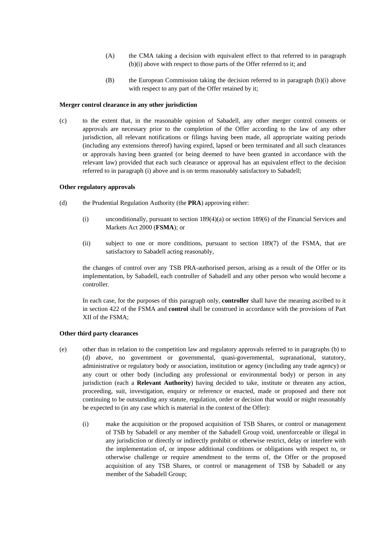- (A) the CMA taking a decision with equivalent effect to that referred to in paragraph (b)(i) above with respect to those parts of the Offer referred to it; and
- (B) the European Commission taking the decision referred to in paragraph (b)(i) above with respect to any part of the Offer retained by it;

#### **Merger control clearance in any other jurisdiction**

(c) to the extent that, in the reasonable opinion of Sabadell, any other merger control consents or approvals are necessary prior to the completion of the Offer according to the law of any other jurisdiction, all relevant notifications or filings having been made, all appropriate waiting periods (including any extensions thereof) having expired, lapsed or been terminated and all such clearances or approvals having been granted (or being deemed to have been granted in accordance with the relevant law) provided that each such clearance or approval has an equivalent effect to the decision referred to in paragraph (i) above and is on terms reasonably satisfactory to Sabadell;

#### **Other regulatory approvals**

- (d) the Prudential Regulation Authority (the **PRA**) approving either:
	- (i) unconditionally, pursuant to section 189(4)(a) or section 189(6) of the Financial Services and Markets Act 2000 (**FSMA**); or
	- (ii) subject to one or more conditions, pursuant to section 189(7) of the FSMA, that are satisfactory to Sabadell acting reasonably,

the changes of control over any TSB PRA-authorised person, arising as a result of the Offer or its implementation, by Sabadell, each controller of Sabadell and any other person who would become a controller.

In each case, for the purposes of this paragraph only, **controller** shall have the meaning ascribed to it in section 422 of the FSMA and **control** shall be construed in accordance with the provisions of Part XII of the FSMA;

#### **Other third party clearances**

- (e) other than in relation to the competition law and regulatory approvals referred to in paragraphs (b) to (d) above, no government or governmental, quasi-governmental, supranational, statutory, administrative or regulatory body or association, institution or agency (including any trade agency) or any court or other body (including any professional or environmental body) or person in any jurisdiction (each a **Relevant Authority**) having decided to take, institute or threaten any action, proceeding, suit, investigation, enquiry or reference or enacted, made or proposed and there not continuing to be outstanding any statute, regulation, order or decision that would or might reasonably be expected to (in any case which is material in the context of the Offer):
	- (i) make the acquisition or the proposed acquisition of TSB Shares, or control or management of TSB by Sabadell or any member of the Sabadell Group void, unenforceable or illegal in any jurisdiction or directly or indirectly prohibit or otherwise restrict, delay or interfere with the implementation of, or impose additional conditions or obligations with respect to, or otherwise challenge or require amendment to the terms of, the Offer or the proposed acquisition of any TSB Shares, or control or management of TSB by Sabadell or any member of the Sabadell Group;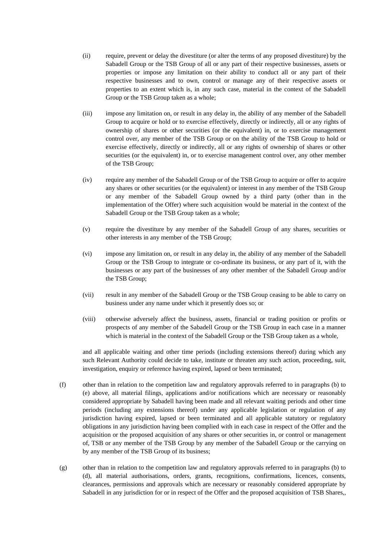- (ii) require, prevent or delay the divestiture (or alter the terms of any proposed divestiture) by the Sabadell Group or the TSB Group of all or any part of their respective businesses, assets or properties or impose any limitation on their ability to conduct all or any part of their respective businesses and to own, control or manage any of their respective assets or properties to an extent which is, in any such case, material in the context of the Sabadell Group or the TSB Group taken as a whole;
- (iii) impose any limitation on, or result in any delay in, the ability of any member of the Sabadell Group to acquire or hold or to exercise effectively, directly or indirectly, all or any rights of ownership of shares or other securities (or the equivalent) in, or to exercise management control over, any member of the TSB Group or on the ability of the TSB Group to hold or exercise effectively, directly or indirectly, all or any rights of ownership of shares or other securities (or the equivalent) in, or to exercise management control over, any other member of the TSB Group;
- (iv) require any member of the Sabadell Group or of the TSB Group to acquire or offer to acquire any shares or other securities (or the equivalent) or interest in any member of the TSB Group or any member of the Sabadell Group owned by a third party (other than in the implementation of the Offer) where such acquisition would be material in the context of the Sabadell Group or the TSB Group taken as a whole;
- (v) require the divestiture by any member of the Sabadell Group of any shares, securities or other interests in any member of the TSB Group;
- (vi) impose any limitation on, or result in any delay in, the ability of any member of the Sabadell Group or the TSB Group to integrate or co-ordinate its business, or any part of it, with the businesses or any part of the businesses of any other member of the Sabadell Group and/or the TSB Group;
- (vii) result in any member of the Sabadell Group or the TSB Group ceasing to be able to carry on business under any name under which it presently does so; or
- (viii) otherwise adversely affect the business, assets, financial or trading position or profits or prospects of any member of the Sabadell Group or the TSB Group in each case in a manner which is material in the context of the Sabadell Group or the TSB Group taken as a whole,

and all applicable waiting and other time periods (including extensions thereof) during which any such Relevant Authority could decide to take, institute or threaten any such action, proceeding, suit, investigation, enquiry or reference having expired, lapsed or been terminated;

- (f) other than in relation to the competition law and regulatory approvals referred to in paragraphs (b) to (e) above, all material filings, applications and/or notifications which are necessary or reasonably considered appropriate by Sabadell having been made and all relevant waiting periods and other time periods (including any extensions thereof) under any applicable legislation or regulation of any jurisdiction having expired, lapsed or been terminated and all applicable statutory or regulatory obligations in any jurisdiction having been complied with in each case in respect of the Offer and the acquisition or the proposed acquisition of any shares or other securities in, or control or management of, TSB or any member of the TSB Group by any member of the Sabadell Group or the carrying on by any member of the TSB Group of its business;
- (g) other than in relation to the competition law and regulatory approvals referred to in paragraphs (b) to (d), all material authorisations, orders, grants, recognitions, confirmations, licences, consents, clearances, permissions and approvals which are necessary or reasonably considered appropriate by Sabadell in any jurisdiction for or in respect of the Offer and the proposed acquisition of TSB Shares,,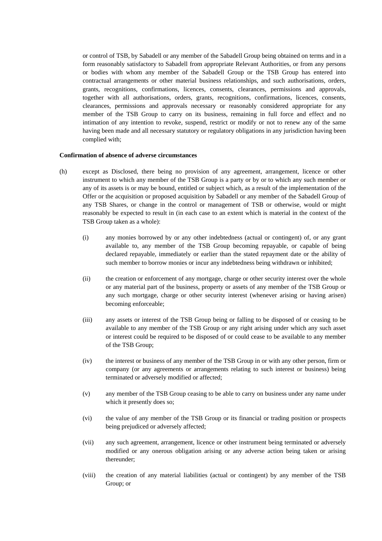or control of TSB, by Sabadell or any member of the Sabadell Group being obtained on terms and in a form reasonably satisfactory to Sabadell from appropriate Relevant Authorities, or from any persons or bodies with whom any member of the Sabadell Group or the TSB Group has entered into contractual arrangements or other material business relationships, and such authorisations, orders, grants, recognitions, confirmations, licences, consents, clearances, permissions and approvals, together with all authorisations, orders, grants, recognitions, confirmations, licences, consents, clearances, permissions and approvals necessary or reasonably considered appropriate for any member of the TSB Group to carry on its business, remaining in full force and effect and no intimation of any intention to revoke, suspend, restrict or modify or not to renew any of the same having been made and all necessary statutory or regulatory obligations in any jurisdiction having been complied with;

#### **Confirmation of absence of adverse circumstances**

- (h) except as Disclosed, there being no provision of any agreement, arrangement, licence or other instrument to which any member of the TSB Group is a party or by or to which any such member or any of its assets is or may be bound, entitled or subject which, as a result of the implementation of the Offer or the acquisition or proposed acquisition by Sabadell or any member of the Sabadell Group of any TSB Shares, or change in the control or management of TSB or otherwise, would or might reasonably be expected to result in (in each case to an extent which is material in the context of the TSB Group taken as a whole):
	- (i) any monies borrowed by or any other indebtedness (actual or contingent) of, or any grant available to, any member of the TSB Group becoming repayable, or capable of being declared repayable, immediately or earlier than the stated repayment date or the ability of such member to borrow monies or incur any indebtedness being withdrawn or inhibited;
	- (ii) the creation or enforcement of any mortgage, charge or other security interest over the whole or any material part of the business, property or assets of any member of the TSB Group or any such mortgage, charge or other security interest (whenever arising or having arisen) becoming enforceable;
	- (iii) any assets or interest of the TSB Group being or falling to be disposed of or ceasing to be available to any member of the TSB Group or any right arising under which any such asset or interest could be required to be disposed of or could cease to be available to any member of the TSB Group;
	- (iv) the interest or business of any member of the TSB Group in or with any other person, firm or company (or any agreements or arrangements relating to such interest or business) being terminated or adversely modified or affected;
	- (v) any member of the TSB Group ceasing to be able to carry on business under any name under which it presently does so;
	- (vi) the value of any member of the TSB Group or its financial or trading position or prospects being prejudiced or adversely affected;
	- (vii) any such agreement, arrangement, licence or other instrument being terminated or adversely modified or any onerous obligation arising or any adverse action being taken or arising thereunder;
	- (viii) the creation of any material liabilities (actual or contingent) by any member of the TSB Group; or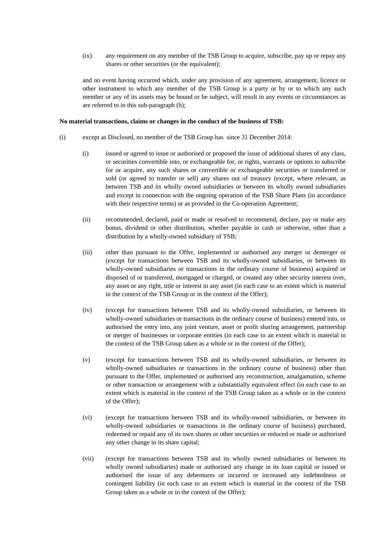(ix) any requirement on any member of the TSB Group to acquire, subscribe, pay up or repay any shares or other securities (or the equivalent);

and no event having occurred which, under any provision of any agreement, arrangement, licence or other instrument to which any member of the TSB Group is a party or by or to which any such member or any of its assets may be bound or be subject, will result in any events or circumstances as are referred to in this sub-paragraph (h);

#### **No material transactions, claims or changes in the conduct of the business of TSB:**

- (i) except as Disclosed, no member of the TSB Group has since 31 December 2014:
	- (i) issued or agreed to issue or authorised or proposed the issue of additional shares of any class, or securities convertible into, or exchangeable for, or rights, warrants or options to subscribe for or acquire, any such shares or convertible or exchangeable securities or transferred or sold (or agreed to transfer or sell) any shares out of treasury (except, where relevant, as between TSB and its wholly owned subsidiaries or between its wholly owned subsidiaries and except in connection with the ongoing operation of the TSB Share Plans (in accordance with their respective terms) or as provided in the Co-operation Agreement;
	- (ii) recommended, declared, paid or made or resolved to recommend, declare, pay or make any bonus, dividend or other distribution, whether payable in cash or otherwise, other than a distribution by a wholly-owned subsidiary of TSB;
	- (iii) other than pursuant to the Offer, implemented or authorised any merger or demerger or (except for transactions between TSB and its wholly-owned subsidiaries, or between its wholly-owned subsidiaries or transactions in the ordinary course of business) acquired or disposed of or transferred, mortgaged or charged, or created any other security interest over, any asset or any right, title or interest in any asset (in each case to an extent which is material in the context of the TSB Group or in the context of the Offer);
	- (iv) (except for transactions between TSB and its wholly-owned subsidiaries, or between its wholly-owned subsidiaries or transactions in the ordinary course of business) entered into, or authorised the entry into, any joint venture, asset or profit sharing arrangement, partnership or merger of businesses or corporate entities (in each case to an extent which is material in the context of the TSB Group taken as a whole or in the context of the Offer);
	- (v) (except for transactions between TSB and its wholly-owned subsidiaries, or between its wholly-owned subsidiaries or transactions in the ordinary course of business) other than pursuant to the Offer, implemented or authorised any reconstruction, amalgamation, scheme or other transaction or arrangement with a substantially equivalent effect (in each case to an extent which is material in the context of the TSB Group taken as a whole or in the context of the Offer);
	- (vi) (except for transactions between TSB and its wholly-owned subsidiaries, or between its wholly-owned subsidiaries or transactions in the ordinary course of business) purchased, redeemed or repaid any of its own shares or other securities or reduced or made or authorised any other change in its share capital;
	- (vii) (except for transactions between TSB and its wholly owned subsidiaries or between its wholly owned subsidiaries) made or authorised any change in its loan capital or issued or authorised the issue of any debentures or incurred or increased any indebtedness or contingent liability (in each case to an extent which is material in the context of the TSB Group taken as a whole or in the context of the Offer);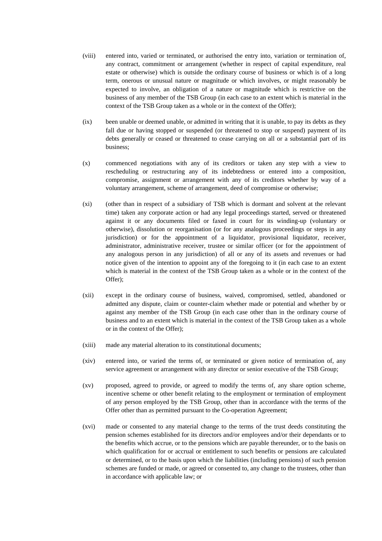- (viii) entered into, varied or terminated, or authorised the entry into, variation or termination of, any contract, commitment or arrangement (whether in respect of capital expenditure, real estate or otherwise) which is outside the ordinary course of business or which is of a long term, onerous or unusual nature or magnitude or which involves, or might reasonably be expected to involve, an obligation of a nature or magnitude which is restrictive on the business of any member of the TSB Group (in each case to an extent which is material in the context of the TSB Group taken as a whole or in the context of the Offer);
- (ix) been unable or deemed unable, or admitted in writing that it is unable, to pay its debts as they fall due or having stopped or suspended (or threatened to stop or suspend) payment of its debts generally or ceased or threatened to cease carrying on all or a substantial part of its business;
- (x) commenced negotiations with any of its creditors or taken any step with a view to rescheduling or restructuring any of its indebtedness or entered into a composition, compromise, assignment or arrangement with any of its creditors whether by way of a voluntary arrangement, scheme of arrangement, deed of compromise or otherwise;
- (xi) (other than in respect of a subsidiary of TSB which is dormant and solvent at the relevant time) taken any corporate action or had any legal proceedings started, served or threatened against it or any documents filed or faxed in court for its winding-up (voluntary or otherwise), dissolution or reorganisation (or for any analogous proceedings or steps in any jurisdiction) or for the appointment of a liquidator, provisional liquidator, receiver, administrator, administrative receiver, trustee or similar officer (or for the appointment of any analogous person in any jurisdiction) of all or any of its assets and revenues or had notice given of the intention to appoint any of the foregoing to it (in each case to an extent which is material in the context of the TSB Group taken as a whole or in the context of the Offer);
- (xii) except in the ordinary course of business, waived, compromised, settled, abandoned or admitted any dispute, claim or counter-claim whether made or potential and whether by or against any member of the TSB Group (in each case other than in the ordinary course of business and to an extent which is material in the context of the TSB Group taken as a whole or in the context of the Offer);
- (xiii) made any material alteration to its constitutional documents;
- (xiv) entered into, or varied the terms of, or terminated or given notice of termination of, any service agreement or arrangement with any director or senior executive of the TSB Group;
- (xv) proposed, agreed to provide, or agreed to modify the terms of, any share option scheme, incentive scheme or other benefit relating to the employment or termination of employment of any person employed by the TSB Group, other than in accordance with the terms of the Offer other than as permitted pursuant to the Co-operation Agreement;
- (xvi) made or consented to any material change to the terms of the trust deeds constituting the pension schemes established for its directors and/or employees and/or their dependants or to the benefits which accrue, or to the pensions which are payable thereunder, or to the basis on which qualification for or accrual or entitlement to such benefits or pensions are calculated or determined, or to the basis upon which the liabilities (including pensions) of such pension schemes are funded or made, or agreed or consented to, any change to the trustees, other than in accordance with applicable law; or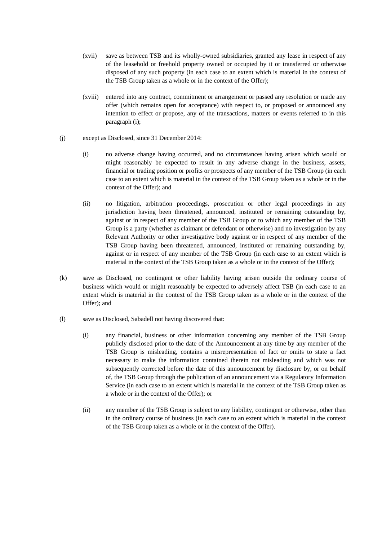- (xvii) save as between TSB and its wholly-owned subsidiaries, granted any lease in respect of any of the leasehold or freehold property owned or occupied by it or transferred or otherwise disposed of any such property (in each case to an extent which is material in the context of the TSB Group taken as a whole or in the context of the Offer);
- (xviii) entered into any contract, commitment or arrangement or passed any resolution or made any offer (which remains open for acceptance) with respect to, or proposed or announced any intention to effect or propose, any of the transactions, matters or events referred to in this paragraph (i);
- (j) except as Disclosed, since 31 December 2014:
	- (i) no adverse change having occurred, and no circumstances having arisen which would or might reasonably be expected to result in any adverse change in the business, assets, financial or trading position or profits or prospects of any member of the TSB Group (in each case to an extent which is material in the context of the TSB Group taken as a whole or in the context of the Offer); and
	- (ii) no litigation, arbitration proceedings, prosecution or other legal proceedings in any jurisdiction having been threatened, announced, instituted or remaining outstanding by, against or in respect of any member of the TSB Group or to which any member of the TSB Group is a party (whether as claimant or defendant or otherwise) and no investigation by any Relevant Authority or other investigative body against or in respect of any member of the TSB Group having been threatened, announced, instituted or remaining outstanding by, against or in respect of any member of the TSB Group (in each case to an extent which is material in the context of the TSB Group taken as a whole or in the context of the Offer);
- (k) save as Disclosed, no contingent or other liability having arisen outside the ordinary course of business which would or might reasonably be expected to adversely affect TSB (in each case to an extent which is material in the context of the TSB Group taken as a whole or in the context of the Offer); and
- (l) save as Disclosed, Sabadell not having discovered that:
	- (i) any financial, business or other information concerning any member of the TSB Group publicly disclosed prior to the date of the Announcement at any time by any member of the TSB Group is misleading, contains a misrepresentation of fact or omits to state a fact necessary to make the information contained therein not misleading and which was not subsequently corrected before the date of this announcement by disclosure by, or on behalf of, the TSB Group through the publication of an announcement via a Regulatory Information Service (in each case to an extent which is material in the context of the TSB Group taken as a whole or in the context of the Offer); or
	- (ii) any member of the TSB Group is subject to any liability, contingent or otherwise, other than in the ordinary course of business (in each case to an extent which is material in the context of the TSB Group taken as a whole or in the context of the Offer).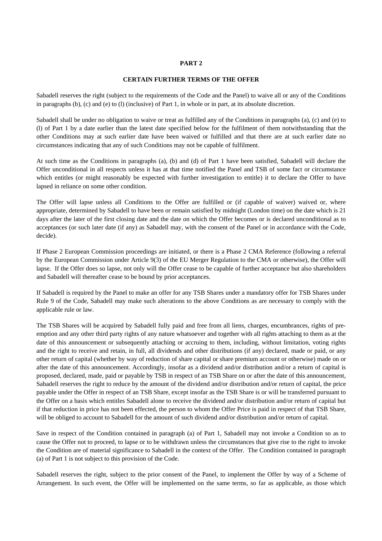### **PART 2**

#### **CERTAIN FURTHER TERMS OF THE OFFER**

Sabadell reserves the right (subject to the requirements of the Code and the Panel) to waive all or any of the Conditions in paragraphs (b), (c) and (e) to (l) (inclusive) of Part 1, in whole or in part, at its absolute discretion.

Sabadell shall be under no obligation to waive or treat as fulfilled any of the Conditions in paragraphs (a), (c) and (e) to (l) of Part 1 by a date earlier than the latest date specified below for the fulfilment of them notwithstanding that the other Conditions may at such earlier date have been waived or fulfilled and that there are at such earlier date no circumstances indicating that any of such Conditions may not be capable of fulfilment.

At such time as the Conditions in paragraphs (a), (b) and (d) of Part 1 have been satisfied, Sabadell will declare the Offer unconditional in all respects unless it has at that time notified the Panel and TSB of some fact or circumstance which entitles (or might reasonably be expected with further investigation to entitle) it to declare the Offer to have lapsed in reliance on some other condition.

The Offer will lapse unless all Conditions to the Offer are fulfilled or (if capable of waiver) waived or, where appropriate, determined by Sabadell to have been or remain satisfied by midnight (London time) on the date which is 21 days after the later of the first closing date and the date on which the Offer becomes or is declared unconditional as to acceptances (or such later date (if any) as Sabadell may, with the consent of the Panel or in accordance with the Code, decide).

If Phase 2 European Commission proceedings are initiated, or there is a Phase 2 CMA Reference (following a referral by the European Commission under Article 9(3) of the EU Merger Regulation to the CMA or otherwise), the Offer will lapse. If the Offer does so lapse, not only will the Offer cease to be capable of further acceptance but also shareholders and Sabadell will thereafter cease to be bound by prior acceptances.

If Sabadell is required by the Panel to make an offer for any TSB Shares under a mandatory offer for TSB Shares under Rule 9 of the Code, Sabadell may make such alterations to the above Conditions as are necessary to comply with the applicable rule or law.

The TSB Shares will be acquired by Sabadell fully paid and free from all liens, charges, encumbrances, rights of preemption and any other third party rights of any nature whatsoever and together with all rights attaching to them as at the date of this announcement or subsequently attaching or accruing to them, including, without limitation, voting rights and the right to receive and retain, in full, all dividends and other distributions (if any) declared, made or paid, or any other return of capital (whether by way of reduction of share capital or share premium account or otherwise) made on or after the date of this announcement. Accordingly, insofar as a dividend and/or distribution and/or a return of capital is proposed, declared, made, paid or payable by TSB in respect of an TSB Share on or after the date of this announcement, Sabadell reserves the right to reduce by the amount of the dividend and/or distribution and/or return of capital, the price payable under the Offer in respect of an TSB Share, except insofar as the TSB Share is or will be transferred pursuant to the Offer on a basis which entitles Sabadell alone to receive the dividend and/or distribution and/or return of capital but if that reduction in price has not been effected, the person to whom the Offer Price is paid in respect of that TSB Share, will be obliged to account to Sabadell for the amount of such dividend and/or distribution and/or return of capital.

Save in respect of the Condition contained in paragraph (a) of Part 1, Sabadell may not invoke a Condition so as to cause the Offer not to proceed, to lapse or to be withdrawn unless the circumstances that give rise to the right to invoke the Condition are of material significance to Sabadell in the context of the Offer. The Condition contained in paragraph (a) of Part 1 is not subject to this provision of the Code.

Sabadell reserves the right, subject to the prior consent of the Panel, to implement the Offer by way of a Scheme of Arrangement. In such event, the Offer will be implemented on the same terms, so far as applicable, as those which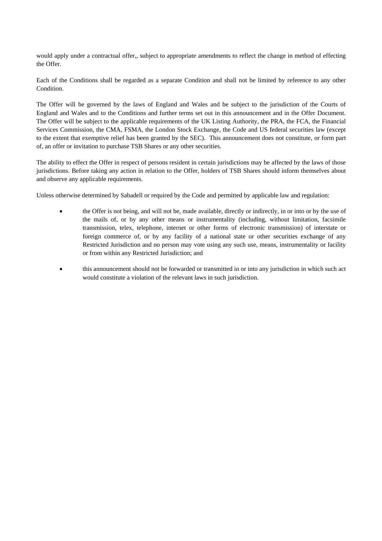would apply under a contractual offer,, subject to appropriate amendments to reflect the change in method of effecting the Offer.

Each of the Conditions shall be regarded as a separate Condition and shall not be limited by reference to any other Condition.

The Offer will be governed by the laws of England and Wales and be subject to the jurisdiction of the Courts of England and Wales and to the Conditions and further terms set out in this announcement and in the Offer Document. The Offer will be subject to the applicable requirements of the UK Listing Authority, the PRA, the FCA, the Financial Services Commission, the CMA, FSMA, the London Stock Exchange, the Code and US federal securities law (except to the extent that exemptive relief has been granted by the SEC). This announcement does not constitute, or form part of, an offer or invitation to purchase TSB Shares or any other securities.

The ability to effect the Offer in respect of persons resident in certain jurisdictions may be affected by the laws of those jurisdictions. Before taking any action in relation to the Offer, holders of TSB Shares should inform themselves about and observe any applicable requirements.

Unless otherwise determined by Sabadell or required by the Code and permitted by applicable law and regulation:

- the Offer is not being, and will not be, made available, directly or indirectly, in or into or by the use of the mails of, or by any other means or instrumentality (including, without limitation, facsimile transmission, telex, telephone, internet or other forms of electronic transmission) of interstate or foreign commerce of, or by any facility of a national state or other securities exchange of any Restricted Jurisdiction and no person may vote using any such use, means, instrumentality or facility or from within any Restricted Jurisdiction; and
- this announcement should not be forwarded or transmitted in or into any jurisdiction in which such act would constitute a violation of the relevant laws in such jurisdiction.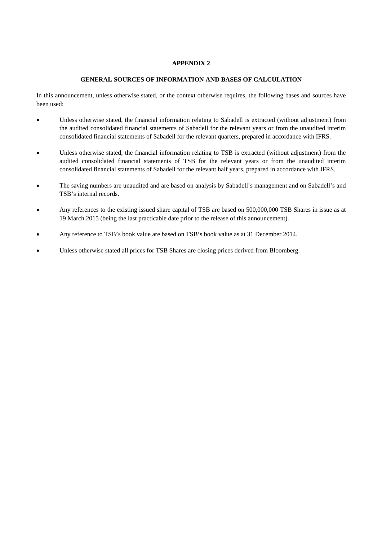# **APPENDIX 2**

## **GENERAL SOURCES OF INFORMATION AND BASES OF CALCULATION**

In this announcement, unless otherwise stated, or the context otherwise requires, the following bases and sources have been used:

- Unless otherwise stated, the financial information relating to Sabadell is extracted (without adjustment) from the audited consolidated financial statements of Sabadell for the relevant years or from the unaudited interim consolidated financial statements of Sabadell for the relevant quarters, prepared in accordance with IFRS.
- Unless otherwise stated, the financial information relating to TSB is extracted (without adjustment) from the audited consolidated financial statements of TSB for the relevant years or from the unaudited interim consolidated financial statements of Sabadell for the relevant half years, prepared in accordance with IFRS.
- The saving numbers are unaudited and are based on analysis by Sabadell's management and on Sabadell's and TSB's internal records.
- Any references to the existing issued share capital of TSB are based on 500,000,000 TSB Shares in issue as at 19 March 2015 (being the last practicable date prior to the release of this announcement).
- Any reference to TSB's book value are based on TSB's book value as at 31 December 2014.
- Unless otherwise stated all prices for TSB Shares are closing prices derived from Bloomberg.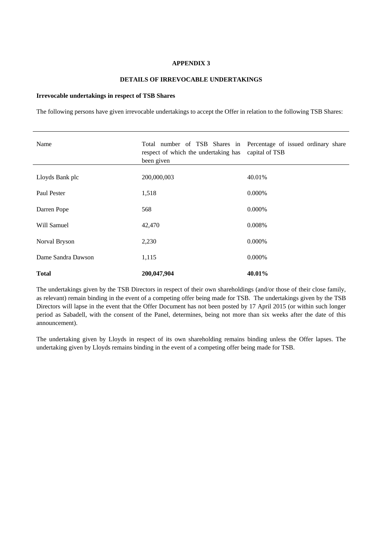#### **APPENDIX 3**

#### **DETAILS OF IRREVOCABLE UNDERTAKINGS**

#### **Irrevocable undertakings in respect of TSB Shares**

The following persons have given irrevocable undertakings to accept the Offer in relation to the following TSB Shares:

| Name               | Total number of TSB Shares in Percentage of issued ordinary share<br>respect of which the undertaking has<br>been given | capital of TSB |
|--------------------|-------------------------------------------------------------------------------------------------------------------------|----------------|
| Lloyds Bank plc    | 200,000,003                                                                                                             | 40.01%         |
| Paul Pester        | 1,518                                                                                                                   | 0.000%         |
| Darren Pope        | 568                                                                                                                     | 0.000%         |
| Will Samuel        | 42,470                                                                                                                  | 0.008%         |
| Norval Bryson      | 2,230                                                                                                                   | 0.000%         |
| Dame Sandra Dawson | 1,115                                                                                                                   | 0.000%         |
| <b>Total</b>       | 200,047,904                                                                                                             | 40.01%         |

The undertakings given by the TSB Directors in respect of their own shareholdings (and/or those of their close family, as relevant) remain binding in the event of a competing offer being made for TSB. The undertakings given by the TSB Directors will lapse in the event that the Offer Document has not been posted by 17 April 2015 (or within such longer period as Sabadell, with the consent of the Panel, determines, being not more than six weeks after the date of this announcement).

The undertaking given by Lloyds in respect of its own shareholding remains binding unless the Offer lapses. The undertaking given by Lloyds remains binding in the event of a competing offer being made for TSB.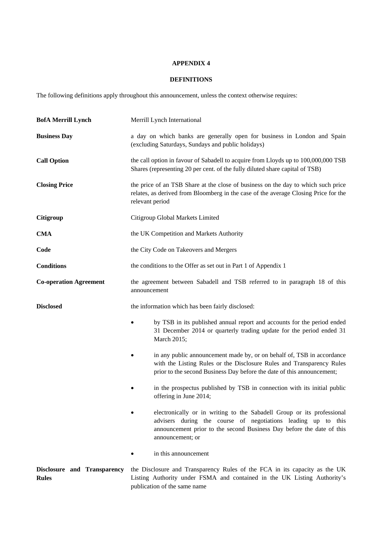# **APPENDIX 4**

# **DEFINITIONS**

The following definitions apply throughout this announcement, unless the context otherwise requires:

| <b>BofA Merrill Lynch</b>                   | Merrill Lynch International                                                                                                                                                                                                          |  |
|---------------------------------------------|--------------------------------------------------------------------------------------------------------------------------------------------------------------------------------------------------------------------------------------|--|
| <b>Business Day</b>                         | a day on which banks are generally open for business in London and Spain<br>(excluding Saturdays, Sundays and public holidays)                                                                                                       |  |
| <b>Call Option</b>                          | the call option in favour of Sabadell to acquire from Lloyds up to 100,000,000 TSB<br>Shares (representing 20 per cent. of the fully diluted share capital of TSB)                                                                   |  |
| <b>Closing Price</b>                        | the price of an TSB Share at the close of business on the day to which such price<br>relates, as derived from Bloomberg in the case of the average Closing Price for the<br>relevant period                                          |  |
| Citigroup                                   | Citigroup Global Markets Limited                                                                                                                                                                                                     |  |
| <b>CMA</b>                                  | the UK Competition and Markets Authority                                                                                                                                                                                             |  |
| Code                                        | the City Code on Takeovers and Mergers                                                                                                                                                                                               |  |
| <b>Conditions</b>                           | the conditions to the Offer as set out in Part 1 of Appendix 1                                                                                                                                                                       |  |
| <b>Co-operation Agreement</b>               | the agreement between Sabadell and TSB referred to in paragraph 18 of this<br>announcement                                                                                                                                           |  |
| <b>Disclosed</b>                            | the information which has been fairly disclosed:                                                                                                                                                                                     |  |
|                                             | by TSB in its published annual report and accounts for the period ended<br>31 December 2014 or quarterly trading update for the period ended 31<br>March 2015;                                                                       |  |
|                                             | in any public announcement made by, or on behalf of, TSB in accordance<br>with the Listing Rules or the Disclosure Rules and Transparency Rules<br>prior to the second Business Day before the date of this announcement;            |  |
|                                             | in the prospectus published by TSB in connection with its initial public<br>offering in June 2014;                                                                                                                                   |  |
|                                             | electronically or in writing to the Sabadell Group or its professional<br>advisers during the course of negotiations leading up to this<br>announcement prior to the second Business Day before the date of this<br>announcement; or |  |
|                                             | in this announcement                                                                                                                                                                                                                 |  |
| Disclosure and Transparency<br><b>Rules</b> | the Disclosure and Transparency Rules of the FCA in its capacity as the UK<br>Listing Authority under FSMA and contained in the UK Listing Authority's<br>publication of the same name                                               |  |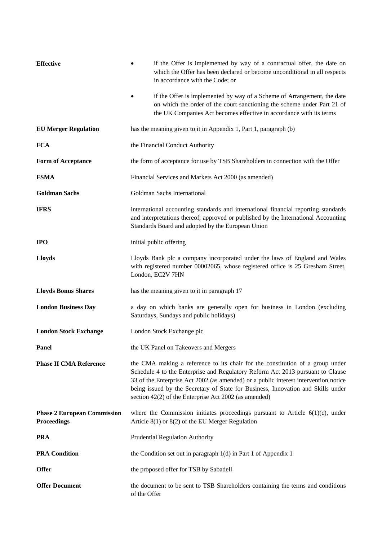| <b>Effective</b>                                         | if the Offer is implemented by way of a contractual offer, the date on<br>which the Offer has been declared or become unconditional in all respects<br>in accordance with the Code; or                                                                                                                                                                                                              |
|----------------------------------------------------------|-----------------------------------------------------------------------------------------------------------------------------------------------------------------------------------------------------------------------------------------------------------------------------------------------------------------------------------------------------------------------------------------------------|
|                                                          | if the Offer is implemented by way of a Scheme of Arrangement, the date<br>on which the order of the court sanctioning the scheme under Part 21 of<br>the UK Companies Act becomes effective in accordance with its terms                                                                                                                                                                           |
| <b>EU Merger Regulation</b>                              | has the meaning given to it in Appendix 1, Part 1, paragraph (b)                                                                                                                                                                                                                                                                                                                                    |
| <b>FCA</b>                                               | the Financial Conduct Authority                                                                                                                                                                                                                                                                                                                                                                     |
| Form of Acceptance                                       | the form of acceptance for use by TSB Shareholders in connection with the Offer                                                                                                                                                                                                                                                                                                                     |
| <b>FSMA</b>                                              | Financial Services and Markets Act 2000 (as amended)                                                                                                                                                                                                                                                                                                                                                |
| <b>Goldman Sachs</b>                                     | Goldman Sachs International                                                                                                                                                                                                                                                                                                                                                                         |
| <b>IFRS</b>                                              | international accounting standards and international financial reporting standards<br>and interpretations thereof, approved or published by the International Accounting<br>Standards Board and adopted by the European Union                                                                                                                                                                       |
| <b>IPO</b>                                               | initial public offering                                                                                                                                                                                                                                                                                                                                                                             |
| <b>Lloyds</b>                                            | Lloyds Bank plc a company incorporated under the laws of England and Wales<br>with registered number 00002065, whose registered office is 25 Gresham Street,<br>London, EC2V 7HN                                                                                                                                                                                                                    |
| <b>Lloyds Bonus Shares</b>                               | has the meaning given to it in paragraph 17                                                                                                                                                                                                                                                                                                                                                         |
| <b>London Business Day</b>                               | a day on which banks are generally open for business in London (excluding<br>Saturdays, Sundays and public holidays)                                                                                                                                                                                                                                                                                |
| <b>London Stock Exchange</b>                             | London Stock Exchange plc                                                                                                                                                                                                                                                                                                                                                                           |
| Panel                                                    | the UK Panel on Takeovers and Mergers                                                                                                                                                                                                                                                                                                                                                               |
| <b>Phase II CMA Reference</b>                            | the CMA making a reference to its chair for the constitution of a group under<br>Schedule 4 to the Enterprise and Regulatory Reform Act 2013 pursuant to Clause<br>33 of the Enterprise Act 2002 (as amended) or a public interest intervention notice<br>being issued by the Secretary of State for Business, Innovation and Skills under<br>section 42(2) of the Enterprise Act 2002 (as amended) |
| <b>Phase 2 European Commission</b><br><b>Proceedings</b> | where the Commission initiates proceedings pursuant to Article $6(1)(c)$ , under<br>Article $8(1)$ or $8(2)$ of the EU Merger Regulation                                                                                                                                                                                                                                                            |
| <b>PRA</b>                                               | Prudential Regulation Authority                                                                                                                                                                                                                                                                                                                                                                     |
| <b>PRA Condition</b>                                     | the Condition set out in paragraph $1(d)$ in Part 1 of Appendix 1                                                                                                                                                                                                                                                                                                                                   |
| <b>Offer</b>                                             | the proposed offer for TSB by Sabadell                                                                                                                                                                                                                                                                                                                                                              |
| <b>Offer Document</b>                                    | the document to be sent to TSB Shareholders containing the terms and conditions<br>of the Offer                                                                                                                                                                                                                                                                                                     |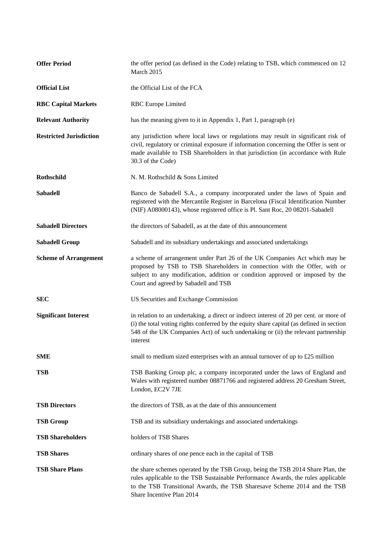| <b>Offer Period</b>            | the offer period (as defined in the Code) relating to TSB, which commenced on 12<br>March 2015                                                                                                                                                                                       |
|--------------------------------|--------------------------------------------------------------------------------------------------------------------------------------------------------------------------------------------------------------------------------------------------------------------------------------|
| <b>Official List</b>           | the Official List of the FCA                                                                                                                                                                                                                                                         |
| <b>RBC Capital Markets</b>     | <b>RBC</b> Europe Limited                                                                                                                                                                                                                                                            |
| <b>Relevant Authority</b>      | has the meaning given to it in Appendix 1, Part 1, paragraph (e)                                                                                                                                                                                                                     |
| <b>Restricted Jurisdiction</b> | any jurisdiction where local laws or regulations may result in significant risk of<br>civil, regulatory or criminal exposure if information concerning the Offer is sent or<br>made available to TSB Shareholders in that jurisdiction (in accordance with Rule<br>30.3 of the Code) |
| Rothschild                     | N. M. Rothschild & Sons Limited                                                                                                                                                                                                                                                      |
| <b>Sabadell</b>                | Banco de Sabadell S.A., a company incorporated under the laws of Spain and<br>registered with the Mercantile Register in Barcelona (Fiscal Identification Number<br>(NIF) A08000143), whose registered office is Pl. Sant Roc, 20 08201-Sabadell                                     |
| <b>Sabadell Directors</b>      | the directors of Sabadell, as at the date of this announcement                                                                                                                                                                                                                       |
| <b>Sabadell Group</b>          | Sabadell and its subsidiary undertakings and associated undertakings                                                                                                                                                                                                                 |
| <b>Scheme of Arrangement</b>   | a scheme of arrangement under Part 26 of the UK Companies Act which may be<br>proposed by TSB to TSB Shareholders in connection with the Offer, with or<br>subject to any modification, addition or condition approved or imposed by the<br>Court and agreed by Sabadell and TSB     |
| <b>SEC</b>                     | US Securities and Exchange Commission                                                                                                                                                                                                                                                |
| <b>Significant Interest</b>    | in relation to an undertaking, a direct or indirect interest of 20 per cent. or more of<br>(i) the total voting rights conferred by the equity share capital (as defined in section<br>548 of the UK Companies Act) of such undertaking or (ii) the relevant partnership<br>interest |
| <b>SME</b>                     | small to medium sized enterprises with an annual turnover of up to £25 million                                                                                                                                                                                                       |
| <b>TSB</b>                     | TSB Banking Group plc, a company incorporated under the laws of England and<br>Wales with registered number 08871766 and registered address 20 Gresham Street,<br>London, EC2V 7JE                                                                                                   |
| <b>TSB Directors</b>           | the directors of TSB, as at the date of this announcement                                                                                                                                                                                                                            |
| <b>TSB Group</b>               | TSB and its subsidiary undertakings and associated undertakings                                                                                                                                                                                                                      |
| <b>TSB Shareholders</b>        | holders of TSB Shares                                                                                                                                                                                                                                                                |
| <b>TSB Shares</b>              | ordinary shares of one pence each in the capital of TSB                                                                                                                                                                                                                              |
| <b>TSB Share Plans</b>         | the share schemes operated by the TSB Group, being the TSB 2014 Share Plan, the<br>rules applicable to the TSB Sustainable Performance Awards, the rules applicable<br>to the TSB Transitional Awards, the TSB Sharesave Scheme 2014 and the TSB<br>Share Incentive Plan 2014        |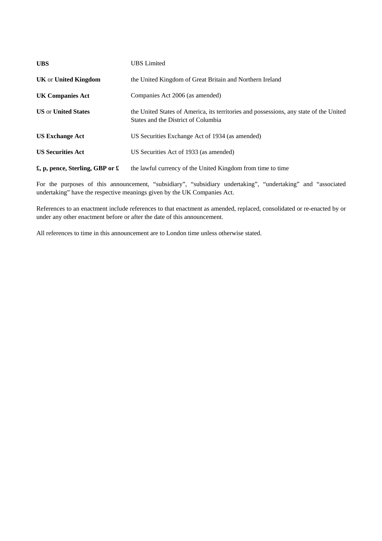| <b>UBS</b>                                       | <b>UBS</b> Limited                                                                                                            |
|--------------------------------------------------|-------------------------------------------------------------------------------------------------------------------------------|
| <b>UK</b> or United Kingdom                      | the United Kingdom of Great Britain and Northern Ireland                                                                      |
| UK Companies Act                                 | Companies Act 2006 (as amended)                                                                                               |
| <b>US or United States</b>                       | the United States of America, its territories and possessions, any state of the United<br>States and the District of Columbia |
| <b>US Exchange Act</b>                           | US Securities Exchange Act of 1934 (as amended)                                                                               |
| <b>US Securities Act</b>                         | US Securities Act of 1933 (as amended)                                                                                        |
| $\pounds$ , p, pence, Sterling, GBP or $\pounds$ | the lawful currency of the United Kingdom from time to time                                                                   |

For the purposes of this announcement, "subsidiary", "subsidiary undertaking", "undertaking" and "associated undertaking" have the respective meanings given by the UK Companies Act.

References to an enactment include references to that enactment as amended, replaced, consolidated or re-enacted by or under any other enactment before or after the date of this announcement.

All references to time in this announcement are to London time unless otherwise stated.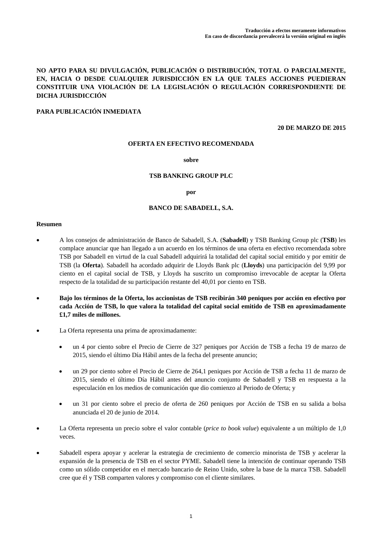# **NO APTO PARA SU DIVULGACIÓN, PUBLICACIÓN O DISTRIBUCIÓN, TOTAL O PARCIALMENTE, EN, HACIA O DESDE CUALQUIER JURISDICCIÓN EN LA QUE TALES ACCIONES PUEDIERAN CONSTITUIR UNA VIOLACIÓN DE LA LEGISLACIÓN O REGULACIÓN CORRESPONDIENTE DE DICHA JURISDICCIÓN**

# **PARA PUBLICACIÓN INMEDIATA**

**20 DE MARZO DE 2015** 

### **OFERTA EN EFECTIVO RECOMENDADA**

#### **sobre**

### **TSB BANKING GROUP PLC**

#### **por**

### **BANCO DE SABADELL, S.A.**

### **Resumen**

- A los consejos de administración de Banco de Sabadell, S.A. (**Sabadell**) y TSB Banking Group plc (**TSB**) les complace anunciar que han llegado a un acuerdo en los términos de una oferta en efectivo recomendada sobre TSB por Sabadell en virtud de la cual Sabadell adquirirá la totalidad del capital social emitido y por emitir de TSB (la **Oferta**). Sabadell ha acordado adquirir de Lloyds Bank plc (**Lloyds**) una participación del 9,99 por ciento en el capital social de TSB, y Lloyds ha suscrito un compromiso irrevocable de aceptar la Oferta respecto de la totalidad de su participación restante del 40,01 por ciento en TSB.
- **Bajo los términos de la Oferta, los accionistas de TSB recibirán 340 peniques por acción en efectivo por cada Acción de TSB, lo que valora la totalidad del capital social emitido de TSB en aproximadamente £1,7 miles de millones.**
- La Oferta representa una prima de aproximadamente:
	- un 4 por ciento sobre el Precio de Cierre de 327 peniques por Acción de TSB a fecha 19 de marzo de 2015, siendo el último Día Hábil antes de la fecha del presente anuncio;
	- un 29 por ciento sobre el Precio de Cierre de 264,1 peniques por Acción de TSB a fecha 11 de marzo de 2015, siendo el último Día Hábil antes del anuncio conjunto de Sabadell y TSB en respuesta a la especulación en los medios de comunicación que dio comienzo al Periodo de Oferta; y
	- un 31 por ciento sobre el precio de oferta de 260 peniques por Acción de TSB en su salida a bolsa anunciada el 20 de junio de 2014.
- La Oferta representa un precio sobre el valor contable (*price to book value*) equivalente a un múltiplo de 1,0 veces.
- Sabadell espera apoyar y acelerar la estrategia de crecimiento de comercio minorista de TSB y acelerar la expansión de la presencia de TSB en el sector PYME. Sabadell tiene la intención de continuar operando TSB como un sólido competidor en el mercado bancario de Reino Unido, sobre la base de la marca TSB. Sabadell cree que él y TSB comparten valores y compromiso con el cliente similares.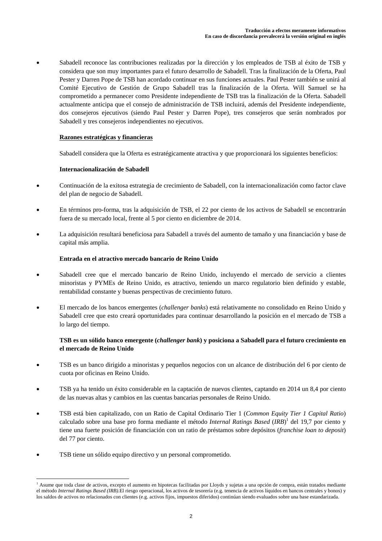Sabadell reconoce las contribuciones realizadas por la dirección y los empleados de TSB al éxito de TSB y considera que son muy importantes para el futuro desarrollo de Sabadell. Tras la finalización de la Oferta, Paul Pester y Darren Pope de TSB han acordado continuar en sus funciones actuales. Paul Pester también se unirá al Comité Ejecutivo de Gestión de Grupo Sabadell tras la finalización de la Oferta. Will Samuel se ha comprometido a permanecer como Presidente independiente de TSB tras la finalización de la Oferta. Sabadell actualmente anticipa que el consejo de administración de TSB incluirá, además del Presidente independiente, dos consejeros ejecutivos (siendo Paul Pester y Darren Pope), tres consejeros que serán nombrados por Sabadell y tres consejeros independientes no ejecutivos.

# **Razones estratégicas y financieras**

Sabadell considera que la Oferta es estratégicamente atractiva y que proporcionará los siguientes beneficios:

# **Internacionalización de Sabadell**

- Continuación de la exitosa estrategia de crecimiento de Sabadell, con la internacionalización como factor clave del plan de negocio de Sabadell.
- En términos pro-forma, tras la adquisición de TSB, el 22 por ciento de los activos de Sabadell se encontrarán fuera de su mercado local, frente al 5 por ciento en diciembre de 2014.
- La adquisición resultará beneficiosa para Sabadell a través del aumento de tamaño y una financiación y base de capital más amplia.

# **Entrada en el atractivo mercado bancario de Reino Unido**

- Sabadell cree que el mercado bancario de Reino Unido, incluyendo el mercado de servicio a clientes minoristas y PYMEs de Reino Unido, es atractivo, teniendo un marco regulatorio bien definido y estable, rentabilidad constante y buenas perspectivas de crecimiento futuro.
- El mercado de los bancos emergentes (*challenger banks*) está relativamente no consolidado en Reino Unido y Sabadell cree que esto creará oportunidades para continuar desarrollando la posición en el mercado de TSB a lo largo del tiempo.

# **TSB es un sólido banco emergente (***challenger bank***) y posiciona a Sabadell para el futuro crecimiento en el mercado de Reino Unido**

- TSB es un banco dirigido a minoristas y pequeños negocios con un alcance de distribución del 6 por ciento de cuota por oficinas en Reino Unido.
- TSB ya ha tenido un éxito considerable en la captación de nuevos clientes, captando en 2014 un 8,4 por ciento de las nuevas altas y cambios en las cuentas bancarias personales de Reino Unido.
- TSB está bien capitalizado, con un Ratio de Capital Ordinario Tier 1 (*Common Equity Tier 1 Capital Ratio*) calculado sobre una base pro forma mediante el método *Internal Ratings Based* (*IRB*) 1 del 19,7 por ciento y tiene una fuerte posición de financiación con un ratio de préstamos sobre depósitos (*franchise loan to deposit*) del 77 por ciento.
- TSB tiene un sólido equipo directivo y un personal comprometido.

 $\overline{a}$ 

<sup>1</sup> Asume que toda clase de activos, excepto el aumento en hipotecas facilitadas por Lloyds y sujetas a una opción de compra, están tratados mediante el método *Internal Ratings Based (IRB)*.El riesgo operacional, los activos de tesorería (e.g. tenencia de activos líquidos en bancos centrales y bonos) y los saldos de activos no relacionados con clientes (e.g. activos fijos, impuestos diferidos) continúan siendo evaluados sobre una base estandarizada.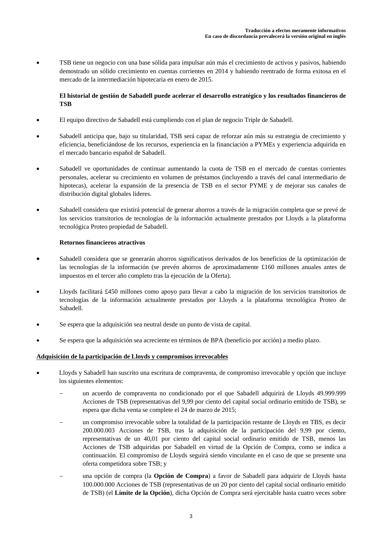TSB tiene un negocio con una base sólida para impulsar aún más el crecimiento de activos y pasivos, habiendo demostrado un sólido crecimiento en cuentas corrientes en 2014 y habiendo reentrado de forma exitosa en el mercado de la intermediación hipotecaria en enero de 2015.

# **El historial de gestión de Sabadell puede acelerar el desarrollo estratégico y los resultados financieros de TSB**

- El equipo directivo de Sabadell está cumpliendo con el plan de negocio Triple de Sabadell.
- Sabadell anticipa que, bajo su titularidad, TSB será capaz de reforzar aún más su estrategia de crecimiento y eficiencia, beneficiándose de los recursos, experiencia en la financiación a PYMEs y experiencia adquirida en el mercado bancario español de Sabadell.
- Sabadell ve oportunidades de continuar aumentando la cuota de TSB en el mercado de cuentas corrientes personales, acelerar su crecimiento en volumen de préstamos (incluyendo a través del canal intermediario de hipotecas), acelerar la expansión de la presencia de TSB en el sector PYME y de mejorar sus canales de distribución digital globales líderes.
- Sabadell considera que existirá potencial de generar ahorros a través de la migración completa que se prevé de los servicios transitorios de tecnologías de la información actualmente prestados por Lloyds a la plataforma tecnológica Proteo propiedad de Sabadell.

# **Retornos financieros atractivos**

- Sabadell considera que se generarán ahorros significativos derivados de los beneficios de la optimización de las tecnologías de la información (se prevén ahorros de aproximadamente £160 millones anuales antes de impuestos en el tercer año completo tras la ejecución de la Oferta).
- Lloyds facilitará £450 millones como apoyo para llevar a cabo la migración de los servicios transitorios de tecnologías de la información actualmente prestados por Lloyds a la plataforma tecnológica Proteo de Sabadell.
- Se espera que la adquisición sea neutral desde un punto de vista de capital.
- Se espera que la adquisición sea acreciente en términos de BPA (beneficio por acción) a medio plazo.

# **Adquisición de la participación de Lloyds y compromisos irrevocables**

- Lloyds y Sabadell han suscrito una escritura de compraventa, de compromiso irrevocable y opción que incluye los siguientes elementos:
	- un acuerdo de compraventa no condicionado por el que Sabadell adquirirá de Lloyds 49.999.999 Acciones de TSB (representativas del 9,99 por ciento del capital social ordinario emitido de TSB), se espera que dicha venta se complete el 24 de marzo de 2015;
	- un compromiso irrevocable sobre la totalidad de la participación restante de Lloyds en TBS, es decir 200.000.003 Acciones de TSB, tras la adquisición de la participación del 9,99 por ciento, representativas de un 40,01 por ciento del capital social ordinario emitido de TSB, menos las Acciones de TSB adquiridas por Sabadell en virtud de la Opción de Compra, como se indica a continuación. El compromiso de Lloyds seguirá siendo vinculante en el caso de que se presente una oferta competidora sobre TSB; y
	- una opción de compra (la **Opción de Compra**) a favor de Sabadell para adquirir de Lloyds hasta 100.000.000 Acciones de TSB (representativas de un 20 por ciento del capital social ordinario emitido de TSB) (el **Límite de la Opción**), dicha Opción de Compra será ejercitable hasta cuatro veces sobre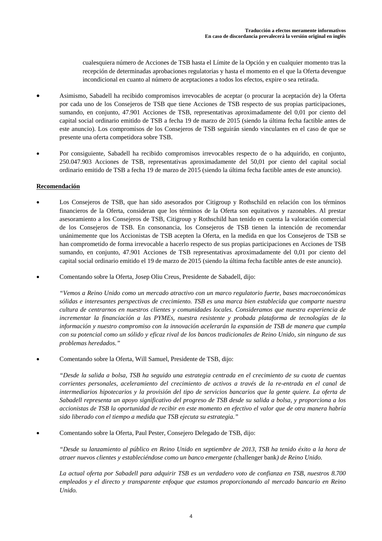cualesquiera número de Acciones de TSB hasta el Límite de la Opción y en cualquier momento tras la recepción de determinadas aprobaciones regulatorias y hasta el momento en el que la Oferta devengue incondicional en cuanto al número de aceptaciones a todos los efectos, expire o sea retirada.

- Asimismo, Sabadell ha recibido compromisos irrevocables de aceptar (o procurar la aceptación de) la Oferta por cada uno de los Consejeros de TSB que tiene Acciones de TSB respecto de sus propias participaciones, sumando, en conjunto, 47.901 Acciones de TSB, representativas aproximadamente del 0,01 por ciento del capital social ordinario emitido de TSB a fecha 19 de marzo de 2015 (siendo la última fecha factible antes de este anuncio). Los compromisos de los Consejeros de TSB seguirán siendo vinculantes en el caso de que se presente una oferta competidora sobre TSB.
- Por consiguiente, Sabadell ha recibido compromisos irrevocables respecto de o ha adquirido, en conjunto, 250.047.903 Acciones de TSB, representativas aproximadamente del 50,01 por ciento del capital social ordinario emitido de TSB a fecha 19 de marzo de 2015 (siendo la última fecha factible antes de este anuncio).

# **Recomendación**

- Los Consejeros de TSB, que han sido asesorados por Citigroup y Rothschild en relación con los términos financieros de la Oferta, consideran que los términos de la Oferta son equitativos y razonables. Al prestar asesoramiento a los Consejeros de TSB, Citigroup y Rothschild han tenido en cuenta la valoración comercial de los Consejeros de TSB. En consonancia, los Consejeros de TSB tienen la intención de recomendar unánimemente que los Accionistas de TSB acepten la Oferta, en la medida en que los Consejeros de TSB se han comprometido de forma irrevocable a hacerlo respecto de sus propias participaciones en Acciones de TSB sumando, en conjunto, 47.901 Acciones de TSB representativas aproximadamente del 0,01 por ciento del capital social ordinario emitido el 19 de marzo de 2015 (siendo la última fecha factible antes de este anuncio).
- Comentando sobre la Oferta, Josep Oliu Creus, Presidente de Sabadell, dijo:

*"Vemos a Reino Unido como un mercado atractivo con un marco regulatorio fuerte, bases macroeconómicas sólidas e interesantes perspectivas de crecimiento. TSB es una marca bien establecida que comparte nuestra cultura de centrarnos en nuestros clientes y comunidades locales. Consideramos que nuestra experiencia de incrementar la financiación a las PYMEs, nuestra resistente y probada plataforma de tecnologías de la información y nuestro compromiso con la innovación acelerarán la expansión de TSB de manera que cumpla con su potencial como un sólido y eficaz rival de los bancos tradicionales de Reino Unido, sin ninguno de sus problemas heredados."*

Comentando sobre la Oferta, Will Samuel, Presidente de TSB, dijo:

*"Desde la salida a bolsa, TSB ha seguido una estrategia centrada en el crecimiento de su cuota de cuentas corrientes personales, aceleramiento del crecimiento de activos a través de la re-entrada en el canal de intermediarios hipotecarios y la provisión del tipo de servicios bancarios que la gente quiere. La oferta de Sabadell representa un apoyo significativo del progreso de TSB desde su salida a bolsa, y proporciona a los accionistas de TSB la oportunidad de recibir en este momento en efectivo el valor que de otra manera habría sido liberado con el tiempo a medida que TSB ejecuta su estrategia."*

Comentando sobre la Oferta, Paul Pester, Consejero Delegado de TSB, dijo:

*"Desde su lanzamiento al público en Reino Unido en septiembre de 2013, TSB ha tenido éxito a la hora de atraer nuevos clientes y estableciéndose como un banco emergente (*challenger bank*) de Reino Unido.* 

*La actual oferta por Sabadell para adquirir TSB es un verdadero voto de confianza en TSB, nuestros 8.700 empleados y el directo y transparente enfoque que estamos proporcionando al mercado bancario en Reino Unido.*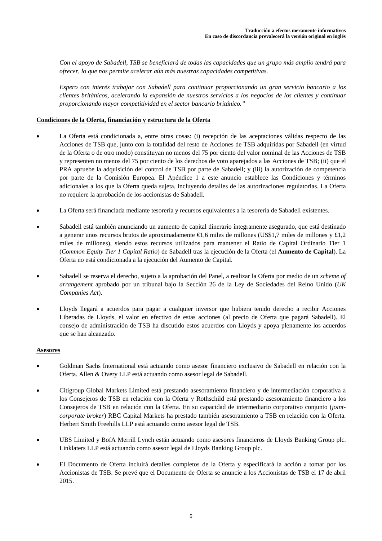*Con el apoyo de Sabadell, TSB se beneficiará de todas las capacidades que un grupo más amplio tendrá para ofrecer, lo que nos permite acelerar aún más nuestras capacidades competitivas.* 

*Espero con interés trabajar con Sabadell para continuar proporcionando un gran servicio bancario a los clientes británicos, acelerando la expansión de nuestros servicios a los negocios de los clientes y continuar proporcionando mayor competitividad en el sector bancario británico."*

# **Condiciones de la Oferta, financiación y estructura de la Oferta**

- La Oferta está condicionada a, entre otras cosas: (i) recepción de las aceptaciones válidas respecto de las Acciones de TSB que, junto con la totalidad del resto de Acciones de TSB adquiridas por Sabadell (en virtud de la Oferta o de otro modo) constituyan no menos del 75 por ciento del valor nominal de las Acciones de TSB y representen no menos del 75 por ciento de los derechos de voto aparejados a las Acciones de TSB; (ii) que el PRA apruebe la adquisición del control de TSB por parte de Sabadell; y (iii) la autorización de competencia por parte de la Comisión Europea. El Apéndice 1 a este anuncio establece las Condiciones y términos adicionales a los que la Oferta queda sujeta, incluyendo detalles de las autorizaciones regulatorias. La Oferta no requiere la aprobación de los accionistas de Sabadell.
- La Oferta será financiada mediante tesorería y recursos equivalentes a la tesorería de Sabadell existentes.
- Sabadell está también anunciando un aumento de capital dinerario íntegramente asegurado, que está destinado a generar unos recursos brutos de aproximadamente €1,6 miles de millones (US\$1,7 miles de millones y £1,2 miles de millones), siendo estos recursos utilizados para mantener el Ratio de Capital Ordinario Tier 1 (*Common Equity Tier 1 Capital Ratio*) de Sabadell tras la ejecución de la Oferta (el **Aumento de Capital**). La Oferta no está condicionada a la ejecución del Aumento de Capital.
- Sabadell se reserva el derecho, sujeto a la aprobación del Panel, a realizar la Oferta por medio de un *scheme of arrangement* aprobado por un tribunal bajo la Sección 26 de la Ley de Sociedades del Reino Unido (*UK Companies Act*).
- Lloyds llegará a acuerdos para pagar a cualquier inversor que hubiera tenido derecho a recibir Acciones Liberadas de Lloyds, el valor en efectivo de estas acciones (al precio de Oferta que pagará Sabadell). El consejo de administración de TSB ha discutido estos acuerdos con Lloyds y apoya plenamente los acuerdos que se han alcanzado.

## **Asesores**

- Goldman Sachs International está actuando como asesor financiero exclusivo de Sabadell en relación con la Oferta. Allen & Overy LLP está actuando como asesor legal de Sabadell.
- Citigroup Global Markets Limited está prestando asesoramiento financiero y de intermediación corporativa a los Consejeros de TSB en relación con la Oferta y Rothschild está prestando asesoramiento financiero a los Consejeros de TSB en relación con la Oferta. En su capacidad de intermediario corporativo conjunto (*jointcorporate broker*) RBC Capital Markets ha prestado también asesoramiento a TSB en relación con la Oferta. Herbert Smith Freehills LLP está actuando como asesor legal de TSB.
- UBS Limited y BofA Merrill Lynch están actuando como asesores financieros de Lloyds Banking Group plc. Linklaters LLP está actuando como asesor legal de Lloyds Banking Group plc.
- El Documento de Oferta incluirá detalles completos de la Oferta y especificará la acción a tomar por los Accionistas de TSB. Se prevé que el Documento de Oferta se anuncie a los Accionistas de TSB el 17 de abril 2015.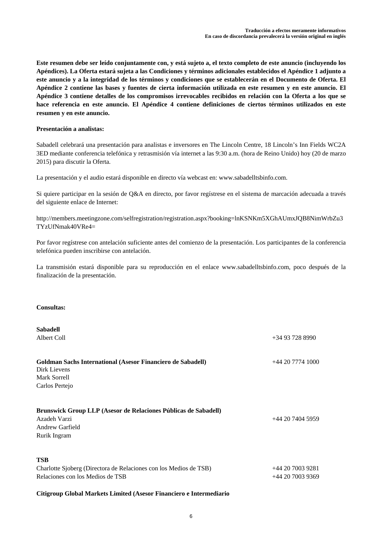**Este resumen debe ser leído conjuntamente con, y está sujeto a, el texto completo de este anuncio (incluyendo los Apéndices). La Oferta estará sujeta a las Condiciones y términos adicionales establecidos el Apéndice 1 adjunto a este anuncio y a la integridad de los términos y condiciones que se establecerán en el Documento de Oferta. El Apéndice 2 contiene las bases y fuentes de cierta información utilizada en este resumen y en este anuncio. El Apéndice 3 contiene detalles de los compromisos irrevocables recibidos en relación con la Oferta a los que se hace referencia en este anuncio. El Apéndice 4 contiene definiciones de ciertos términos utilizados en este resumen y en este anuncio.** 

## **Presentación a analistas:**

Sabadell celebrará una presentación para analistas e inversores en The Lincoln Centre, 18 Lincoln's Inn Fields WC2A 3ED mediante conferencia telefónica y retrasmisión vía internet a las 9:30 a.m. (hora de Reino Unido) hoy (20 de marzo 2015) para discutir la Oferta.

La presentación y el audio estará disponible en directo vía webcast en: www.sabadelltsbinfo.com.

Si quiere participar en la sesión de Q&A en directo, por favor regístrese en el sistema de marcación adecuada a través del siguiente enlace de Internet:

http://members.meetingzone.com/selfregistration/registration.aspx?booking=lnKSNKm5XGhAUmxJQB8NimWrbZu3 TYzUfNmak40VRe4=

Por favor regístrese con antelación suficiente antes del comienzo de la presentación. Los participantes de la conferencia telefónica pueden inscribirse con antelación.

La transmisión estará disponible para su reproducción en el enlace www.sabadelltsbinfo.com, poco después de la finalización de la presentación.

# **Consultas:**

| <b>Sabadell</b>                                                                                                           |                  |
|---------------------------------------------------------------------------------------------------------------------------|------------------|
| Albert Coll                                                                                                               | $+34937288990$   |
| <b>Goldman Sachs International (Asesor Financiero de Sabadell)</b><br>Dirk Lievens<br>Mark Sorrell                        | $+442077741000$  |
| Carlos Pertejo                                                                                                            |                  |
| Brunswick Group LLP (Asesor de Relaciones Públicas de Sabadell)<br>Azadeh Varzi<br><b>Andrew Garfield</b><br>Rurik Ingram | $+442074045959$  |
| <b>TSB</b><br>Charlotte Sjoberg (Directora de Relaciones con los Medios de TSB)                                           | $+442070039281$  |
| Relaciones con los Medios de TSB                                                                                          | +44 20 7003 9369 |
|                                                                                                                           |                  |

# **Citigroup Global Markets Limited (Asesor Financiero e Intermediario**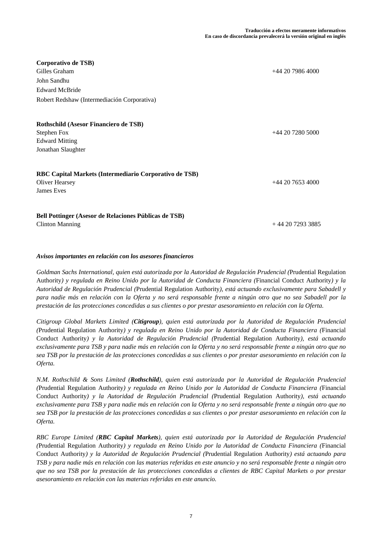| Corporativo de TSB)<br>Gilles Graham<br>John Sandhu<br><b>Edward McBride</b><br>Robert Redshaw (Intermediación Corporativa) | $+442079864000$    |
|-----------------------------------------------------------------------------------------------------------------------------|--------------------|
| Rothschild (Asesor Financiero de TSB)<br>Stephen Fox<br><b>Edward Mitting</b><br>Jonathan Slaughter                         | $+442072805000$    |
| RBC Capital Markets (Intermediario Corporativo de TSB)<br><b>Oliver Hearsey</b><br>James Eves                               | $+44$ 20 7653 4000 |
| Bell Pottinger (Asesor de Relaciones Públicas de TSB)<br><b>Clinton Manning</b>                                             | $+442072933885$    |

# *Avisos importantes en relación con los asesores financieros*

*Goldman Sachs International, quien está autorizada por la Autoridad de Regulación Prudencial (*Prudential Regulation Authority*) y regulada en Reino Unido por la Autoridad de Conducta Financiera (*Financial Conduct Authority*) y la Autoridad de Regulación Prudencial (*Prudential Regulation Authority*), está actuando exclusivamente para Sabadell y para nadie más en relación con la Oferta y no será responsable frente a ningún otro que no sea Sabadell por la prestación de las protecciones concedidas a sus clientes o por prestar asesoramiento en relación con la Oferta.* 

*Citigroup Global Markets Limited (Citigroup), quien está autorizada por la Autoridad de Regulación Prudencial (*Prudential Regulation Authority*) y regulada en Reino Unido por la Autoridad de Conducta Financiera (*Financial Conduct Authority*) y la Autoridad de Regulación Prudencial (*Prudential Regulation Authority*), está actuando exclusivamente para TSB y para nadie más en relación con la Oferta y no será responsable frente a ningún otro que no sea TSB por la prestación de las protecciones concedidas a sus clientes o por prestar asesoramiento en relación con la Oferta.* 

*N.M. Rothschild & Sons Limited (Rothschild), quien está autorizada por la Autoridad de Regulación Prudencial (*Prudential Regulation Authority*) y regulada en Reino Unido por la Autoridad de Conducta Financiera (*Financial Conduct Authority*) y la Autoridad de Regulación Prudencial (*Prudential Regulation Authority*), está actuando exclusivamente para TSB y para nadie más en relación con la Oferta y no será responsable frente a ningún otro que no sea TSB por la prestación de las protecciones concedidas a sus clientes o por prestar asesoramiento en relación con la Oferta.* 

*RBC Europe Limited (RBC Capital Markets), quien está autorizada por la Autoridad de Regulación Prudencial (*Prudential Regulation Authority*) y regulada en Reino Unido por la Autoridad de Conducta Financiera (*Financial Conduct Authority*) y la Autoridad de Regulación Prudencial (*Prudential Regulation Authority*) está actuando para TSB y para nadie más en relación con las materias referidas en este anuncio y no será responsable frente a ningún otro que no sea TSB por la prestación de las protecciones concedidas a clientes de RBC Capital Markets o por prestar asesoramiento en relación con las materias referidas en este anuncio.*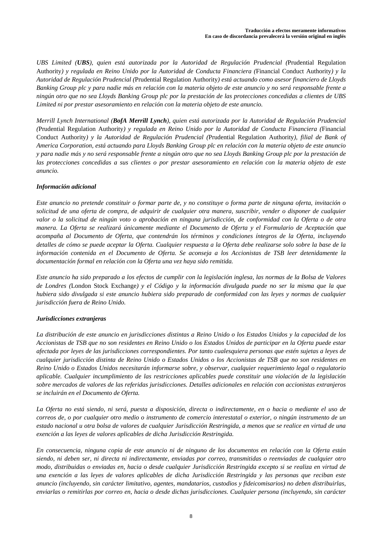*UBS Limited (UBS), quien está autorizada por la Autoridad de Regulación Prudencial (*Prudential Regulation Authority*) y regulada en Reino Unido por la Autoridad de Conducta Financiera (*Financial Conduct Authority*) y la Autoridad de Regulación Prudencial (*Prudential Regulation Authority*) está actuando como asesor financiero de Lloyds Banking Group plc y para nadie más en relación con la materia objeto de este anuncio y no será responsable frente a ningún otro que no sea Lloyds Banking Group plc por la prestación de las protecciones concedidas a clientes de UBS Limited ni por prestar asesoramiento en relación con la materia objeto de este anuncio.* 

*Merrill Lynch International (BofA Merrill Lynch), quien está autorizada por la Autoridad de Regulación Prudencial (*Prudential Regulation Authority*) y regulada en Reino Unido por la Autoridad de Conducta Financiera (*Financial Conduct Authority*) y la Autoridad de Regulación Prudencial (*Prudential Regulation Authority*), filial de Bank of America Corporation, está actuando para Lloyds Banking Group plc en relación con la materia objeto de este anuncio y para nadie más y no será responsable frente a ningún otro que no sea Lloyds Banking Group plc por la prestación de las protecciones concedidas a sus clientes o por prestar asesoramiento en relación con la materia objeto de este anuncio.* 

# *Información adicional*

*Este anuncio no pretende constituir o formar parte de, y no constituye o forma parte de ninguna oferta, invitación o solicitud de una oferta de compra, de adquirir de cualquier otra manera, suscribir, vender o disponer de cualquier valor o la solicitud de ningún voto o aprobación en ninguna jurisdicción, de conformidad con la Oferta o de otra manera. La Oferta se realizará únicamente mediante el Documento de Oferta y el Formulario de Aceptación que acompaña al Documento de Oferta, que contendrán los términos y condiciones íntegros de la Oferta, incluyendo detalles de cómo se puede aceptar la Oferta. Cualquier respuesta a la Oferta debe realizarse solo sobre la base de la información contenida en el Documento de Oferta. Se aconseja a los Accionistas de TSB leer detenidamente la documentación formal en relación con la Oferta una vez haya sido remitida.* 

*Este anuncio ha sido preparado a los efectos de cumplir con la legislación inglesa, las normas de la Bolsa de Valores de Londres (*London Stock Exchange*) y el Código y la información divulgada puede no ser la misma que la que hubiera sido divulgada si este anuncio hubiera sido preparado de conformidad con las leyes y normas de cualquier jurisdicción fuera de Reino Unido.* 

# *Jurisdicciones extranjeras*

*La distribución de este anuncio en jurisdicciones distintas a Reino Unido o los Estados Unidos y la capacidad de los Accionistas de TSB que no son residentes en Reino Unido o los Estados Unidos de participar en la Oferta puede estar afectada por leyes de las jurisdicciones correspondientes. Por tanto cualesquiera personas que estén sujetas a leyes de cualquier jurisdicción distinta de Reino Unido o Estados Unidos o los Accionistas de TSB que no son residentes en Reino Unido o Estados Unidos necesitarán informarse sobre, y observar, cualquier requerimiento legal o regulatorio aplicable. Cualquier incumplimiento de las restricciones aplicables puede constituir una violación de la legislación sobre mercados de valores de las referidas jurisdicciones. Detalles adicionales en relación con accionistas extranjeros se incluirán en el Documento de Oferta.* 

*La Oferta no está siendo, ni será, puesta a disposición, directa o indirectamente, en o hacia o mediante el uso de correos de, o por cualquier otro medio o instrumento de comercio interestatal o exterior, o ningún instrumento de un estado nacional u otra bolsa de valores de cualquier Jurisdicción Restringida, a menos que se realice en virtud de una exención a las leyes de valores aplicables de dicha Jurisdicción Restringida.* 

*En consecuencia, ninguna copia de este anuncio ni de ninguno de los documentos en relación con la Oferta están siendo, ni deben ser, ni directa ni indirectamente, enviadas por correo, transmitidas o reenviadas de cualquier otro modo, distribuidas o enviadas en, hacia o desde cualquier Jurisdicción Restringida excepto si se realiza en virtud de una exención a las leyes de valores aplicables de dicha Jurisdicción Restringida y las personas que reciban este anuncio (incluyendo, sin carácter limitativo, agentes, mandatarios, custodios y fideicomisarios) no deben distribuirlas, enviarlas o remitirlas por correo en, hacia o desde dichas jurisdicciones. Cualquier persona (incluyendo, sin carácter*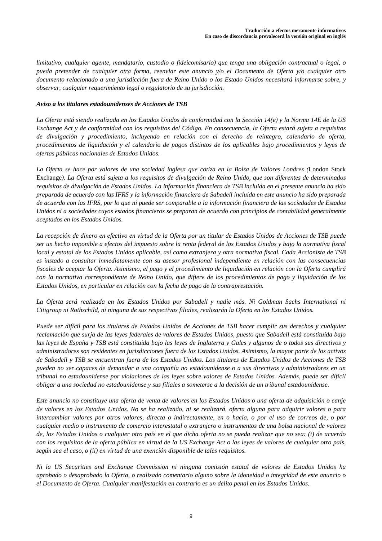*limitativo, cualquier agente, mandatario, custodio o fideicomisario) que tenga una obligación contractual o legal, o pueda pretender de cualquier otra forma, reenviar este anuncio y/o el Documento de Oferta y/o cualquier otro documento relacionado a una jurisdicción fuera de Reino Unido o los Estado Unidos necesitará informarse sobre, y observar, cualquier requerimiento legal o regulatorio de su jurisdicción.* 

# *Aviso a los titulares estadounidenses de Acciones de TSB*

*La Oferta está siendo realizada en los Estados Unidos de conformidad con la Sección 14(e) y la Norma 14E de la US Exchange Act y de conformidad con los requisitos del Código. En consecuencia, la Oferta estará sujeta a requisitos de divulgación y procedimiento, incluyendo en relación con el derecho de reintegro, calendario de oferta, procedimientos de liquidación y el calendario de pagos distintos de los aplicables bajo procedimientos y leyes de ofertas públicas nacionales de Estados Unidos.* 

*La Oferta se hace por valores de una sociedad inglesa que cotiza en la Bolsa de Valores Londres (*London Stock Exchange*). La Oferta está sujeta a los requisitos de divulgación de Reino Unido, que son diferentes de determinados requisitos de divulgación de Estados Unidos. La información financiera de TSB incluida en el presente anuncio ha sido preparada de acuerdo con las IFRS y la información financiera de Sabadell incluida en este anuncio ha sido preparada de acuerdo con las IFRS, por lo que ni puede ser comparable a la información financiera de las sociedades de Estados Unidos ni a sociedades cuyos estados financieros se preparan de acuerdo con principios de contabilidad generalmente aceptados en los Estados Unidos.* 

*La recepción de dinero en efectivo en virtud de la Oferta por un titular de Estados Unidos de Acciones de TSB puede ser un hecho imponible a efectos del impuesto sobre la renta federal de los Estados Unidos y bajo la normativa fiscal local y estatal de los Estados Unidos aplicable, así como extranjera y otra normativa fiscal. Cada Accionista de TSB es instado a consultar inmediatamente con su asesor profesional independiente en relación con las consecuencias fiscales de aceptar la Oferta. Asimismo, el pago y el procedimiento de liquidación en relación con la Oferta cumplirá con la normativa correspondiente de Reino Unido, que difiere de los procedimientos de pago y liquidación de los Estados Unidos, en particular en relación con la fecha de pago de la contraprestación.* 

*La Oferta será realizada en los Estados Unidos por Sabadell y nadie más. Ni Goldman Sachs International ni Citigroup ni Rothschild, ni ninguna de sus respectivas filiales, realizarán la Oferta en los Estados Unidos.* 

*Puede ser difícil para los titulares de Estados Unidos de Acciones de TSB hacer cumplir sus derechos y cualquier reclamación que surja de las leyes federales de valores de Estados Unidos, puesto que Sabadell está constituida bajo las leyes de España y TSB está constituida bajo las leyes de Inglaterra y Gales y algunos de o todos sus directivos y administradores son residentes en jurisdicciones fuera de los Estados Unidos. Asimismo, la mayor parte de los activos de Sabadell y TSB se encuentran fuera de los Estados Unidos. Los titulares de Estados Unidos de Acciones de TSB pueden no ser capaces de demandar a una compañía no estadounidense o a sus directivos y administradores en un tribunal no estadounidense por violaciones de las leyes sobre valores de Estados Unidos. Además, puede ser difícil obligar a una sociedad no estadounidense y sus filiales a someterse a la decisión de un tribunal estadounidense.* 

*Este anuncio no constituye una oferta de venta de valores en los Estados Unidos o una oferta de adquisición o canje de valores en los Estados Unidos. No se ha realizado, ni se realizará, oferta alguna para adquirir valores o para intercambiar valores por otros valores, directa o indirectamente, en o hacia, o por el uso de correos de, o por cualquier medio o instrumento de comercio interestatal o extranjero o instrumentos de una bolsa nacional de valores de, los Estados Unidos o cualquier otro país en el que dicha oferta no se pueda realizar que no sea: (i) de acuerdo con los requisitos de la oferta pública en virtud de la US Exchange Act o las leyes de valores de cualquier otro país, según sea el caso, o (ii) en virtud de una exención disponible de tales requisitos.* 

*Ni la US Securities and Exchange Commission ni ninguna comisión estatal de valores de Estados Unidos ha aprobado o desaprobado la Oferta, o realizado comentario alguno sobre la idoneidad o integridad de este anuncio o el Documento de Oferta. Cualquier manifestación en contrario es un delito penal en los Estados Unidos.*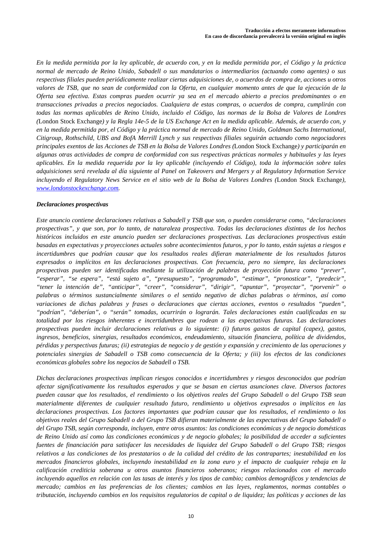*En la medida permitida por la ley aplicable, de acuerdo con, y en la medida permitida por, el Código y la práctica normal de mercado de Reino Unido, Sabadell o sus mandatarios o intermediarios (actuando como agentes) o sus respectivas filiales pueden periódicamente realizar ciertas adquisiciones de, o acuerdos de compra de, acciones u otros valores de TSB, que no sean de conformidad con la Oferta, en cualquier momento antes de que la ejecución de la Oferta sea efectiva. Estas compras pueden ocurrir ya sea en el mercado abierto a precios predominantes o en transacciones privadas a precios negociados. Cualquiera de estas compras, o acuerdos de compra, cumplirán con todas las normas aplicables de Reino Unido, incluido el Código, las normas de la Bolsa de Valores de Londres (*London Stock Exchange*) y la Regla 14e-5 de la US Exchange Act en la medida aplicable. Además, de acuerdo con, y en la medida permitida por, el Código y la práctica normal de mercado de Reino Unido, Goldman Sachs International, Citigroup, Rothschild, UBS and BofA Merrill Lynch y sus respectivas filiales seguirán actuando como negociadores principales exentos de las Acciones de TSB en la Bolsa de Valores Londres (*London Stock Exchange*) y participarán en algunas otras actividades de compra de conformidad con sus respectivas prácticas normales y habituales y las leyes aplicables. En la medida requerida por la ley aplicable (incluyendo el Código), toda la información sobre tales adquisiciones será revelada al día siguiente al Panel on Takeovers and Mergers y al Regulatory Information Service incluyendo el Regulatory News Service en el sitio web de la Bolsa de Valores Londres (*London Stock Exchange*), www.londonstockexchange.com.* 

# *Declaraciones prospectivas*

*Este anuncio contiene declaraciones relativas a Sabadell y TSB que son, o pueden considerarse como, "declaraciones prospectivas", y que son, por lo tanto, de naturaleza prospectiva. Todas las declaraciones distintas de los hechos históricos incluidos en este anuncio pueden ser declaraciones prospectivas. Las declaraciones prospectivas están basadas en expectativas y proyecciones actuales sobre acontecimientos futuros, y por lo tanto, están sujetas a riesgos e incertidumbres que podrían causar que los resultados reales difieran materialmente de los resultados futuros expresados o implícitos en las declaraciones prospectivas. Con frecuencia, pero no siempre, las declaraciones prospectivas pueden ser identificadas mediante la utilización de palabras de proyección futura como "prever", "esperar", "se espera", "está sujeto a", "presupuesto", "programado", "estimar", "pronosticar", "predecir", "tener la intención de", "anticipar", "creer", "considerar", "dirigir", "apuntar", "proyectar", "porvenir" o palabras o términos sustancialmente similares o el sentido negativo de dichas palabras o términos, así como variaciones de dichas palabras y frases o declaraciones que ciertas acciones, eventos o resultados "pueden", "podrían", "deberían", o "serán" tomadas, ocurrirán o lograrán. Tales declaraciones están cualificadas en su totalidad por los riesgos inherentes e incertidumbres que rodean a las expectativas futuras. Las declaraciones prospectivas pueden incluir declaraciones relativas a lo siguiente: (i) futuros gastos de capital (capex), gastos, ingresos, beneficios, sinergias, resultados económicos, endeudamiento, situación financiera, política de dividendos, pérdidas y perspectivas futuras; (ii) estrategias de negocio y de gestión y expansión y crecimiento de las operaciones y potenciales sinergias de Sabadell o TSB como consecuencia de la Oferta; y (iii) los efectos de las condiciones económicas globales sobre los negocios de Sabadell o TSB.* 

*Dichas declaraciones prospectivas implican riesgos conocidos e incertidumbres y riesgos desconocidos que podrían afectar significativamente los resultados esperados y que se basan en ciertas asunciones clave. Diversos factores pueden causar que los resultados, el rendimiento o los objetivos reales del Grupo Sabadell o del Grupo TSB sean materialmente diferentes de cualquier resultado futuro, rendimiento u objetivos expresados o implícitos en las declaraciones prospectivas. Los factores importantes que podrían causar que los resultados, el rendimiento o los objetivos reales del Grupo Sabadell o del Grupo TSB difieran materialmente de las expectativas del Grupo Sabadell o del Grupo TSB, según corresponda, incluyen, entre otros asuntos: las condiciones económicas y de negocio domésticas de Reino Unido así como las condiciones económicas y de negocio globales; la posibilidad de acceder a suficientes fuentes de financiación para satisfacer las necesidades de liquidez del Grupo Sabadell o del Grupo TSB; riesgos relativos a las condiciones de los prestatarios o de la calidad del crédito de las contrapartes; inestabilidad en los mercados financieros globales, incluyendo inestabilidad en la zona euro y el impacto de cualquier rebaja en la calificación crediticia soberana u otros asuntos financieros soberanos; riesgos relacionados con el mercado incluyendo aquellos en relación con las tasas de interés y los tipos de cambio; cambios demográficos y tendencias de mercado; cambios en las preferencias de los clientes; cambios en las leyes, reglamentos, normas contables o tributación, incluyendo cambios en los requisitos regulatorios de capital o de liquidez; las políticas y acciones de las*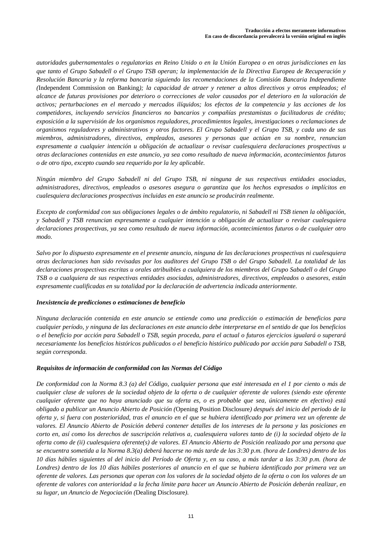*autoridades gubernamentales o regulatorias en Reino Unido o en la Unión Europea o en otras jurisdicciones en las que tanto el Grupo Sabadell o el Grupo TSB operan; la implementación de la Directiva Europea de Recuperación y Resolución Bancaria y la reforma bancaria siguiendo las recomendaciones de la Comisión Bancaria Independiente (*Independent Commission on Banking*); la capacidad de atraer y retener a altos directivos y otros empleados; el alcance de futuras provisiones por deterioro o correcciones de valor causados por el deterioro en la valoración de activos; perturbaciones en el mercado y mercados ilíquidos; los efectos de la competencia y las acciones de los competidores, incluyendo servicios financieros no bancarios y compañías prestamistas o facilitadoras de crédito; exposición a la supervisión de los organismos reguladores, procedimientos legales, investigaciones o reclamaciones de organismos reguladores y administrativos y otros factores. El Grupo Sabadell y el Grupo TSB, y cada uno de sus miembros, administradores, directivos, empleados, asesores y personas que actúan en su nombre, renuncian expresamente a cualquier intención u obligación de actualizar o revisar cualesquiera declaraciones prospectivas u otras declaraciones contenidas en este anuncio, ya sea como resultado de nueva información, acontecimientos futuros o de otro tipo, excepto cuando sea requerido por la ley aplicable.* 

*Ningún miembro del Grupo Sabadell ni del Grupo TSB, ni ninguna de sus respectivas entidades asociadas, administradores, directivos, empleados o asesores asegura o garantiza que los hechos expresados o implícitos en cualesquiera declaraciones prospectivas incluidas en este anuncio se producirán realmente.* 

*Excepto de conformidad con sus obligaciones legales o de ámbito regulatorio, ni Sabadell ni TSB tienen la obligación, y Sabadell y TSB renuncian expresamente a cualquier intención u obligación de actualizar o revisar cualesquiera declaraciones prospectivas, ya sea como resultado de nueva información, acontecimientos futuros o de cualquier otro modo.* 

*Salvo por lo dispuesto expresamente en el presente anuncio, ninguna de las declaraciones prospectivas ni cualesquiera otras declaraciones han sido revisadas por los auditores del Grupo TSB o del Grupo Sabadell. La totalidad de las declaraciones prospectivas escritas u orales atribuibles a cualquiera de los miembros del Grupo Sabadell o del Grupo TSB o a cualquiera de sus respectivas entidades asociadas, administradores, directivos, empleados o asesores, están expresamente cualificadas en su totalidad por la declaración de advertencia indicada anteriormente.* 

# *Inexistencia de predicciones o estimaciones de beneficio*

*Ninguna declaración contenida en este anuncio se entiende como una predicción o estimación de beneficios para cualquier período, y ninguna de las declaraciones en este anuncio debe interpretarse en el sentido de que los beneficios o el beneficio por acción para Sabadell o TSB, según proceda, para el actual o futuros ejercicios igualará o superará necesariamente los beneficios históricos publicados o el beneficio histórico publicado por acción para Sabadell o TSB, según corresponda.* 

# *Requisitos de información de conformidad con las Normas del Código*

*De conformidad con la Norma 8.3 (a) del Código, cualquier persona que esté interesada en el 1 por ciento o más de cualquier clase de valores de la sociedad objeto de la oferta o de cualquier oferente de valores (siendo este oferente cualquier oferente que no haya anunciado que su oferta es, o es probable que sea, únicamente en efectivo) está obligado a publicar un Anuncio Abierto de Posición (*Opening Position Disclosure*) después del inicio del periodo de la oferta y, si fuera con posterioridad, tras el anuncio en el que se hubiera identificado por primera vez un oferente de valores. El Anuncio Abierto de Posición deberá contener detalles de los intereses de la persona y las posiciones en corto en, así como los derechos de suscripción relativos a, cualesquiera valores tanto de (i) la sociedad objeto de la oferta como de (ii) cualesquiera oferente(s) de valores. El Anuncio Abierto de Posición realizado por una persona que se encuentra sometida a la Norma 8.3(a) deberá hacerse no más tarde de las 3:30 p.m. (hora de Londres) dentro de los 10 días hábiles siguientes al del inicio del Período de Oferta y, en su caso, a más tardar a las 3:30 p.m. (hora de Londres) dentro de los 10 días hábiles posteriores al anuncio en el que se hubiera identificado por primera vez un oferente de valores. Las personas que operan con los valores de la sociedad objeto de la oferta o con los valores de un oferente de valores con anterioridad a la fecha límite para hacer un Anuncio Abierto de Posición deberán realizar, en su lugar, un Anuncio de Negociación (*Dealing Disclosure*).*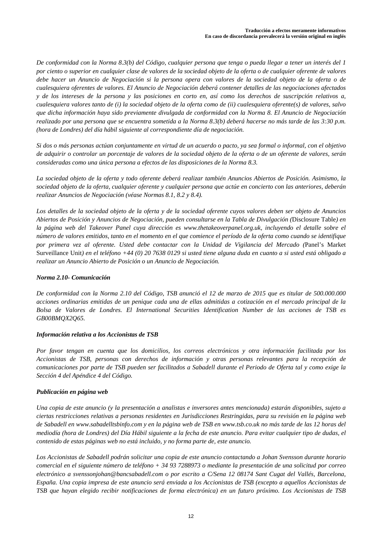*De conformidad con la Norma 8.3(b) del Código, cualquier persona que tenga o pueda llegar a tener un interés del 1 por ciento o superior en cualquier clase de valores de la sociedad objeto de la oferta o de cualquier oferente de valores debe hacer un Anuncio de Negociación si la persona opera con valores de la sociedad objeto de la oferta o de cualesquiera oferentes de valores. El Anuncio de Negociación deberá contener detalles de las negociaciones afectados y de los intereses de la persona y las posiciones en corto en, así como los derechos de suscripción relativos a, cualesquiera valores tanto de (i) la sociedad objeto de la oferta como de (ii) cualesquiera oferente(s) de valores, salvo que dicha información haya sido previamente divulgada de conformidad con la Norma 8. El Anuncio de Negociación realizado por una persona que se encuentra sometida a la Norma 8.3(b) deberá hacerse no más tarde de las 3:30 p.m. (hora de Londres) del día hábil siguiente al correspondiente día de negociación.* 

*Si dos o más personas actúan conjuntamente en virtud de un acuerdo o pacto, ya sea formal o informal, con el objetivo de adquirir o controlar un porcentaje de valores de la sociedad objeto de la oferta o de un oferente de valores, serán consideradas como una única persona a efectos de las disposiciones de la Norma 8.3.* 

*La sociedad objeto de la oferta y todo oferente deberá realizar también Anuncios Abiertos de Posición. Asimismo, la sociedad objeto de la oferta, cualquier oferente y cualquier persona que actúe en concierto con las anteriores, deberán realizar Anuncios de Negociación (véase Normas 8.1, 8.2 y 8.4).* 

*Los detalles de la sociedad objeto de la oferta y de la sociedad oferente cuyos valores deben ser objeto de Anuncios Abiertos de Posición y Anuncios de Negociación, pueden consultarse en la Tabla de Divulgación (*Disclosure Table*) en*  la página web del Takeover Panel cuya dirección es www.thetakeoverpanel.org.uk, incluyendo el detalle sobre el *número de valores emitidos, tanto en el momento en el que comience el período de la oferta como cuando se identifique por primera vez al oferente. Usted debe contactar con la Unidad de Vigilancia del Mercado (*Panel's Market Surveillance Unit*) en el teléfono +44 (0) 20 7638 0129 si usted tiene alguna duda en cuanto a si usted está obligado a realizar un Anuncio Abierto de Posición o un Anuncio de Negociación.* 

# *Norma 2.10- Comunicación*

*De conformidad con la Norma 2.10 del Código, TSB anunció el 12 de marzo de 2015 que es titular de 500.000.000 acciones ordinarias emitidas de un penique cada una de ellas admitidas a cotización en el mercado principal de la Bolsa de Valores de Londres. El International Securities Identification Number de las acciones de TSB es GB00BMQX2Q65.*

# *Información relativa a los Accionistas de TSB*

*Por favor tengan en cuenta que los domicilios, los correos electrónicos y otra información facilitada por los Accionistas de TSB, personas con derechos de información y otras personas relevantes para la recepción de comunicaciones por parte de TSB pueden ser facilitados a Sabadell durante el Periodo de Oferta tal y como exige la Sección 4 del Apéndice 4 del Código.*

# *Publicación en página web*

*Una copia de este anuncio (y la presentación a analistas e inversores antes mencionada) estarán disponibles, sujeto a ciertas restricciones relativas a personas residentes en Jurisdicciones Restringidas, para su revisión en la página web de Sabadell en www.sabadelltsbinfo.com y en la página web de TSB en www.tsb.co.uk no más tarde de las 12 horas del mediodía (hora de Londres) del Día Hábil siguiente a la fecha de este anuncio. Para evitar cualquier tipo de dudas, el contenido de estas páginas web no está incluido, y no forma parte de, este anuncio.* 

*Los Accionistas de Sabadell podrán solicitar una copia de este anuncio contactando a Johan Svensson durante horario comercial en el siguiente número de teléfono + 34 93 7288973 o mediante la presentación de una solicitud por correo electrónico a svenssonjohan@bancsabadell.com o por escrito a C/Sena 12 08174 Sant Cugat del Vallés, Barcelona, España. Una copia impresa de este anuncio será enviada a los Accionistas de TSB (excepto a aquellos Accionistas de TSB que hayan elegido recibir notificaciones de forma electrónica) en un futuro próximo. Los Accionistas de TSB*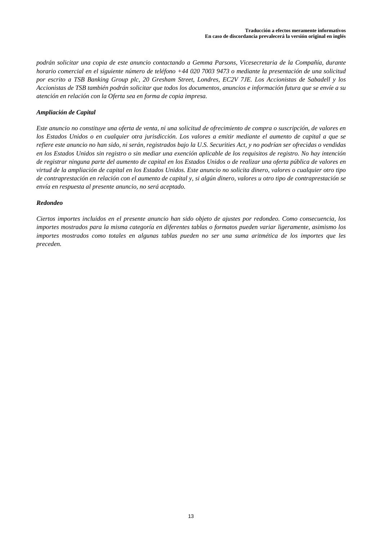*podrán solicitar una copia de este anuncio contactando a Gemma Parsons, Vicesecretaria de la Compañía, durante horario comercial en el siguiente número de teléfono +44 020 7003 9473 o mediante la presentación de una solicitud por escrito a TSB Banking Group plc, 20 Gresham Street, Londres, EC2V 7JE. Los Accionistas de Sabadell y los Accionistas de TSB también podrán solicitar que todos los documentos, anuncios e información futura que se envíe a su atención en relación con la Oferta sea en forma de copia impresa.* 

# *Ampliación de Capital*

*Este anuncio no constituye una oferta de venta, ni una solicitud de ofrecimiento de compra o suscripción, de valores en los Estados Unidos o en cualquier otra jurisdicción. Los valores a emitir mediante el aumento de capital a que se refiere este anuncio no han sido, ni serán, registrados bajo la U.S. Securities Act, y no podrían ser ofrecidas o vendidas en los Estados Unidos sin registro o sin mediar una exención aplicable de los requisitos de registro. No hay intención de registrar ninguna parte del aumento de capital en los Estados Unidos o de realizar una oferta pública de valores en virtud de la ampliación de capital en los Estados Unidos. Este anuncio no solicita dinero, valores o cualquier otro tipo de contraprestación en relación con el aumento de capital y, si algún dinero, valores u otro tipo de contraprestación se envía en respuesta al presente anuncio, no será aceptado.* 

# *Redondeo*

*Ciertos importes incluidos en el presente anuncio han sido objeto de ajustes por redondeo. Como consecuencia, los importes mostrados para la misma categoría en diferentes tablas o formatos pueden variar ligeramente, asimismo los importes mostrados como totales en algunas tablas pueden no ser una suma aritmética de los importes que les preceden.*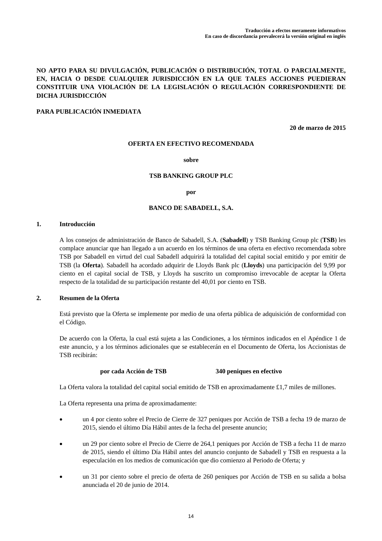# **NO APTO PARA SU DIVULGACIÓN, PUBLICACIÓN O DISTRIBUCIÓN, TOTAL O PARCIALMENTE, EN, HACIA O DESDE CUALQUIER JURISDICCIÓN EN LA QUE TALES ACCIONES PUEDIERAN CONSTITUIR UNA VIOLACIÓN DE LA LEGISLACIÓN O REGULACIÓN CORRESPONDIENTE DE DICHA JURISDICCIÓN**

# **PARA PUBLICACIÓN INMEDIATA**

**20 de marzo de 2015**

### **OFERTA EN EFECTIVO RECOMENDADA**

#### **sobre**

## **TSB BANKING GROUP PLC**

#### **por**

### **BANCO DE SABADELL, S.A.**

# **1. Introducción**

A los consejos de administración de Banco de Sabadell, S.A. (**Sabadell**) y TSB Banking Group plc (**TSB**) les complace anunciar que han llegado a un acuerdo en los términos de una oferta en efectivo recomendada sobre TSB por Sabadell en virtud del cual Sabadell adquirirá la totalidad del capital social emitido y por emitir de TSB (la **Oferta**). Sabadell ha acordado adquirir de Lloyds Bank plc (**Lloyds**) una participación del 9,99 por ciento en el capital social de TSB, y Lloyds ha suscrito un compromiso irrevocable de aceptar la Oferta respecto de la totalidad de su participación restante del 40,01 por ciento en TSB.

#### **2. Resumen de la Oferta**

Está previsto que la Oferta se implemente por medio de una oferta pública de adquisición de conformidad con el Código.

De acuerdo con la Oferta, la cual está sujeta a las Condiciones, a los términos indicados en el Apéndice 1 de este anuncio, y a los términos adicionales que se establecerán en el Documento de Oferta, los Accionistas de TSB recibirán:

#### **por cada Acción de TSB 340 peniques en efectivo**

La Oferta valora la totalidad del capital social emitido de TSB en aproximadamente £1,7 miles de millones.

La Oferta representa una prima de aproximadamente:

- un 4 por ciento sobre el Precio de Cierre de 327 peniques por Acción de TSB a fecha 19 de marzo de 2015, siendo el último Día Hábil antes de la fecha del presente anuncio;
- un 29 por ciento sobre el Precio de Cierre de 264,1 peniques por Acción de TSB a fecha 11 de marzo de 2015, siendo el último Día Hábil antes del anuncio conjunto de Sabadell y TSB en respuesta a la especulación en los medios de comunicación que dio comienzo al Periodo de Oferta; y
- un 31 por ciento sobre el precio de oferta de 260 peniques por Acción de TSB en su salida a bolsa anunciada el 20 de junio de 2014.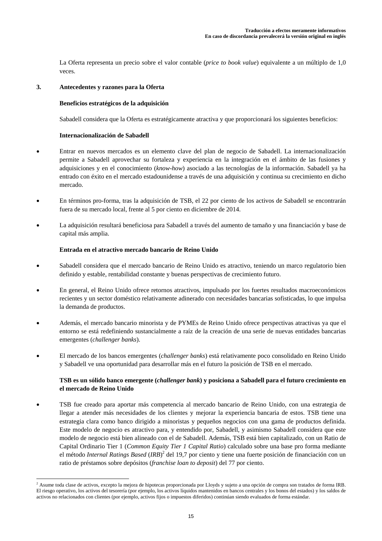La Oferta representa un precio sobre el valor contable (*price to book value*) equivalente a un múltiplo de 1,0 veces.

## **3. Antecedentes y razones para la Oferta**

# **Beneficios estratégicos de la adquisición**

Sabadell considera que la Oferta es estratégicamente atractiva y que proporcionará los siguientes beneficios:

# **Internacionalización de Sabadell**

- Entrar en nuevos mercados es un elemento clave del plan de negocio de Sabadell. La internacionalización permite a Sabadell aprovechar su fortaleza y experiencia en la integración en el ámbito de las fusiones y adquisiciones y en el conocimiento (*know-how*) asociado a las tecnologías de la información. Sabadell ya ha entrado con éxito en el mercado estadounidense a través de una adquisición y continua su crecimiento en dicho mercado.
- En términos pro-forma, tras la adquisición de TSB, el 22 por ciento de los activos de Sabadell se encontrarán fuera de su mercado local, frente al 5 por ciento en diciembre de 2014.
- La adquisición resultará beneficiosa para Sabadell a través del aumento de tamaño y una financiación y base de capital más amplia.

# **Entrada en el atractivo mercado bancario de Reino Unido**

- Sabadell considera que el mercado bancario de Reino Unido es atractivo, teniendo un marco regulatorio bien definido y estable, rentabilidad constante y buenas perspectivas de crecimiento futuro.
- En general, el Reino Unido ofrece retornos atractivos, impulsado por los fuertes resultados macroeconómicos recientes y un sector doméstico relativamente adinerado con necesidades bancarias sofisticadas, lo que impulsa la demanda de productos.
- Además, el mercado bancario minorista y de PYMEs de Reino Unido ofrece perspectivas atractivas ya que el entorno se está redefiniendo sustancialmente a raíz de la creación de una serie de nuevas entidades bancarias emergentes (*challenger banks*).
- El mercado de los bancos emergentes (*challenger banks*) está relativamente poco consolidado en Reino Unido y Sabadell ve una oportunidad para desarrollar más en el futuro la posición de TSB en el mercado.

# **TSB es un sólido banco emergente (***challenger bank***) y posiciona a Sabadell para el futuro crecimiento en el mercado de Reino Unido**

 TSB fue creado para aportar más competencia al mercado bancario de Reino Unido, con una estrategia de llegar a atender más necesidades de los clientes y mejorar la experiencia bancaria de estos. TSB tiene una estrategia clara como banco dirigido a minoristas y pequeños negocios con una gama de productos definida. Este modelo de negocio es atractivo para, y entendido por, Sabadell, y asimismo Sabadell considera que este modelo de negocio está bien alineado con el de Sabadell. Además, TSB está bien capitalizado, con un Ratio de Capital Ordinario Tier 1 (*Common Equity Tier 1 Capital Ratio*) calculado sobre una base pro forma mediante el método *Internal Ratings Based* (*IRB*)<sup>2</sup> del 19,7 por ciento y tiene una fuerte posición de financiación con un ratio de préstamos sobre depósitos (*franchise loan to deposit*) del 77 por ciento.

 2 Asume toda clase de activos, excepto la mejora de hipotecas proporcionada por Lloyds y sujeto a una opción de compra son tratados de forma IRB. El riesgo operativo, los activos del tesorería (por ejemplo, los activos líquidos mantenidos en bancos centrales y los bonos del estados) y los saldos de activos no relacionados con clientes (por ejemplo, activos fijos o impuestos diferidos) continúan siendo evaluados de forma estándar.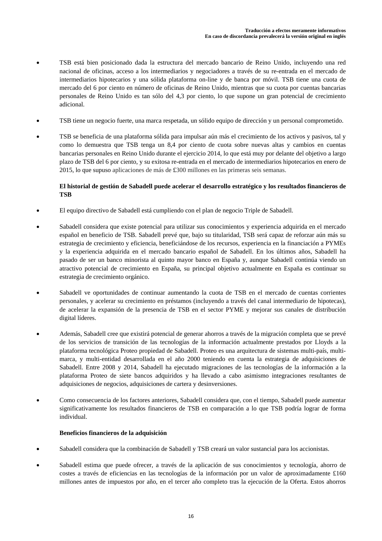- TSB está bien posicionado dada la estructura del mercado bancario de Reino Unido, incluyendo una red nacional de oficinas, acceso a los intermediarios y negociadores a través de su re-entrada en el mercado de intermediarios hipotecarios y una sólida plataforma on-line y de banca por móvil. TSB tiene una cuota de mercado del 6 por ciento en número de oficinas de Reino Unido, mientras que su cuota por cuentas bancarias personales de Reino Unido es tan sólo del 4,3 por ciento, lo que supone un gran potencial de crecimiento adicional.
- TSB tiene un negocio fuerte, una marca respetada, un sólido equipo de dirección y un personal comprometido.
- TSB se beneficia de una plataforma sólida para impulsar aún más el crecimiento de los activos y pasivos, tal y como lo demuestra que TSB tenga un 8,4 por ciento de cuota sobre nuevas altas y cambios en cuentas bancarias personales en Reino Unido durante el ejercicio 2014, lo que está muy por delante del objetivo a largo plazo de TSB del 6 por ciento, y su exitosa re-entrada en el mercado de intermediarios hipotecarios en enero de 2015, lo que supuso aplicaciones de más de £300 millones en las primeras seis semanas.

# **El historial de gestión de Sabadell puede acelerar el desarrollo estratégico y los resultados financieros de TSB**

- El equipo directivo de Sabadell está cumpliendo con el plan de negocio Triple de Sabadell.
- Sabadell considera que existe potencial para utilizar sus conocimientos y experiencia adquirida en el mercado español en beneficio de TSB. Sabadell prevé que, bajo su titularidad, TSB será capaz de reforzar aún más su estrategia de crecimiento y eficiencia, beneficiándose de los recursos, experiencia en la financiación a PYMEs y la experiencia adquirida en el mercado bancario español de Sabadell. En los últimos años, Sabadell ha pasado de ser un banco minorista al quinto mayor banco en España y, aunque Sabadell continúa viendo un atractivo potencial de crecimiento en España, su principal objetivo actualmente en España es continuar su estrategia de crecimiento orgánico.
- Sabadell ve oportunidades de continuar aumentando la cuota de TSB en el mercado de cuentas corrientes personales, y acelerar su crecimiento en préstamos (incluyendo a través del canal intermediario de hipotecas), de acelerar la expansión de la presencia de TSB en el sector PYME y mejorar sus canales de distribución digital líderes.
- Además, Sabadell cree que existirá potencial de generar ahorros a través de la migración completa que se prevé de los servicios de transición de las tecnologías de la información actualmente prestados por Lloyds a la plataforma tecnológica Proteo propiedad de Sabadell. Proteo es una arquitectura de sistemas multi-país, multimarca, y multi-entidad desarrollada en el año 2000 teniendo en cuenta la estrategia de adquisiciones de Sabadell. Entre 2008 y 2014, Sabadell ha ejecutado migraciones de las tecnologías de la información a la plataforma Proteo de siete bancos adquiridos y ha llevado a cabo asimismo integraciones resultantes de adquisiciones de negocios, adquisiciones de cartera y desinversiones.
- Como consecuencia de los factores anteriores, Sabadell considera que, con el tiempo, Sabadell puede aumentar significativamente los resultados financieros de TSB en comparación a lo que TSB podría lograr de forma individual.

# **Beneficios financieros de la adquisición**

- Sabadell considera que la combinación de Sabadell y TSB creará un valor sustancial para los accionistas.
- Sabadell estima que puede ofrecer, a través de la aplicación de sus conocimientos y tecnología, ahorro de costes a través de eficiencias en las tecnologías de la información por un valor de aproximadamente £160 millones antes de impuestos por año, en el tercer año completo tras la ejecución de la Oferta. Estos ahorros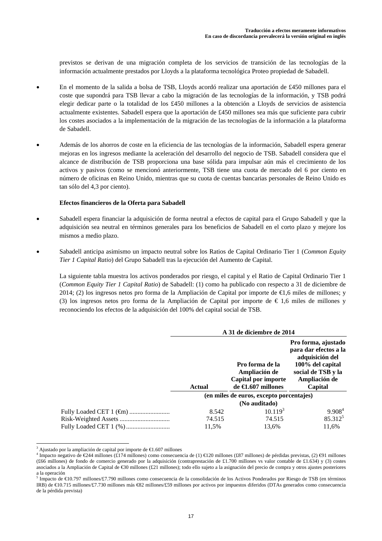previstos se derivan de una migración completa de los servicios de transición de las tecnologías de la información actualmente prestados por Lloyds a la plataforma tecnológica Proteo propiedad de Sabadell.

- En el momento de la salida a bolsa de TSB, Lloyds acordó realizar una aportación de £450 millones para el coste que supondrá para TSB llevar a cabo la migración de las tecnologías de la información, y TSB podrá elegir dedicar parte o la totalidad de los £450 millones a la obtención a Lloyds de servicios de asistencia actualmente existentes. Sabadell espera que la aportación de £450 millones sea más que suficiente para cubrir los costes asociados a la implementación de la migración de las tecnologías de la información a la plataforma de Sabadell.
- Además de los ahorros de coste en la eficiencia de las tecnologías de la información, Sabadell espera generar mejoras en los ingresos mediante la aceleración del desarrollo del negocio de TSB. Sabadell considera que el alcance de distribución de TSB proporciona una base sólida para impulsar aún más el crecimiento de los activos y pasivos (como se mencionó anteriormente, TSB tiene una cuota de mercado del 6 por ciento en número de oficinas en Reino Unido, mientras que su cuota de cuentas bancarias personales de Reino Unido es tan sólo del 4,3 por ciento).

## **Efectos financieros de la Oferta para Sabadell**

- Sabadell espera financiar la adquisición de forma neutral a efectos de capital para el Grupo Sabadell y que la adquisición sea neutral en términos generales para los beneficios de Sabadell en el corto plazo y mejore los mismos a medio plazo.
- Sabadell anticipa asimismo un impacto neutral sobre los Ratios de Capital Ordinario Tier 1 (*Common Equity Tier 1 Capital Ratio*) del Grupo Sabadell tras la ejecución del Aumento de Capital.

La siguiente tabla muestra los activos ponderados por riesgo, el capital y el Ratio de Capital Ordinario Tier 1 (*Common Equity Tier 1 Capital Ratio*) de Sabadell: (1) como ha publicado con respecto a 31 de diciembre de 2014; (2) los ingresos netos pro forma de la Ampliación de Capital por importe de €1,6 miles de millones; y (3) los ingresos netos pro forma de la Ampliación de Capital por importe de  $\epsilon$  1,6 miles de millones y reconociendo los efectos de la adquisición del 100% del capital social de TSB.

|               | A 31 de diciembre de 2014                                                               |                                                                                                                                       |
|---------------|-----------------------------------------------------------------------------------------|---------------------------------------------------------------------------------------------------------------------------------------|
| <b>Actual</b> | Pro forma de la<br>Ampliación de<br>Capital por importe<br>de $\bigoplus$ .607 millones | Pro forma, ajustado<br>para dar efectos a la<br>adquisición del<br>100% del capital<br>social de TSB y la<br>Ampliación de<br>Capital |
|               | (en miles de euros, excepto porcentajes)                                                |                                                                                                                                       |
|               | (No auditado)                                                                           |                                                                                                                                       |
| 8.542         | 10.119 <sup>3</sup>                                                                     | 9.908 <sup>4</sup>                                                                                                                    |
| 74.515        | 74.515                                                                                  | $85.312^{5}$                                                                                                                          |
| 11.5%         | 13.6%                                                                                   | 11.6%                                                                                                                                 |

<sup>&</sup>lt;sup>3</sup> Ajustado por la ampliación de capital por importe de  $\epsilon$ 1.607 millones 4

l

<sup>&</sup>lt;sup>4</sup> Impacto negativo de €244 millones (£174 millones) como consecuencia de (1) €120 millones (£87 millones) de pérdidas previstas, (2) ⊕1 millones (£66 millones) de fondo de comercio generado por la adquisición (contraprestación de £1.700 millones vs valor contable de £1.634) y (3) costes asociados a la Ampliación de Capital de €30 millones (£21 millones); todo ello sujeto a la asignación del precio de compra y otros ajustes posteriores a la operación<br><sup>5</sup> Impacto de €10.797 millones/£7.790 millones como consecuencia de la consolidación de los Activos Ponderados por Riesgo de TSB (en términos

IRB) de €10.715 millones/£7.730 millones más €82 millones/£59 millones por activos por impuestos diferidos (DTAs generados como consecuencia de la pérdida prevista)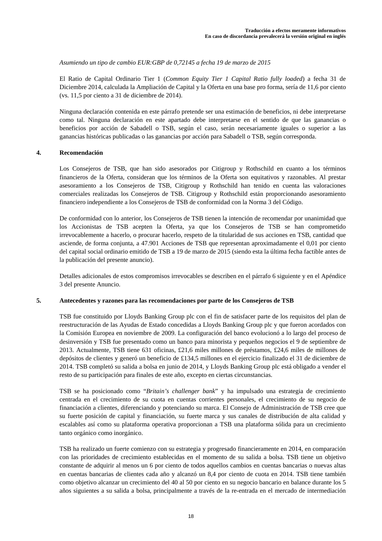*Asumiendo un tipo de cambio EUR:GBP de 0,72145 a fecha 19 de marzo de 2015* 

El Ratio de Capital Ordinario Tier 1 (*Common Equity Tier 1 Capital Ratio fully loaded*) a fecha 31 de Diciembre 2014, calculada la Ampliación de Capital y la Oferta en una base pro forma, sería de 11,6 por ciento (vs. 11,5 por ciento a 31 de diciembre de 2014).

Ninguna declaración contenida en este párrafo pretende ser una estimación de beneficios, ni debe interpretarse como tal. Ninguna declaración en este apartado debe interpretarse en el sentido de que las ganancias o beneficios por acción de Sabadell o TSB, según el caso, serán necesariamente iguales o superior a las ganancias históricas publicadas o las ganancias por acción para Sabadell o TSB, según corresponda.

## **4. Recomendación**

Los Consejeros de TSB, que han sido asesorados por Citigroup y Rothschild en cuanto a los términos financieros de la Oferta, consideran que los términos de la Oferta son equitativos y razonables. Al prestar asesoramiento a los Consejeros de TSB, Citigroup y Rothschild han tenido en cuenta las valoraciones comerciales realizadas los Consejeros de TSB. Citigroup y Rothschild están proporcionando asesoramiento financiero independiente a los Consejeros de TSB de conformidad con la Norma 3 del Código.

De conformidad con lo anterior, los Consejeros de TSB tienen la intención de recomendar por unanimidad que los Accionistas de TSB acepten la Oferta, ya que los Consejeros de TSB se han comprometido irrevocablemente a hacerlo, o procurar hacerlo, respeto de la titularidad de sus acciones en TSB, cantidad que asciende, de forma conjunta, a 47.901 Acciones de TSB que representan aproximadamente el 0,01 por ciento del capital social ordinario emitido de TSB a 19 de marzo de 2015 (siendo esta la última fecha factible antes de la publicación del presente anuncio).

Detalles adicionales de estos compromisos irrevocables se describen en el párrafo 6 siguiente y en el Apéndice 3 del presente Anuncio.

# **5. Antecedentes y razones para las recomendaciones por parte de los Consejeros de TSB**

TSB fue constituido por Lloyds Banking Group plc con el fin de satisfacer parte de los requisitos del plan de reestructuración de las Ayudas de Estado concedidas a Lloyds Banking Group plc y que fueron acordados con la Comisión Europea en noviembre de 2009. La configuración del banco evolucionó a lo largo del proceso de desinversión y TSB fue presentado como un banco para minorista y pequeños negocios el 9 de septiembre de 2013. Actualmente, TSB tiene 631 oficinas, £21,6 miles millones de préstamos, £24,6 miles de millones de depósitos de clientes y generó un beneficio de £134,5 millones en el ejercicio finalizado el 31 de diciembre de 2014. TSB completó su salida a bolsa en junio de 2014, y Lloyds Banking Group plc está obligado a vender el resto de su participación para finales de este año, excepto en ciertas circunstancias.

TSB se ha posicionado como "*Britain's challenger bank*" y ha impulsado una estrategia de crecimiento centrada en el crecimiento de su cuota en cuentas corrientes personales, el crecimiento de su negocio de financiación a clientes, diferenciando y potenciando su marca. El Consejo de Administración de TSB cree que su fuerte posición de capital y financiación, su fuerte marca y sus canales de distribución de alta calidad y escalables así como su plataforma operativa proporcionan a TSB una plataforma sólida para un crecimiento tanto orgánico como inorgánico.

TSB ha realizado un fuerte comienzo con su estrategia y progresado financieramente en 2014, en comparación con las prioridades de crecimiento establecidas en el momento de su salida a bolsa. TSB tiene un objetivo constante de adquirir al menos un 6 por ciento de todos aquellos cambios en cuentas bancarias o nuevas altas en cuentas bancarias de clientes cada año y alcanzó un 8,4 por ciento de cuota en 2014. TSB tiene también como objetivo alcanzar un crecimiento del 40 al 50 por ciento en su negocio bancario en balance durante los 5 años siguientes a su salida a bolsa, principalmente a través de la re-entrada en el mercado de intermediación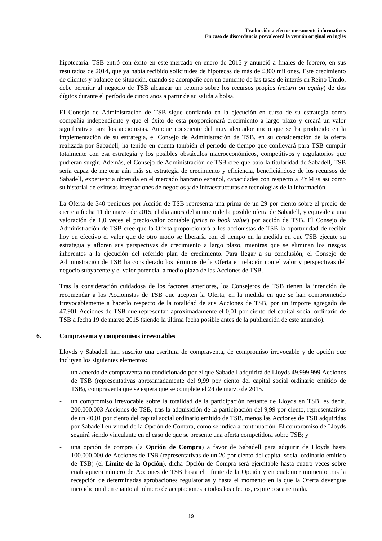hipotecaria. TSB entró con éxito en este mercado en enero de 2015 y anunció a finales de febrero, en sus resultados de 2014, que ya había recibido solicitudes de hipotecas de más de £300 millones. Este crecimiento de clientes y balance de situación, cuando se acompañe con un aumento de las tasas de interés en Reino Unido, debe permitir al negocio de TSB alcanzar un retorno sobre los recursos propios (*return on equity*) de dos dígitos durante el período de cinco años a partir de su salida a bolsa.

El Consejo de Administración de TSB sigue confiando en la ejecución en curso de su estrategia como compañía independiente y que el éxito de esta proporcionará crecimiento a largo plazo y creará un valor significativo para los accionistas. Aunque consciente del muy alentador inicio que se ha producido en la implementación de su estrategia, el Consejo de Administración de TSB, en su consideración de la oferta realizada por Sabadell, ha tenido en cuenta también el periodo de tiempo que conllevará para TSB cumplir totalmente con esa estrategia y los posibles obstáculos macroeconómicos, competitivos y regulatorios que pudieran surgir. Además, el Consejo de Administración de TSB cree que bajo la titularidad de Sabadell, TSB sería capaz de mejorar aún más su estrategia de crecimiento y eficiencia, beneficiándose de los recursos de Sabadell, experiencia obtenida en el mercado bancario español, capacidades con respecto a PYMEs así como su historial de exitosas integraciones de negocios y de infraestructuras de tecnologías de la información.

La Oferta de 340 peniques por Acción de TSB representa una prima de un 29 por ciento sobre el precio de cierre a fecha 11 de marzo de 2015, el día antes del anuncio de la posible oferta de Sabadell, y equivale a una valoración de 1,0 veces el precio-valor contable (*price to book value*) por acción de TSB. El Consejo de Administración de TSB cree que la Oferta proporcionará a los accionistas de TSB la oportunidad de recibir hoy en efectivo el valor que de otro modo se liberaría con el tiempo en la medida en que TSB ejecute su estrategia y afloren sus perspectivas de crecimiento a largo plazo, mientras que se eliminan los riesgos inherentes a la ejecución del referido plan de crecimiento. Para llegar a su conclusión, el Consejo de Administración de TSB ha considerado los términos de la Oferta en relación con el valor y perspectivas del negocio subyacente y el valor potencial a medio plazo de las Acciones de TSB.

Tras la consideración cuidadosa de los factores anteriores, los Consejeros de TSB tienen la intención de recomendar a los Accionistas de TSB que acepten la Oferta, en la medida en que se han comprometido irrevocablemente a hacerlo respecto de la totalidad de sus Acciones de TSB, por un importe agregado de 47.901 Acciones de TSB que representan aproximadamente el 0,01 por ciento del capital social ordinario de TSB a fecha 19 de marzo 2015 (siendo la última fecha posible antes de la publicación de este anuncio).

## **6. Compraventa y compromisos irrevocables**

Lloyds y Sabadell han suscrito una escritura de compraventa, de compromiso irrevocable y de opción que incluyen los siguientes elementos:

- un acuerdo de compraventa no condicionado por el que Sabadell adquirirá de Lloyds 49.999.999 Acciones de TSB (representativas aproximadamente del 9,99 por ciento del capital social ordinario emitido de TSB), compraventa que se espera que se complete el 24 de marzo de 2015.
- un compromiso irrevocable sobre la totalidad de la participación restante de Lloyds en TSB, es decir, 200.000.003 Acciones de TSB, tras la adquisición de la participación del 9,99 por ciento, representativas de un 40,01 por ciento del capital social ordinario emitido de TSB, menos las Acciones de TSB adquiridas por Sabadell en virtud de la Opción de Compra, como se indica a continuación. El compromiso de Lloyds seguirá siendo vinculante en el caso de que se presente una oferta competidora sobre TSB; y
- una opción de compra (la **Opción de Compra**) a favor de Sabadell para adquirir de Lloyds hasta 100.000.000 de Acciones de TSB (representativas de un 20 por ciento del capital social ordinario emitido de TSB) (el **Límite de la Opción**), dicha Opción de Compra será ejercitable hasta cuatro veces sobre cualesquiera número de Acciones de TSB hasta el Límite de la Opción y en cualquier momento tras la recepción de determinadas aprobaciones regulatorias y hasta el momento en la que la Oferta devengue incondicional en cuanto al número de aceptaciones a todos los efectos, expire o sea retirada.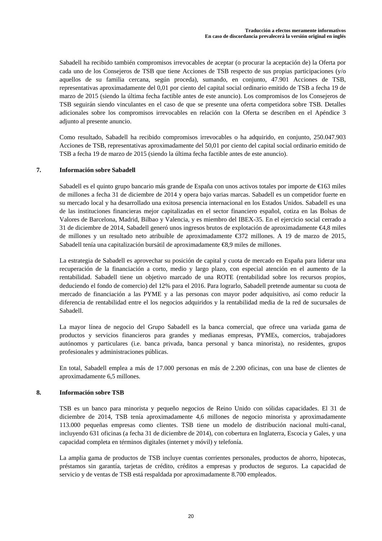Sabadell ha recibido también compromisos irrevocables de aceptar (o procurar la aceptación de) la Oferta por cada uno de los Consejeros de TSB que tiene Acciones de TSB respecto de sus propias participaciones (y/o aquellos de su familia cercana, según proceda), sumando, en conjunto, 47.901 Acciones de TSB, representativas aproximadamente del 0,01 por ciento del capital social ordinario emitido de TSB a fecha 19 de marzo de 2015 (siendo la última fecha factible antes de este anuncio). Los compromisos de los Consejeros de TSB seguirán siendo vinculantes en el caso de que se presente una oferta competidora sobre TSB. Detalles adicionales sobre los compromisos irrevocables en relación con la Oferta se describen en el Apéndice 3 adjunto al presente anuncio.

Como resultado, Sabadell ha recibido compromisos irrevocables o ha adquirido, en conjunto, 250.047.903 Acciones de TSB, representativas aproximadamente del 50,01 por ciento del capital social ordinario emitido de TSB a fecha 19 de marzo de 2015 (siendo la última fecha factible antes de este anuncio).

# **7. Información sobre Sabadell**

Sabadell es el quinto grupo bancario más grande de España con unos activos totales por importe de €163 miles de millones a fecha 31 de diciembre de 2014 y opera bajo varias marcas. Sabadell es un competidor fuerte en su mercado local y ha desarrollado una exitosa presencia internacional en los Estados Unidos. Sabadell es una de las instituciones financieras mejor capitalizadas en el sector financiero español, cotiza en las Bolsas de Valores de Barcelona, Madrid, Bilbao y Valencia, y es miembro del IBEX-35. En el ejercicio social cerrado a 31 de diciembre de 2014, Sabadell generó unos ingresos brutos de explotación de aproximadamente €4,8 miles de millones y un resultado neto atribuible de aproximadamente €372 millones. A 19 de marzo de 2015, Sabadell tenía una capitalización bursátil de aproximadamente €8,9 miles de millones.

La estrategia de Sabadell es aprovechar su posición de capital y cuota de mercado en España para liderar una recuperación de la financiación a corto, medio y largo plazo, con especial atención en el aumento de la rentabilidad. Sabadell tiene un objetivo marcado de una ROTE (rentabilidad sobre los recursos propios, deduciendo el fondo de comercio) del 12% para el 2016. Para lograrlo, Sabadell pretende aumentar su cuota de mercado de financiación a las PYME y a las personas con mayor poder adquisitivo, así como reducir la diferencia de rentabilidad entre el los negocios adquiridos y la rentabilidad media de la red de sucursales de Sabadell.

La mayor línea de negocio del Grupo Sabadell es la banca comercial, que ofrece una variada gama de productos y servicios financieros para grandes y medianas empresas, PYMEs, comercios, trabajadores autónomos y particulares (i.e. banca privada, banca personal y banca minorista), no residentes, grupos profesionales y administraciones públicas.

En total, Sabadell emplea a más de 17.000 personas en más de 2.200 oficinas, con una base de clientes de aproximadamente 6,5 millones.

# **8. Información sobre TSB**

TSB es un banco para minorista y pequeño negocios de Reino Unido con sólidas capacidades. El 31 de diciembre de 2014, TSB tenía aproximadamente 4,6 millones de negocio minorista y aproximadamente 113.000 pequeñas empresas como clientes. TSB tiene un modelo de distribución nacional multi-canal, incluyendo 631 oficinas (a fecha 31 de diciembre de 2014), con cobertura en Inglaterra, Escocia y Gales, y una capacidad completa en términos digitales (internet y móvil) y telefonía.

La amplia gama de productos de TSB incluye cuentas corrientes personales, productos de ahorro, hipotecas, préstamos sin garantía, tarjetas de crédito, créditos a empresas y productos de seguros. La capacidad de servicio y de ventas de TSB está respaldada por aproximadamente 8.700 empleados.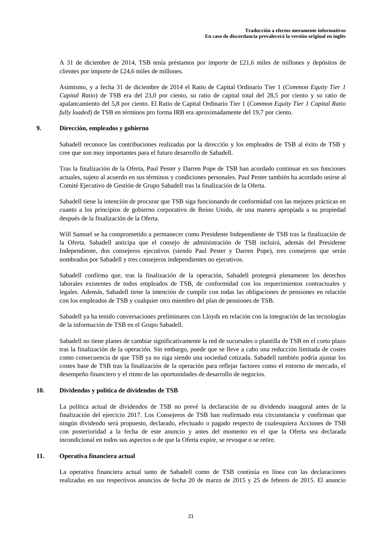A 31 de diciembre de 2014, TSB tenía préstamos por importe de £21,6 miles de millones y depósitos de clientes por importe de £24,6 miles de millones.

Asimismo, y a fecha 31 de diciembre de 2014 el Ratio de Capital Ordinario Tier 1 (*Common Equity Tier 1 Capital Ratio*) de TSB era del 23,0 por ciento, su ratio de capital total del 28,5 por ciento y su ratio de apalancamiento del 5,8 por ciento. El Ratio de Capital Ordinario Tier 1 (*Common Equity Tier 1 Capital Ratio fully loaded*) de TSB en términos pro forma IRB era aproximadamente del 19,7 por ciento.

## **9. Dirección, empleados y gobierno**

Sabadell reconoce las contribuciones realizadas por la dirección y los empleados de TSB al éxito de TSB y cree que son muy importantes para el futuro desarrollo de Sabadell.

Tras la finalización de la Oferta, Paul Pester y Darren Pope de TSB han acordado continuar en sus funciones actuales, sujeto al acuerdo en sus términos y condiciones personales. Paul Pester también ha acordado unirse al Comité Ejecutivo de Gestión de Grupo Sabadell tras la finalización de la Oferta.

Sabadell tiene la intención de procurar que TSB siga funcionando de conformidad con las mejores prácticas en cuanto a los principios de gobierno corporativo de Reino Unido, de una manera apropiada a su propiedad después de la finalización de la Oferta.

Will Samuel se ha comprometido a permanecer como Presidente Independiente de TSB tras la finalización de la Oferta. Sabadell anticipa que el consejo de administración de TSB incluirá, además del Presidente Independiente, dos consejeros ejecutivos (siendo Paul Pester y Darren Pope), tres consejeros que serán nombrados por Sabadell y tres consejeros independientes no ejecutivos.

Sabadell confirma que, tras la finalización de la operación, Sabadell protegerá plenamente los derechos laborales existentes de todos empleados de TSB, de conformidad con los requerimientos contractuales y legales. Además, Sabadell tiene la intención de cumplir con todas las obligaciones de pensiones en relación con los empleados de TSB y cualquier otro miembro del plan de pensiones de TSB.

Sabadell ya ha tenido conversaciones preliminares con Lloyds en relación con la integración de las tecnologías de la información de TSB en el Grupo Sabadell.

Sabadell no tiene planes de cambiar significativamente la red de sucursales o plantilla de TSB en el corto plazo tras la finalización de la operación. Sin embargo, puede que se lleve a cabo una reducción limitada de costes como consecuencia de que TSB ya no siga siendo una sociedad cotizada. Sabadell también podría ajustar los costes base de TSB tras la finalización de la operación para reflejar factores como el entorno de mercado, el desempeño financiero y el ritmo de las oportunidades de desarrollo de negocios.

# **10. Dividendos y política de dividendos de TSB**

La política actual de dividendos de TSB no prevé la declaración de su dividendo inaugural antes de la finalización del ejercicio 2017. Los Consejeros de TSB han reafirmado esta circunstancia y confirman que ningún dividendo será propuesto, declarado, efectuado o pagado respecto de cualesquiera Acciones de TSB con posterioridad a la fecha de este anuncio y antes del momento en el que la Oferta sea declarada incondicional en todos sus aspectos o de que la Oferta expire, se revoque o se retire.

## **11. Operativa financiera actual**

La operativa financiera actual tanto de Sabadell como de TSB continúa en línea con las declaraciones realizadas en sus respectivos anuncios de fecha 20 de marzo de 2015 y 25 de febrero de 2015. El anuncio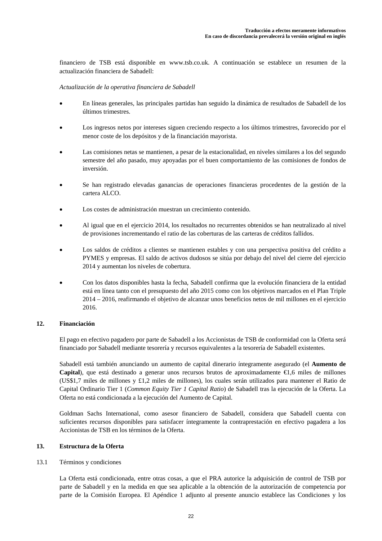financiero de TSB está disponible en www.tsb.co.uk. A continuación se establece un resumen de la actualización financiera de Sabadell:

## *Actualización de la operativa financiera de Sabadell*

- En líneas generales, las principales partidas han seguido la dinámica de resultados de Sabadell de los últimos trimestres.
- Los ingresos netos por intereses siguen creciendo respecto a los últimos trimestres, favorecido por el menor coste de los depósitos y de la financiación mayorista.
- Las comisiones netas se mantienen, a pesar de la estacionalidad, en niveles similares a los del segundo semestre del año pasado, muy apoyadas por el buen comportamiento de las comisiones de fondos de inversión.
- Se han registrado elevadas ganancias de operaciones financieras procedentes de la gestión de la cartera ALCO.
- Los costes de administración muestran un crecimiento contenido.
- Al igual que en el ejercicio 2014, los resultados no recurrentes obtenidos se han neutralizado al nivel de provisiones incrementando el ratio de las coberturas de las carteras de créditos fallidos.
- Los saldos de créditos a clientes se mantienen estables y con una perspectiva positiva del crédito a PYMES y empresas. El saldo de activos dudosos se sitúa por debajo del nivel del cierre del ejercicio 2014 y aumentan los niveles de cobertura.
- Con los datos disponibles hasta la fecha, Sabadell confirma que la evolución financiera de la entidad está en línea tanto con el presupuesto del año 2015 como con los objetivos marcados en el Plan Triple 2014 – 2016, reafirmando el objetivo de alcanzar unos beneficios netos de mil millones en el ejercicio 2016.

#### **12. Financiación**

El pago en efectivo pagadero por parte de Sabadell a los Accionistas de TSB de conformidad con la Oferta será financiado por Sabadell mediante tesorería y recursos equivalentes a la tesorería de Sabadell existentes.

Sabadell está también anunciando un aumento de capital dinerario íntegramente asegurado (el **Aumento de Capital**), que está destinado a generar unos recursos brutos de aproximadamente €1,6 miles de millones (US\$1,7 miles de millones y £1,2 miles de millones), los cuales serán utilizados para mantener el Ratio de Capital Ordinario Tier 1 (*Common Equity Tier 1 Capital Ratio*) de Sabadell tras la ejecución de la Oferta. La Oferta no está condicionada a la ejecución del Aumento de Capital.

Goldman Sachs International, como asesor financiero de Sabadell, considera que Sabadell cuenta con suficientes recursos disponibles para satisfacer íntegramente la contraprestación en efectivo pagadera a los Accionistas de TSB en los términos de la Oferta.

# **13. Estructura de la Oferta**

### 13.1 Términos y condiciones

La Oferta está condicionada, entre otras cosas, a que el PRA autorice la adquisición de control de TSB por parte de Sabadell y en la medida en que sea aplicable a la obtención de la autorización de competencia por parte de la Comisión Europea. El Apéndice 1 adjunto al presente anuncio establece las Condiciones y los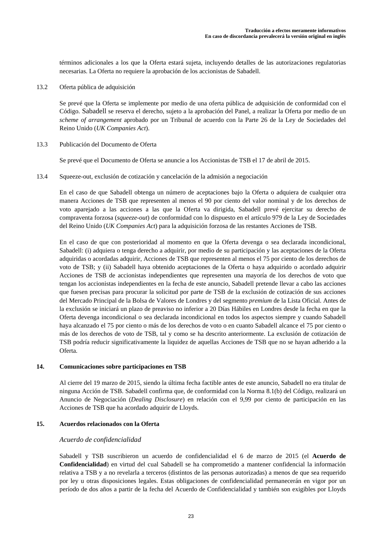términos adicionales a los que la Oferta estará sujeta, incluyendo detalles de las autorizaciones regulatorias necesarias. La Oferta no requiere la aprobación de los accionistas de Sabadell.

13.2 Oferta pública de adquisición

Se prevé que la Oferta se implemente por medio de una oferta pública de adquisición de conformidad con el Código. Sabadell se reserva el derecho, sujeto a la aprobación del Panel, a realizar la Oferta por medio de un *scheme of arrangement* aprobado por un Tribunal de acuerdo con la Parte 26 de la Ley de Sociedades del Reino Unido (*UK Companies Act*).

13.3 Publicación del Documento de Oferta

Se prevé que el Documento de Oferta se anuncie a los Accionistas de TSB el 17 de abril de 2015.

13.4 Squeeze-out, exclusión de cotización y cancelación de la admisión a negociación

En el caso de que Sabadell obtenga un número de aceptaciones bajo la Oferta o adquiera de cualquier otra manera Acciones de TSB que representen al menos el 90 por ciento del valor nominal y de los derechos de voto aparejado a las acciones a las que la Oferta va dirigida, Sabadell prevé ejercitar su derecho de compraventa forzosa (*squeeze-out*) de conformidad con lo dispuesto en el artículo 979 de la Ley de Sociedades del Reino Unido (*UK Companies Act*) para la adquisición forzosa de las restantes Acciones de TSB.

En el caso de que con posterioridad al momento en que la Oferta devenga o sea declarada incondicional, Sabadell: (i) adquiera o tenga derecho a adquirir, por medio de su participación y las aceptaciones de la Oferta adquiridas o acordadas adquirir, Acciones de TSB que representen al menos el 75 por ciento de los derechos de voto de TSB; y (ii) Sabadell haya obtenido aceptaciones de la Oferta o haya adquirido o acordado adquirir Acciones de TSB de accionistas independientes que representen una mayoría de los derechos de voto que tengan los accionistas independientes en la fecha de este anuncio, Sabadell pretende llevar a cabo las acciones que fuesen precisas para procurar la solicitud por parte de TSB de la exclusión de cotización de sus acciones del Mercado Principal de la Bolsa de Valores de Londres y del segmento *premium* de la Lista Oficial. Antes de la exclusión se iniciará un plazo de preaviso no inferior a 20 Días Hábiles en Londres desde la fecha en que la Oferta devenga incondicional o sea declarada incondicional en todos los aspectos siempre y cuando Sabadell haya alcanzado el 75 por ciento o más de los derechos de voto o en cuanto Sabadell alcance el 75 por ciento o más de los derechos de voto de TSB, tal y como se ha descrito anteriormente. La exclusión de cotización de TSB podría reducir significativamente la liquidez de aquellas Acciones de TSB que no se hayan adherido a la Oferta.

## **14. Comunicaciones sobre participaciones en TSB**

Al cierre del 19 marzo de 2015, siendo la última fecha factible antes de este anuncio, Sabadell no era titular de ninguna Acción de TSB. Sabadell confirma que, de conformidad con la Norma 8.1(b) del Código, realizará un Anuncio de Negociación (*Dealing Disclosure*) en relación con el 9,99 por ciento de participación en las Acciones de TSB que ha acordado adquirir de Lloyds.

## **15. Acuerdos relacionados con la Oferta**

## *Acuerdo de confidencialidad*

Sabadell y TSB suscribieron un acuerdo de confidencialidad el 6 de marzo de 2015 (el **Acuerdo de Confidencialidad**) en virtud del cual Sabadell se ha comprometido a mantener confidencial la información relativa a TSB y a no revelarla a terceros (distintos de las personas autorizadas) a menos de que sea requerido por ley u otras disposiciones legales. Estas obligaciones de confidencialidad permanecerán en vigor por un período de dos años a partir de la fecha del Acuerdo de Confidencialidad y también son exigibles por Lloyds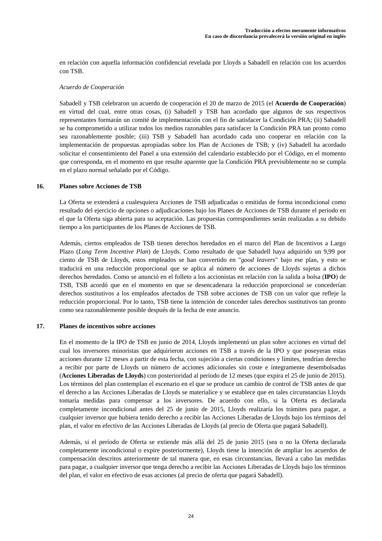en relación con aquella información confidencial revelada por Lloyds a Sabadell en relación con los acuerdos con TSB.

## *Acuerdo de Cooperación*

Sabadell y TSB celebraron un acuerdo de cooperación el 20 de marzo de 2015 (el **Acuerdo de Cooperación**) en virtud del cual, entre otras cosas, (i) Sabadell y TSB han acordado que algunos de sus respectivos representantes formarán un comité de implementación con el fin de satisfacer la Condición PRA; (ii) Sabadell se ha comprometido a utilizar todos los medios razonables para satisfacer la Condición PRA tan pronto como sea razonablemente posible; (iii) TSB y Sabadell han acordado cada uno cooperar en relación con la implementación de propuestas apropiadas sobre los Plan de Acciones de TSB; y (iv) Sabadell ha acordado solicitar el consentimiento del Panel a una extensión del calendario establecido por el Código, en el momento que corresponda, en el momento en que resulte aparente que la Condición PRA previsiblemente no se cumpla en el plazo normal señalado por el Código.

### **16. Planes sobre Acciones de TSB**

La Oferta se extenderá a cualesquiera Acciones de TSB adjudicadas o emitidas de forma incondicional como resultado del ejercicio de opciones o adjudicaciones bajo los Planes de Acciones de TSB durante el periodo en el que la Oferta siga abierta para su aceptación. Las propuestas correspondientes serán realizadas a su debido tiempo a los participantes de los Planes de Acciones de TSB.

Además, ciertos empleados de TSB tienen derechos heredados en el marco del Plan de Incentivos a Largo Plazo (*Long Term Incentive Plan*) de Lloyds. Como resultado de que Sabadell haya adquirido un 9,99 por ciento de TSB de Lloyds, estos empleados se han convertido en "*good leavers*" bajo ese plan, y esto se traducirá en una reducción proporcional que se aplica al número de acciones de Lloyds sujetas a dichos derechos heredados. Como se anunció en el folleto a los accionistas en relación con la salida a bolsa (**IPO**) de TSB, TSB acordó que en el momento en que se desencadenara la reducción proporcional se concederían derechos sustitutivos a los empleados afectados de TSB sobre acciones de TSB con un valor que refleje la reducción proporcional. Por lo tanto, TSB tiene la intención de conceder tales derechos sustitutivos tan pronto como sea razonablemente posible después de la fecha de este anuncio.

## **17. Planes de incentivos sobre acciones**

En el momento de la IPO de TSB en junio de 2014, Lloyds implementó un plan sobre acciones en virtud del cual los inversores minoristas que adquirieron acciones en TSB a través de la IPO y que poseyeran estas acciones durante 12 meses a partir de esta fecha, con sujeción a ciertas condiciones y límites, tendrían derecho a recibir por parte de Lloyds un número de acciones adicionales sin coste e íntegramente desembolsadas (**Acciones Liberadas de Lloyds**) con posterioridad al período de 12 meses (que expira el 25 de junio de 2015). Los términos del plan contemplan el escenario en el que se produce un cambio de control de TSB antes de que el derecho a las Acciones Liberadas de Lloyds se materialice y se establece que en tales circunstancias Lloyds tomaría medidas para compensar a los inversores. De acuerdo con ello, si la Oferta es declarada completamente incondicional antes del 25 de junio de 2015, Lloyds realizaría los trámites para pagar, a cualquier inversor que hubiera tenido derecho a recibir las Acciones Liberadas de Lloyds bajo los términos del plan, el valor en efectivo de las Acciones Liberadas de Lloyds (al precio de Oferta que pagará Sabadell).

Además, si el período de Oferta se extiende más allá del 25 de junio 2015 (sea o no la Oferta declarada completamente incondicional o expire posteriormente), Lloyds tiene la intención de ampliar los acuerdos de compensación descritos anteriormente de tal manera que, en esas circunstancias, llevará a cabo las medidas para pagar, a cualquier inversor que tenga derecho a recibir las Acciones Liberadas de Lloyds bajo los términos del plan, el valor en efectivo de esas acciones (al precio de oferta que pagará Sabadell).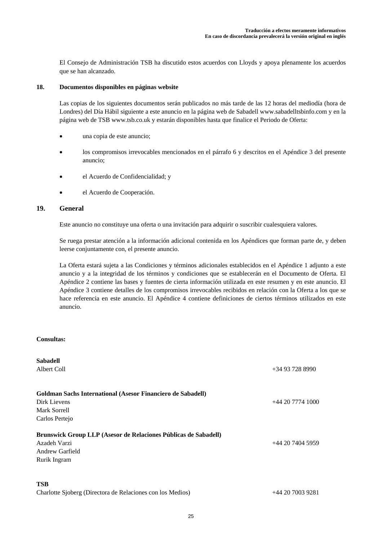El Consejo de Administración TSB ha discutido estos acuerdos con Lloyds y apoya plenamente los acuerdos que se han alcanzado.

## **18. Documentos disponibles en páginas website**

Las copias de los siguientes documentos serán publicados no más tarde de las 12 horas del mediodía (hora de Londres) del Día Hábil siguiente a este anuncio en la página web de Sabadell www.sabadelltsbinfo.com y en la página web de TSB www.tsb.co.uk y estarán disponibles hasta que finalice el Periodo de Oferta:

- una copia de este anuncio;
- los compromisos irrevocables mencionados en el párrafo 6 y descritos en el Apéndice 3 del presente anuncio;
- el Acuerdo de Confidencialidad; y
- el Acuerdo de Cooperación.

# **19. General**

Este anuncio no constituye una oferta o una invitación para adquirir o suscribir cualesquiera valores.

Se ruega prestar atención a la información adicional contenida en los Apéndices que forman parte de, y deben leerse conjuntamente con, el presente anuncio.

La Oferta estará sujeta a las Condiciones y términos adicionales establecidos en el Apéndice 1 adjunto a este anuncio y a la integridad de los términos y condiciones que se establecerán en el Documento de Oferta. El Apéndice 2 contiene las bases y fuentes de cierta información utilizada en este resumen y en este anuncio. El Apéndice 3 contiene detalles de los compromisos irrevocables recibidos en relación con la Oferta a los que se hace referencia en este anuncio. El Apéndice 4 contiene definiciones de ciertos términos utilizados en este anuncio.

#### **Consultas:**

| <b>Sabadell</b>                                                    |                    |
|--------------------------------------------------------------------|--------------------|
| Albert Coll                                                        | $+34937288990$     |
| <b>Goldman Sachs International (Asesor Financiero de Sabadell)</b> |                    |
| Dirk Lievens                                                       | $+442077741000$    |
| Mark Sorrell                                                       |                    |
| Carlos Pertejo                                                     |                    |
| Brunswick Group LLP (Asesor de Relaciones Públicas de Sabadell)    |                    |
| Azadeh Varzi                                                       | $+44$ 20 7404 5959 |
| Andrew Garfield                                                    |                    |
| Rurik Ingram                                                       |                    |
| <b>TSB</b>                                                         |                    |
| Charlotte Sjoberg (Directora de Relaciones con los Medios)         | +44 20 7003 9281   |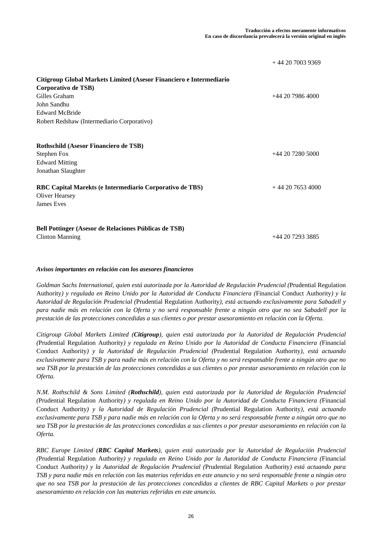|                                                                                                                                                                                                   | $+442070039369$  |
|---------------------------------------------------------------------------------------------------------------------------------------------------------------------------------------------------|------------------|
| Citigroup Global Markets Limited (Asesor Financiero e Intermediario<br>Corporativo de TSB)<br>Gilles Graham<br>John Sandhu<br><b>Edward McBride</b><br>Robert Redshaw (Intermediario Corporativo) | $+442079864000$  |
| Rothschild (Asesor Financiero de TSB)<br>Stephen Fox<br><b>Edward Mitting</b><br>Jonathan Slaughter                                                                                               | $+442072805000$  |
| RBC Capital Marekts (e Intermediario Corporativo de TBS)<br>Oliver Hearsey<br>James Eves                                                                                                          | $+442076534000$  |
| Bell Pottinger (Asesor de Relaciones Públicas de TSB)<br><b>Clinton Manning</b>                                                                                                                   | +44 20 7293 3885 |

# *Avisos importantes en relación con los asesores financieros*

*Goldman Sachs International, quien está autorizada por la Autoridad de Regulación Prudencial (*Prudential Regulation Authority*) y regulada en Reino Unido por la Autoridad de Conducta Financiera (*Financial Conduct Authority*) y la Autoridad de Regulación Prudencial (*Prudential Regulation Authority*), está actuando exclusivamente para Sabadell y para nadie más en relación con la Oferta y no será responsable frente a ningún otro que no sea Sabadell por la prestación de las protecciones concedidas a sus clientes o por prestar asesoramiento en relación con la Oferta.* 

*Citigroup Global Markets Limited (Citigroup), quien está autorizada por la Autoridad de Regulación Prudencial (*Prudential Regulation Authority*) y regulada en Reino Unido por la Autoridad de Conducta Financiera (*Financial Conduct Authority*) y la Autoridad de Regulación Prudencial (*Prudential Regulation Authority*), está actuando exclusivamente para TSB y para nadie más en relación con la Oferta y no será responsable frente a ningún otro que no sea TSB por la prestación de las protecciones concedidas a sus clientes o por prestar asesoramiento en relación con la Oferta.* 

*N.M. Rothschild & Sons Limited (Rothschild), quien está autorizada por la Autoridad de Regulación Prudencial (*Prudential Regulation Authority*) y regulada en Reino Unido por la Autoridad de Conducta Financiera (*Financial Conduct Authority*) y la Autoridad de Regulación Prudencial (*Prudential Regulation Authority*), está actuando exclusivamente para TSB y para nadie más en relación con la Oferta y no será responsable frente a ningún otro que no sea TSB por la prestación de las protecciones concedidas a sus clientes o por prestar asesoramiento en relación con la Oferta.* 

*RBC Europe Limited (RBC Capital Markets), quien está autorizada por la Autoridad de Regulación Prudencial (*Prudential Regulation Authority*) y regulada en Reino Unido por la Autoridad de Conducta Financiera (*Financial Conduct Authority*) y la Autoridad de Regulación Prudencial (*Prudential Regulation Authority*) está actuando para TSB y para nadie más en relación con las materias referidas en este anuncio y no será responsable frente a ningún otro que no sea TSB por la prestación de las protecciones concedidas a clientes de RBC Capital Markets o por prestar asesoramiento en relación con las materias referidas en este anuncio.*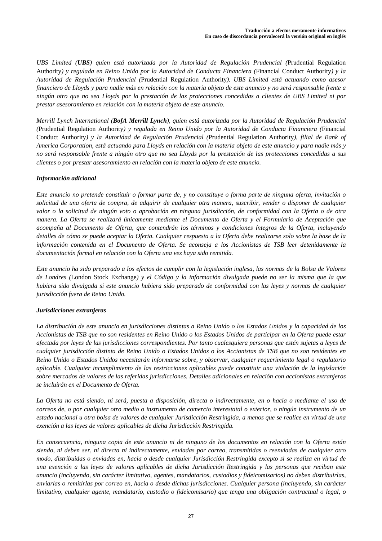*UBS Limited (UBS) quien está autorizada por la Autoridad de Regulación Prudencial (*Prudential Regulation Authority*) y regulada en Reino Unido por la Autoridad de Conducta Financiera (*Financial Conduct Authority*) y la Autoridad de Regulación Prudencial (*Prudential Regulation Authority*). UBS Limited está actuando como asesor financiero de Lloyds y para nadie más en relación con la materia objeto de este anuncio y no será responsable frente a ningún otro que no sea Lloyds por la prestación de las protecciones concedidas a clientes de UBS Limited ni por prestar asesoramiento en relación con la materia objeto de este anuncio.* 

*Merrill Lynch International (BofA Merrill Lynch), quien está autorizada por la Autoridad de Regulación Prudencial (*Prudential Regulation Authority*) y regulada en Reino Unido por la Autoridad de Conducta Financiera (*Financial Conduct Authority*) y la Autoridad de Regulación Prudencial (*Prudential Regulation Authority*), filial de Bank of America Corporation, está actuando para Lloyds en relación con la materia objeto de este anuncio y para nadie más y no será responsable frente a ningún otro que no sea Lloyds por la prestación de las protecciones concedidas a sus clientes o por prestar asesoramiento en relación con la materia objeto de este anuncio.* 

## *Información adicional*

*Este anuncio no pretende constituir o formar parte de, y no constituye o forma parte de ninguna oferta, invitación o solicitud de una oferta de compra, de adquirir de cualquier otra manera, suscribir, vender o disponer de cualquier valor o la solicitud de ningún voto o aprobación en ninguna jurisdicción, de conformidad con la Oferta o de otra manera. La Oferta se realizará únicamente mediante el Documento de Oferta y el Formulario de Aceptación que acompaña al Documento de Oferta, que contendrán los términos y condiciones íntegros de la Oferta, incluyendo detalles de cómo se puede aceptar la Oferta. Cualquier respuesta a la Oferta debe realizarse solo sobre la base de la información contenida en el Documento de Oferta. Se aconseja a los Accionistas de TSB leer detenidamente la documentación formal en relación con la Oferta una vez haya sido remitida.* 

*Este anuncio ha sido preparado a los efectos de cumplir con la legislación inglesa, las normas de la Bolsa de Valores de Londres (*London Stock Exchange*) y el Código y la información divulgada puede no ser la misma que la que hubiera sido divulgada si este anuncio hubiera sido preparado de conformidad con las leyes y normas de cualquier jurisdicción fuera de Reino Unido.* 

## *Jurisdicciones extranjeras*

*La distribución de este anuncio en jurisdicciones distintas a Reino Unido o los Estados Unidos y la capacidad de los Accionistas de TSB que no son residentes en Reino Unido o los Estados Unidos de participar en la Oferta puede estar afectada por leyes de las jurisdicciones correspondientes. Por tanto cualesquiera personas que estén sujetas a leyes de cualquier jurisdicción distinta de Reino Unido o Estados Unidos o los Accionistas de TSB que no son residentes en Reino Unido o Estados Unidos necesitarán informarse sobre, y observar, cualquier requerimiento legal o regulatorio aplicable. Cualquier incumplimiento de las restricciones aplicables puede constituir una violación de la legislación sobre mercados de valores de las referidas jurisdicciones. Detalles adicionales en relación con accionistas extranjeros se incluirán en el Documento de Oferta.* 

*La Oferta no está siendo, ni será, puesta a disposición, directa o indirectamente, en o hacia o mediante el uso de correos de, o por cualquier otro medio o instrumento de comercio interestatal o exterior, o ningún instrumento de un estado nacional u otra bolsa de valores de cualquier Jurisdicción Restringida, a menos que se realice en virtud de una exención a las leyes de valores aplicables de dicha Jurisdicción Restringida.* 

*En consecuencia, ninguna copia de este anuncio ni de ninguno de los documentos en relación con la Oferta están siendo, ni deben ser, ni directa ni indirectamente, enviadas por correo, transmitidas o reenviadas de cualquier otro modo, distribuidas o enviadas en, hacia o desde cualquier Jurisdicción Restringida excepto si se realiza en virtud de una exención a las leyes de valores aplicables de dicha Jurisdicción Restringida y las personas que reciban este anuncio (incluyendo, sin carácter limitativo, agentes, mandatarios, custodios y fideicomisarios) no deben distribuirlas, enviarlas o remitirlas por correo en, hacia o desde dichas jurisdicciones. Cualquier persona (incluyendo, sin carácter limitativo, cualquier agente, mandatario, custodio o fideicomisario) que tenga una obligación contractual o legal, o*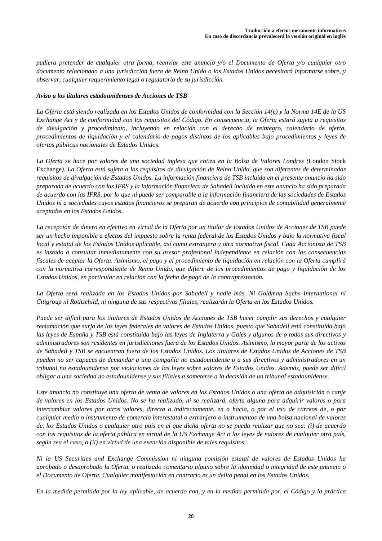*pudiera pretender de cualquier otra forma, reenviar este anuncio y/o el Documento de Oferta y/o cualquier otro documento relacionado a una jurisdicción fuera de Reino Unido o los Estados Unidos necesitará informarse sobre, y observar, cualquier requerimiento legal o regulatorio de su jurisdicción.* 

## *Aviso a los titulares estadounidenses de Acciones de TSB*

*La Oferta está siendo realizada en los Estados Unidos de conformidad con la Sección 14(e) y la Norma 14E de la US Exchange Act y de conformidad con los requisitos del Código. En consecuencia, la Oferta estará sujeta a requisitos de divulgación y procedimiento, incluyendo en relación con el derecho de reintegro, calendario de oferta, procedimientos de liquidación y el calendario de pagos distintos de los aplicables bajo procedimientos y leyes de ofertas públicas nacionales de Estados Unidos.* 

*La Oferta se hace por valores de una sociedad inglesa que cotiza en la Bolsa de Valores Londres (*London Stock Exchange*). La Oferta está sujeta a los requisitos de divulgación de Reino Unido, que son diferentes de determinados requisitos de divulgación de Estados Unidos. La información financiera de TSB incluida en el presente anuncio ha sido preparada de acuerdo con las IFRS y la información financiera de Sabadell incluida en este anuncio ha sido preparada de acuerdo con las IFRS, por lo que ni puede ser comparable a la información financiera de las sociedades de Estados Unidos ni a sociedades cuyos estados financieros se preparan de acuerdo con principios de contabilidad generalmente aceptados en los Estados Unidos.* 

*La recepción de dinero en efectivo en virtud de la Oferta por un titular de Estados Unidos de Acciones de TSB puede ser un hecho imponible a efectos del impuesto sobre la renta federal de los Estados Unidos y bajo la normativa fiscal local y estatal de los Estados Unidos aplicable, así como extranjera y otra normativa fiscal. Cada Accionista de TSB es instado a consultar inmediatamente con su asesor profesional independiente en relación con las consecuencias fiscales de aceptar la Oferta. Asimismo, el pago y el procedimiento de liquidación en relación con la Oferta cumplirá con la normativa correspondiente de Reino Unido, que difiere de los procedimientos de pago y liquidación de los Estados Unidos, en particular en relación con la fecha de pago de la contraprestación.* 

*La Oferta será realizada en los Estados Unidos por Sabadell y nadie más. Ni Goldman Sachs International ni Citigroup ni Rothschild, ni ninguna de sus respectivas filiales, realizarán la Oferta en los Estados Unidos.* 

*Puede ser difícil para los titulares de Estados Unidos de Acciones de TSB hacer cumplir sus derechos y cualquier reclamación que surja de las leyes federales de valores de Estados Unidos, puesto que Sabadell está constituida bajo las leyes de España y TSB está constituida bajo las leyes de Inglaterra y Gales y algunos de o todos sus directivos y administradores son residentes en jurisdicciones fuera de los Estados Unidos. Asimismo, la mayor parte de los activos de Sabadell y TSB se encuentran fuera de los Estados Unidos. Los titulares de Estados Unidos de Acciones de TSB pueden no ser capaces de demandar a una compañía no estadounidense o a sus directivos y administradores en un tribunal no estadounidense por violaciones de las leyes sobre valores de Estados Unidos. Además, puede ser difícil obligar a una sociedad no estadounidense y sus filiales a someterse a la decisión de un tribunal estadounidense.* 

*Este anuncio no constituye una oferta de venta de valores en los Estados Unidos o una oferta de adquisición o canje de valores en los Estados Unidos. No se ha realizado, ni se realizará, oferta alguna para adquirir valores o para intercambiar valores por otros valores, directa o indirectamente, en o hacia, o por el uso de correos de, o por cualquier medio o instrumento de comercio interestatal o extranjero o instrumentos de una bolsa nacional de valores de, los Estados Unidos o cualquier otro país en el que dicha oferta no se pueda realizar que no sea: (i) de acuerdo con los requisitos de la oferta pública en virtud de la US Exchange Act o las leyes de valores de cualquier otro país, según sea el caso, o (ii) en virtud de una exención disponible de tales requisitos.* 

*Ni la US Securities and Exchange Commission ni ninguna comisión estatal de valores de Estados Unidos ha aprobado o desaprobado la Oferta, o realizado comentario alguno sobre la idoneidad o integridad de este anuncio o el Documento de Oferta. Cualquier manifestación en contrario es un delito penal en los Estados Unidos.* 

*En la medida permitida por la ley aplicable, de acuerdo con, y en la medida permitida por, el Código y la práctica*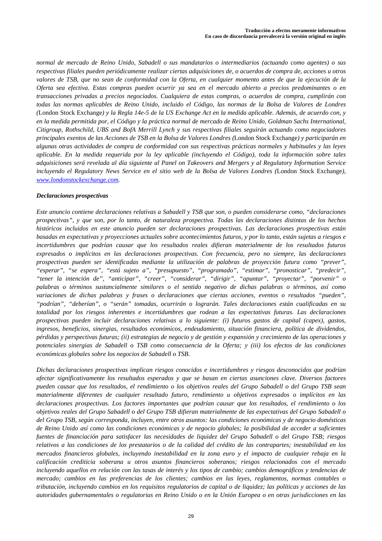*normal de mercado de Reino Unido, Sabadell o sus mandatarios o intermediarios (actuando como agentes) o sus respectivas filiales pueden periódicamente realizar ciertas adquisiciones de, o acuerdos de compra de, acciones u otros valores de TSB, que no sean de conformidad con la Oferta, en cualquier momento antes de que la ejecución de la Oferta sea efectiva. Estas compras pueden ocurrir ya sea en el mercado abierto a precios predominantes o en transacciones privadas a precios negociados. Cualquiera de estas compras, o acuerdos de compra, cumplirán con todas las normas aplicables de Reino Unido, incluido el Código, las normas de la Bolsa de Valores de Londres (*London Stock Exchange*) y la Regla 14e-5 de la US Exchange Act en la medida aplicable. Además, de acuerdo con, y en la medida permitida por, el Código y la práctica normal de mercado de Reino Unido, Goldman Sachs International, Citigroup, Rothschild, UBS and BofA Merrill Lynch y sus respectivas filiales seguirán actuando como negociadores principales exentos de las Acciones de TSB en la Bolsa de Valores Londres (*London Stock Exchange*) y participarán en algunas otras actividades de compra de conformidad con sus respectivas prácticas normales y habituales y las leyes aplicable. En la medida requerida por la ley aplicable (incluyendo el Código), toda la información sobre tales adquisiciones será revelada al día siguiente al Panel on Takeovers and Mergers y al Regulatory Information Service incluyendo el Regulatory News Service en el sitio web de la Bolsa de Valores Londres (*London Stock Exchange*), www.londonstockexchange.com.* 

## *Declaraciones prospectivas*

*Este anuncio contiene declaraciones relativas a Sabadell y TSB que son, o pueden considerarse como, "declaraciones prospectivas", y que son, por lo tanto, de naturaleza prospectiva. Todas las declaraciones distintas de los hechos históricos incluidos en este anuncio pueden ser declaraciones prospectivas. Las declaraciones prospectivas están basadas en expectativas y proyecciones actuales sobre acontecimientos futuros, y por lo tanto, están sujetas a riesgos e incertidumbres que podrían causar que los resultados reales difieran materialmente de los resultados futuros expresados o implícitos en las declaraciones prospectivas. Con frecuencia, pero no siempre, las declaraciones prospectivas pueden ser identificadas mediante la utilización de palabras de proyección futura como "prever", "esperar", "se espera", "está sujeto a", "presupuesto", "programado", "estimar", "pronosticar", "predecir", "tener la intención de", "anticipar", "creer", "considerar", "dirigir", "apuntar", "proyectar", "porvenir" o palabras o términos sustancialmente similares o el sentido negativo de dichas palabras o términos, así como variaciones de dichas palabras y frases o declaraciones que ciertas acciones, eventos o resultados "pueden", "podrían", "deberían", o "serán" tomadas, ocurrirán o lograrán. Tales declaraciones están cualificadas en su totalidad por los riesgos inherentes e incertidumbres que rodean a las expectativas futuras. Las declaraciones prospectivas pueden incluir declaraciones relativas a lo siguiente: (i) futuros gastos de capital (capex), gastos, ingresos, beneficios, sinergias, resultados económicos, endeudamiento, situación financiera, política de dividendos, pérdidas y perspectivas futuras; (ii) estrategias de negocio y de gestión y expansión y crecimiento de las operaciones y potenciales sinergias de Sabadell o TSB como consecuencia de la Oferta; y (iii) los efectos de las condiciones económicas globales sobre los negocios de Sabadell o TSB.* 

*Dichas declaraciones prospectivas implican riesgos conocidos e incertidumbres y riesgos desconocidos que podrían afectar significativamente los resultados esperados y que se basan en ciertas asunciones clave. Diversos factores pueden causar que los resultados, el rendimiento o los objetivos reales del Grupo Sabadell o del Grupo TSB sean materialmente diferentes de cualquier resultado futuro, rendimiento u objetivos expresados o implícitos en las declaraciones prospectivas. Los factores importantes que podrían causar que los resultados, el rendimiento o los objetivos reales del Grupo Sabadell o del Grupo TSB difieran materialmente de las expectativas del Grupo Sabadell o del Grupo TSB, según corresponda, incluyen, entre otros asuntos: las condiciones económicas y de negocio domésticas de Reino Unido así como las condiciones económicas y de negocio globales; la posibilidad de acceder a suficientes fuentes de financiación para satisfacer las necesidades de liquidez del Grupo Sabadell o del Grupo TSB; riesgos relativos a las condiciones de los prestatarios o de la calidad del crédito de las contrapartes; inestabilidad en los mercados financieros globales, incluyendo inestabilidad en la zona euro y el impacto de cualquier rebaja en la calificación crediticia soberana u otros asuntos financieros soberanos; riesgos relacionados con el mercado incluyendo aquellos en relación con las tasas de interés y los tipos de cambio; cambios demográficos y tendencias de mercado; cambios en las preferencias de los clientes; cambios en las leyes, reglamentos, normas contables o tributación, incluyendo cambios en los requisitos regulatorios de capital o de liquidez; las políticas y acciones de las autoridades gubernamentales o regulatorias en Reino Unido o en la Unión Europea o en otras jurisdicciones en las*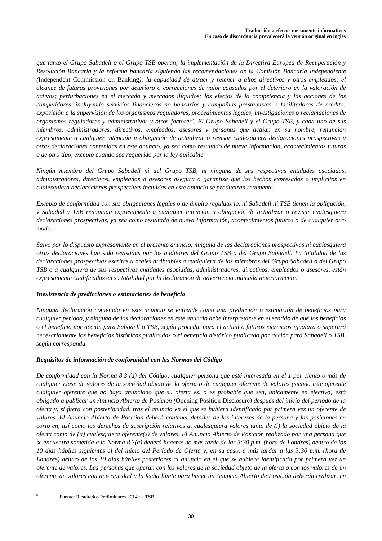*que tanto el Grupo Sabadell o el Grupo TSB operan; la implementación de la Directiva Europea de Recuperación y Resolución Bancaria y la reforma bancaria siguiendo las recomendaciones de la Comisión Bancaria Independiente (*Independent Commission on Banking*); la capacidad de atraer y retener a altos directivos y otros empleados; el alcance de futuras provisiones por deterioro o correcciones de valor causados por el deterioro en la valoración de activos; perturbaciones en el mercado y mercados ilíquidos; los efectos de la competencia y las acciones de los competidores, incluyendo servicios financieros no bancarios y compañías prestamistas o facilitadoras de crédito; exposición a la supervisión de los organismos reguladores, procedimientos legales, investigaciones o reclamaciones de organismos reguladores y administrativos y otros factores<sup>6</sup> . El Grupo Sabadell y el Grupo TSB, y cada uno de sus miembros, administradores, directivos, empleados, asesores y personas que actúan en su nombre, renuncian expresamente a cualquier intención u obligación de actualizar o revisar cualesquiera declaraciones prospectivas u otras declaraciones contenidas en este anuncio, ya sea como resultado de nueva información, acontecimientos futuros o de otro tipo, excepto cuando sea requerido por la ley aplicable.* 

*Ningún miembro del Grupo Sabadell ni del Grupo TSB, ni ninguna de sus respectivas entidades asociadas, administradores, directivos, empleados o asesores asegura o garantiza que los hechos expresados o implícitos en cualesquiera declaraciones prospectivas incluidas en este anuncio se producirán realmente.* 

*Excepto de conformidad con sus obligaciones legales o de ámbito regulatorio, ni Sabadell ni TSB tienen la obligación, y Sabadell y TSB renuncian expresamente a cualquier intención u obligación de actualizar o revisar cualesquiera declaraciones prospectivas, ya sea como resultado de nueva información, acontecimientos futuros o de cualquier otro modo.* 

*Salvo por lo dispuesto expresamente en el presente anuncio, ninguna de las declaraciones prospectivas ni cualesquiera otras declaraciones han sido revisadas por los auditores del Grupo TSB o del Grupo Sabadell. La totalidad de las declaraciones prospectivas escritas u orales atribuibles a cualquiera de los miembros del Grupo Sabadell o del Grupo TSB o a cualquiera de sus respectivas entidades asociadas, administradores, directivos, empleados o asesores, están expresamente cualificadas en su totalidad por la declaración de advertencia indicada anteriormente.* 

## *Inexistencia de predicciones o estimaciones de beneficio*

*Ninguna declaración contenida en este anuncio se entiende como una predicción o estimación de beneficios para cualquier período, y ninguna de las declaraciones en este anuncio debe interpretarse en el sentido de que los beneficios o el beneficio por acción para Sabadell o TSB, según proceda, para el actual o futuros ejercicios igualará o superará necesariamente los beneficios históricos publicados o el beneficio histórico publicado por acción para Sabadell o TSB, según corresponda.* 

# *Requisitos de información de conformidad con las Normas del Código*

*De conformidad con la Norma 8.3 (a) del Código, cualquier persona que esté interesada en el 1 por ciento o más de cualquier clase de valores de la sociedad objeto de la oferta o de cualquier oferente de valores (siendo este oferente cualquier oferente que no haya anunciado que su oferta es, o es probable que sea, únicamente en efectivo) está obligado a publicar un Anuncio Abierto de Posición (*Opening Position Disclosure*) después del inicio del periodo de la oferta y, si fuera con posterioridad, tras el anuncio en el que se hubiera identificado por primera vez un oferente de valores. El Anuncio Abierto de Posición deberá contener detalles de los intereses de la persona y las posiciones en corto en, así como los derechos de suscripción relativos a, cualesquiera valores tanto de (i) la sociedad objeto de la oferta como de (ii) cualesquiera oferente(s) de valores. El Anuncio Abierto de Posición realizado por una persona que se encuentra sometida a la Norma 8.3(a) deberá hacerse no más tarde de las 3:30 p.m. (hora de Londres) dentro de los 10 días hábiles siguientes al del inicio del Período de Oferta y, en su caso, a más tardar a las 3:30 p.m. (hora de Londres) dentro de los 10 días hábiles posteriores al anuncio en el que se hubiera identificado por primera vez un oferente de valores. Las personas que operan con los valores de la sociedad objeto de la oferta o con los valores de un oferente de valores con anterioridad a la fecha límite para hacer un Anuncio Abierto de Posición deberán realizar, en* 

 $\overline{\phantom{a}}$ 6

Fuente: Resultados Preliminares 2014 de TSB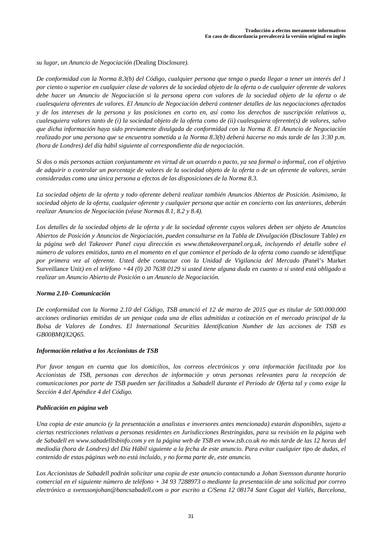*su lugar, un Anuncio de Negociación (*Dealing Disclosure*).* 

*De conformidad con la Norma 8.3(b) del Código, cualquier persona que tenga o pueda llegar a tener un interés del 1 por ciento o superior en cualquier clase de valores de la sociedad objeto de la oferta o de cualquier oferente de valores debe hacer un Anuncio de Negociación si la persona opera con valores de la sociedad objeto de la oferta o de cualesquiera oferentes de valores. El Anuncio de Negociación deberá contener detalles de las negociaciones afectados y de los intereses de la persona y las posiciones en corto en, así como los derechos de suscripción relativos a, cualesquiera valores tanto de (i) la sociedad objeto de la oferta como de (ii) cualesquiera oferente(s) de valores, salvo que dicha información haya sido previamente divulgada de conformidad con la Norma 8. El Anuncio de Negociación realizado por una persona que se encuentra sometida a la Norma 8.3(b) deberá hacerse no más tarde de las 3:30 p.m. (hora de Londres) del día hábil siguiente al correspondiente día de negociación.* 

*Si dos o más personas actúan conjuntamente en virtud de un acuerdo o pacto, ya sea formal o informal, con el objetivo de adquirir o controlar un porcentaje de valores de la sociedad objeto de la oferta o de un oferente de valores, serán consideradas como una única persona a efectos de las disposiciones de la Norma 8.3.* 

*La sociedad objeto de la oferta y todo oferente deberá realizar también Anuncios Abiertos de Posición. Asimismo, la sociedad objeto de la oferta, cualquier oferente y cualquier persona que actúe en concierto con las anteriores, deberán realizar Anuncios de Negociación (véase Normas 8.1, 8.2 y 8.4).* 

*Los detalles de la sociedad objeto de la oferta y de la sociedad oferente cuyos valores deben ser objeto de Anuncios Abiertos de Posición y Anuncios de Negociación, pueden consultarse en la Tabla de Divulgación (*Disclosure Table*) en la página web del Takeover Panel cuya dirección es www.thetakeoverpanel.org.uk, incluyendo el detalle sobre el número de valores emitidos, tanto en el momento en el que comience el período de la oferta como cuando se identifique por primera vez al oferente. Usted debe contactar con la Unidad de Vigilancia del Mercado (*Panel's Market Surveillance Unit*) en el teléfono +44 (0) 20 7638 0129 si usted tiene alguna duda en cuanto a si usted está obligado a realizar un Anuncio Abierto de Posición o un Anuncio de Negociación.* 

## *Norma 2.10- Comunicación*

*De conformidad con la Norma 2.10 del Código, TSB anunció el 12 de marzo de 2015 que es titular de 500.000.000 acciones ordinarias emitidas de un penique cada una de ellas admitidas a cotización en el mercado principal de la Bolsa de Valores de Londres. El International Securities Identification Number de las acciones de TSB es GB00BMQX2Q65.*

## *Información relativa a los Accionistas de TSB*

*Por favor tengan en cuenta que los domicilios, los correos electrónicos y otra información facilitada por los Accionistas de TSB, personas con derechos de información y otras personas relevantes para la recepción de comunicaciones por parte de TSB pueden ser facilitados a Sabadell durante el Periodo de Oferta tal y como exige la Sección 4 del Apéndice 4 del Código.*

## *Publicación en página web*

*Una copia de este anuncio (y la presentación a analistas e inversores antes mencionada) estarán disponibles, sujeto a ciertas restricciones relativas a personas residentes en Jurisdicciones Restringidas, para su revisión en la página web de Sabadell en www.sabadelltsbinfo.com y en la página web de TSB en www.tsb.co.uk no más tarde de las 12 horas del mediodía (hora de Londres) del Día Hábil siguiente a la fecha de este anuncio. Para evitar cualquier tipo de dudas, el contenido de estas páginas web no está incluido, y no forma parte de, este anuncio.* 

*Los Accionistas de Sabadell podrán solicitar una copia de este anuncio contactando a Johan Svensson durante horario comercial en el siguiente número de teléfono + 34 93 7288973 o mediante la presentación de una solicitud por correo electrónico a svenssonjohan@bancsabadell.com o por escrito a C/Sena 12 08174 Sant Cugat del Vallés, Barcelona,*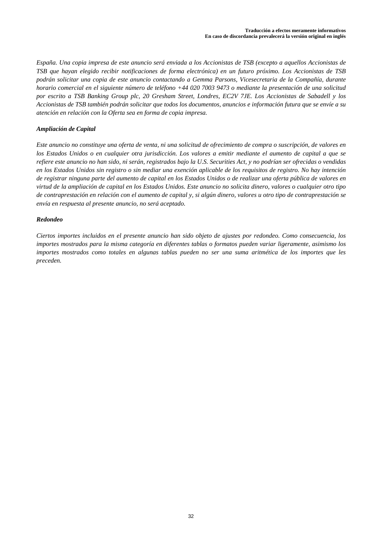*España. Una copia impresa de este anuncio será enviada a los Accionistas de TSB (excepto a aquellos Accionistas de TSB que hayan elegido recibir notificaciones de forma electrónica) en un futuro próximo. Los Accionistas de TSB podrán solicitar una copia de este anuncio contactando a Gemma Parsons, Vicesecretaria de la Compañía, durante horario comercial en el siguiente número de teléfono +44 020 7003 9473 o mediante la presentación de una solicitud por escrito a TSB Banking Group plc, 20 Gresham Street, Londres, EC2V 7JE. Los Accionistas de Sabadell y los Accionistas de TSB también podrán solicitar que todos los documentos, anuncios e información futura que se envíe a su atención en relación con la Oferta sea en forma de copia impresa.* 

## *Ampliación de Capital*

*Este anuncio no constituye una oferta de venta, ni una solicitud de ofrecimiento de compra o suscripción, de valores en los Estados Unidos o en cualquier otra jurisdicción. Los valores a emitir mediante el aumento de capital a que se refiere este anuncio no han sido, ni serán, registrados bajo la U.S. Securities Act, y no podrían ser ofrecidas o vendidas en los Estados Unidos sin registro o sin mediar una exención aplicable de los requisitos de registro. No hay intención de registrar ninguna parte del aumento de capital en los Estados Unidos o de realizar una oferta pública de valores en virtud de la ampliación de capital en los Estados Unidos. Este anuncio no solicita dinero, valores o cualquier otro tipo de contraprestación en relación con el aumento de capital y, si algún dinero, valores u otro tipo de contraprestación se envía en respuesta al presente anuncio, no será aceptado.* 

## *Redondeo*

*Ciertos importes incluidos en el presente anuncio han sido objeto de ajustes por redondeo. Como consecuencia, los importes mostrados para la misma categoría en diferentes tablas o formatos pueden variar ligeramente, asimismo los importes mostrados como totales en algunas tablas pueden no ser una suma aritmética de los importes que les preceden.*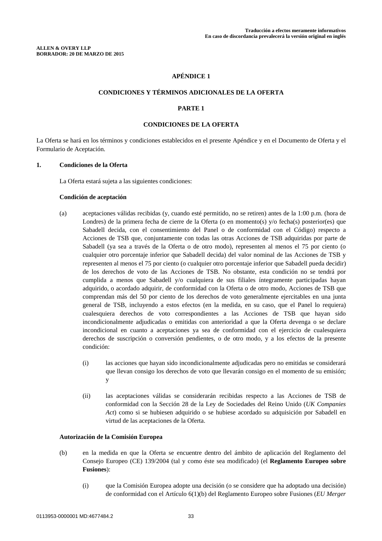## **CONDICIONES Y TÉRMINOS ADICIONALES DE LA OFERTA**

## **PARTE 1**

## **CONDICIONES DE LA OFERTA**

La Oferta se hará en los términos y condiciones establecidos en el presente Apéndice y en el Documento de Oferta y el Formulario de Aceptación.

## **1. Condiciones de la Oferta**

La Oferta estará sujeta a las siguientes condiciones:

#### **Condición de aceptación**

- (a) aceptaciones válidas recibidas (y, cuando esté permitido, no se retiren) antes de la 1:00 p.m. (hora de Londres) de la primera fecha de cierre de la Oferta (o en momento(s) y/o fecha(s) posterior(es) que Sabadell decida, con el consentimiento del Panel o de conformidad con el Código) respecto a Acciones de TSB que, conjuntamente con todas las otras Acciones de TSB adquiridas por parte de Sabadell (ya sea a través de la Oferta o de otro modo), representen al menos el 75 por ciento (o cualquier otro porcentaje inferior que Sabadell decida) del valor nominal de las Acciones de TSB y representen al menos el 75 por ciento (o cualquier otro porcentaje inferior que Sabadell pueda decidir) de los derechos de voto de las Acciones de TSB. No obstante, esta condición no se tendrá por cumplida a menos que Sabadell y/o cualquiera de sus filiales íntegramente participadas hayan adquirido, o acordado adquirir, de conformidad con la Oferta o de otro modo, Acciones de TSB que comprendan más del 50 por ciento de los derechos de voto generalmente ejercitables en una junta general de TSB, incluyendo a estos efectos (en la medida, en su caso, que el Panel lo requiera) cualesquiera derechos de voto correspondientes a las Acciones de TSB que hayan sido incondicionalmente adjudicadas o emitidas con anterioridad a que la Oferta devenga o se declare incondicional en cuanto a aceptaciones ya sea de conformidad con el ejercicio de cualesquiera derechos de suscripción o conversión pendientes, o de otro modo, y a los efectos de la presente condición:
	- (i) las acciones que hayan sido incondicionalmente adjudicadas pero no emitidas se considerará que llevan consigo los derechos de voto que llevarán consigo en el momento de su emisión; y
	- (ii) las aceptaciones válidas se considerarán recibidas respecto a las Acciones de TSB de conformidad con la Sección 28 de la Ley de Sociedades del Reino Unido (*UK Companies Act*) como si se hubiesen adquirido o se hubiese acordado su adquisición por Sabadell en virtud de las aceptaciones de la Oferta.

#### **Autorización de la Comisión Europea**

- (b) en la medida en que la Oferta se encuentre dentro del ámbito de aplicación del Reglamento del Consejo Europeo (CE) 139/2004 (tal y como éste sea modificado) (el **Reglamento Europeo sobre Fusiones**):
	- (i) que la Comisión Europea adopte una decisión (o se considere que ha adoptado una decisión) de conformidad con el Artículo 6(1)(b) del Reglamento Europeo sobre Fusiones (*EU Merger*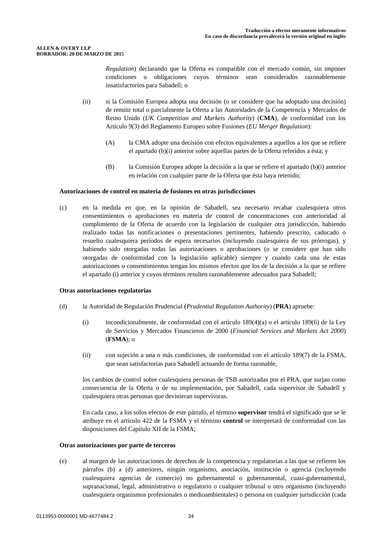*Regulation*) declarando que la Oferta es compatible con el mercado común, sin imponer condiciones u obligaciones cuyos términos sean considerados razonablemente insatisfactorios para Sabadell; o

- (ii) si la Comisión Europea adopta una decisión (o se considere que ha adoptado una decisión) de remitir total o parcialmente la Oferta a las Autoridades de la Competencia y Mercados de Reino Unido (*UK Competition and Markets Authority*) (**CMA**), de conformidad con los Artículo 9(3) del Reglamento Europeo sobre Fusiones (*EU Merger Regulation*):
	- (A) la CMA adopte una decisión con efectos equivalentes a aquellos a los que se refiere el apartado (b)(i) anterior sobre aquellas partes de la Oferta referidos a ésta; y
	- (B) la Comisión Europea adopte la decisión a la que se refiere el apartado (b)(i) anterior en relación con cualquier parte de la Oferta que ésta haya retenido;

## **Autorizaciones de control en materia de fusiones en otras jurisdicciones**

(c) en la medida en que, en la opinión de Sabadell, sea necesario recabar cualesquiera otros consentimientos o aprobaciones en materia de control de concentraciones con anterioridad al cumplimiento de la Oferta de acuerdo con la legislación de cualquier otra jurisdicción, habiendo realizado todas las notificaciones o presentaciones pertinentes, habiendo prescrito, caducado o resuelto cualesquiera períodos de espera necesarios (incluyendo cualesquiera de sus prórrogas), y habiendo sido otorgadas todas las autorizaciones o aprobaciones (o se considere que han sido otorgadas de conformidad con la legislación aplicable) siempre y cuando cada una de estas autorizaciones o consentimientos tengan los mismos efectos que los de la decisión a la que se refiere el apartado (i) anterior y cuyos términos resulten razonablemente adecuados para Sabadell;

## **Otras autorizaciones regulatorias**

- (d) la Autoridad de Regulación Prudencial (*Prudential Regulation Authority*) (**PRA**) apruebe:
	- (i) incondicionalmente, de conformidad con el artículo 189(4)(a) o el artículo 189(6) de la Ley de Servicios y Mercados Financieros de 2000 (*Financial Services and Markets Act 2000*) (**FSMA**); o
	- (ii) con sujeción a una o más condiciones, de conformidad con el artículo 189(7) de la FSMA, que sean satisfactorias para Sabadell actuando de forma razonable,

los cambios de control sobre cualesquiera personas de TSB autorizadas por el PRA, que surjan como consecuencia de la Oferta o de su implementación, por Sabadell, cada supervisor de Sabadell y cualesquiera otras personas que devinieran supervisoras.

En cada caso, a los solos efectos de este párrafo, el término **supervisor** tendrá el significado que se le atribuye en el artículo 422 de la FSMA y el término **control** se interpretará de conformidad con las disposiciones del Capítulo XII de la FSMA;

## **Otras autorizaciones por parte de terceros**

(e) al margen de las autorizaciones de derechos de la competencia y regulatorias a las que se refieren los párrafos (b) a (d) anteriores, ningún organismo, asociación, institución o agencia (incluyendo cualesquiera agencias de comercio) no gubernamental o gubernamental, cuasi-gubernamental, supranacional, legal, administrativo o regulatorio o cualquier tribunal u otro organismo (incluyendo cualesquiera organismos profesionales o medioambientales) o persona en cualquier jurisdicción (cada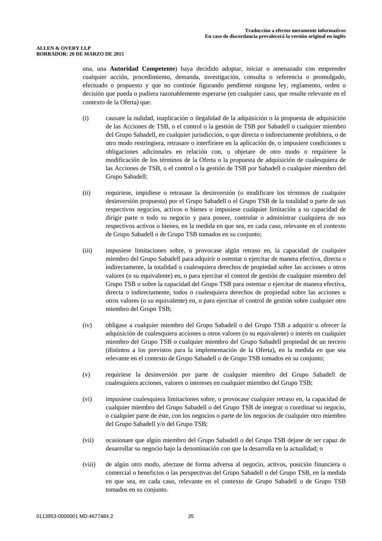una, una **Autoridad Competente**) haya decidido adoptar, iniciar o amenazado con emprender cualquier acción, procedimiento, demanda, investigación, consulta o referencia o promulgado, efectuado o propuesto y que no continúe figurando pendiente ninguna ley, reglamento, orden o decisión que pueda o pudiera razonablemente esperarse (en cualquier caso, que resulte relevante en el contexto de la Oferta) que:

- (i) causare la nulidad, inaplicación o ilegalidad de la adquisición o la propuesta de adquisición de las Acciones de TSB, o el control o la gestión de TSB por Sabadell o cualquier miembro del Grupo Sabadell, en cualquier jurisdicción, o que directa o indirectamente prohibiera, o de otro modo restringiera, retrasare o interfiriere en la aplicación de, o impusiere condiciones u obligaciones adicionales en relación con, u objetare de otro modo o requiriere la modificación de los términos de la Oferta o la propuesta de adquisición de cualesquiera de las Acciones de TSB, o el control o la gestión de TSB por Sabadell o cualquier miembro del Grupo Sabadell;
- (ii) requiriese, impidiese o retrasase la desinversión (o modificare los términos de cualquier desinversión propuesta) por el Grupo Sabadell o el Grupo TSB de la totalidad o parte de sus respectivos negocios, activos o bienes o impusiese cualquier limitación a su capacidad de dirigir parte o todo su negocio y para poseer, controlar o administrar cualquiera de sus respectivos activos o bienes, en la medida en que sea, en cada caso, relevante en el contexto de Grupo Sabadell o de Grupo TSB tomados en su conjunto;
- (iii) impusiese limitaciones sobre, o provocase algún retraso en, la capacidad de cualquier miembro del Grupo Sabadell para adquirir o ostentar o ejercitar de manera efectiva, directa o indirectamente, la totalidad o cualesquiera derechos de propiedad sobre las acciones u otros valores (o su equivalente) en, o para ejercitar el control de gestión de cualquier miembro del Grupo TSB o sobre la capacidad del Grupo TSB para ostentar o ejercitar de manera efectiva, directa o indirectamente, todos o cualesquiera derechos de propiedad sobre las acciones u otros valores (o su equivalente) en, o para ejercitar el control de gestión sobre cualquier otro miembro del Grupo TSB;
- (iv) obligase a cualquier miembro del Grupo Sabadell o del Grupo TSB a adquirir u ofrecer la adquisición de cualesquiera acciones u otros valores (o su equivalente) o interés en cualquier miembro del Grupo TSB o cualquier miembro del Grupo Sabadell propiedad de un tercero (distintos a los previstos para la implementación de la Oferta), en la medida en que sea relevante en el contexto de Grupo Sabadell o de Grupo TSB tomados en su conjunto;
- (v) requiriese la desinversión por parte de cualquier miembro del Grupo Sabadell de cualesquiera acciones, valores o intereses en cualquier miembro del Grupo TSB;
- (vi) impusiese cualesquiera limitaciones sobre, o provocase cualquier retraso en, la capacidad de cualquier miembro del Grupo Sabadell o del Grupo TSB de integrar o coordinar su negocio, o cualquier parte de éste, con los negocios o parte de los negocios de cualquier otro miembro del Grupo Sabadell y/o del Grupo TSB;
- (vii) ocasionare que algún miembro del Grupo Sabadell o del Grupo TSB dejase de ser capaz de desarrollar su negocio bajo la denominación con que la desarrolla en la actualidad; o
- (viii) de algún otro modo, afectase de forma adversa al negocio, activos, posición financiera o comercial o beneficios o las perspectivas del Grupo Sabadell o del Grupo TSB, en la medida en que sea, en cada caso, relevante en el contexto de Grupo Sabadell o de Grupo TSB tomados en su conjunto.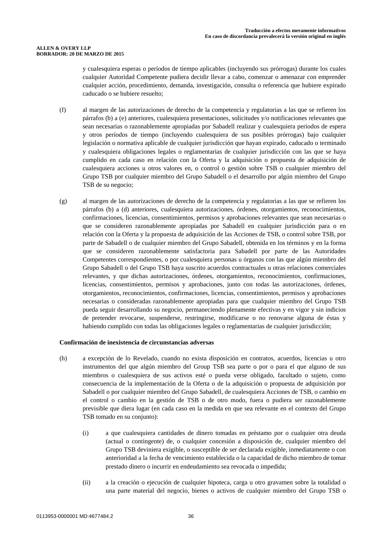#### **ALLEN & OVERY LLP BORRADOR: 20 DE MARZO DE 2015**

y cualesquiera esperas o períodos de tiempo aplicables (incluyendo sus prórrogas) durante los cuales cualquier Autoridad Competente pudiera decidir llevar a cabo, comenzar o amenazar con emprender cualquier acción, procedimiento, demanda, investigación, consulta o referencia que hubiere expirado caducado o se hubiere resuelto;

- (f) al margen de las autorizaciones de derecho de la competencia y regulatorias a las que se refieren los párrafos (b) a (e) anteriores, cualesquiera presentaciones, solicitudes y/o notificaciones relevantes que sean necesarias o razonablemente apropiadas por Sabadell realizar y cualesquiera periodos de espera y otros períodos de tiempo (incluyendo cualesquiera de sus posibles prórrogas) bajo cualquier legislación o normativa aplicable de cualquier jurisdicción que hayan expirado, caducado o terminado y cualesquiera obligaciones legales o reglamentarias de cualquier jurisdicción con las que se haya cumplido en cada caso en relación con la Oferta y la adquisición o propuesta de adquisición de cualesquiera acciones u otros valores en, o control o gestión sobre TSB o cualquier miembro del Grupo TSB por cualquier miembro del Grupo Sabadell o el desarrollo por algún miembro del Grupo TSB de su negocio;
- (g) al margen de las autorizaciones de derecho de la competencia y regulatorias a las que se refieren los párrafos (b) a (d) anteriores, cualesquiera autorizaciones, órdenes, otorgamientos, reconocimientos, confirmaciones, licencias, consentimientos, permisos y aprobaciones relevantes que sean necesarias o que se consideren razonablemente apropiadas por Sabadell en cualquier jurisdicción para o en relación con la Oferta y la propuesta de adquisición de las Acciones de TSB, o control sobre TSB, por parte de Sabadell o de cualquier miembro del Grupo Sabadell, obtenida en los términos y en la forma que se consideren razonablemente satisfactoria para Sabadell por parte de las Autoridades Competentes correspondientes, o por cualesquiera personas u órganos con las que algún miembro del Grupo Sabadell o del Grupo TSB haya suscrito acuerdos contractuales u otras relaciones comerciales relevantes, y que dichas autorizaciones, órdenes, otorgamientos, reconocimientos, confirmaciones, licencias, consentimientos, permisos y aprobaciones, junto con todas las autorizaciones, órdenes, otorgamientos, reconocimientos, confirmaciones, licencias, consentimientos, permisos y aprobaciones necesarias o consideradas razonablemente apropiadas para que cualquier miembro del Grupo TSB pueda seguir desarrollando su negocio, permaneciendo plenamente efectivas y en vigor y sin indicios de pretender revocarse, suspenderse, restringirse, modificarse o no renovarse alguna de éstas y habiendo cumplido con todas las obligaciones legales o reglamentarias de cualquier jurisdicción;

## **Confirmación de inexistencia de circunstancias adversas**

- (h) a excepción de lo Revelado, cuando no exista disposición en contratos, acuerdos, licencias u otro instrumentos del que algún miembro del Group TSB sea parte o por o para el que alguno de sus miembros o cualesquiera de sus activos esté o pueda verse obligado, facultado o sujeto, como consecuencia de la implementación de la Oferta o de la adquisición o propuesta de adquisición por Sabadell o por cualquier miembro del Grupo Sabadell, de cualesquiera Acciones de TSB, o cambio en el control o cambio en la gestión de TSB o de otro modo, fuera o pudiera ser razonablemente previsible que diera lugar (en cada caso en la medida en que sea relevante en el contexto del Grupo TSB tomado en su conjunto):
	- (i) a que cualesquiera cantidades de dinero tomadas en préstamo por o cualquier otra deuda (actual o contingente) de, o cualquier concesión a disposición de, cualquier miembro del Grupo TSB deviniera exigible, o susceptible de ser declarada exigible, inmediatamente o con anterioridad a la fecha de vencimiento establecida o la capacidad de dicho miembro de tomar prestado dinero o incurrir en endeudamiento sea revocada o impedida;
	- (ii) a la creación o ejecución de cualquier hipoteca, carga u otro gravamen sobre la totalidad o una parte material del negocio, bienes o activos de cualquier miembro del Grupo TSB o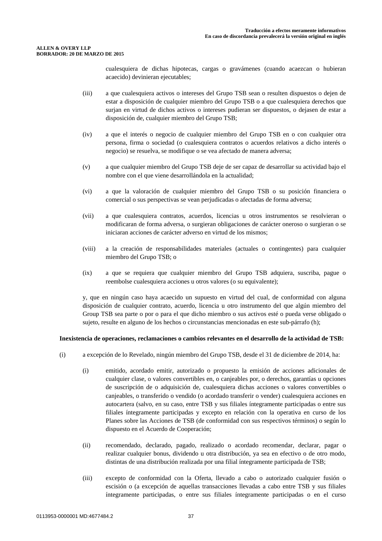#### **ALLEN & OVERY LLP BORRADOR: 20 DE MARZO DE 2015**

cualesquiera de dichas hipotecas, cargas o gravámenes (cuando acaezcan o hubieran acaecido) devinieran ejecutables;

- (iii) a que cualesquiera activos o intereses del Grupo TSB sean o resulten dispuestos o dejen de estar a disposición de cualquier miembro del Grupo TSB o a que cualesquiera derechos que surjan en virtud de dichos activos o intereses pudieran ser dispuestos, o dejasen de estar a disposición de, cualquier miembro del Grupo TSB;
- (iv) a que el interés o negocio de cualquier miembro del Grupo TSB en o con cualquier otra persona, firma o sociedad (o cualesquiera contratos o acuerdos relativos a dicho interés o negocio) se resuelva, se modifique o se vea afectado de manera adversa;
- (v) a que cualquier miembro del Grupo TSB deje de ser capaz de desarrollar su actividad bajo el nombre con el que viene desarrollándola en la actualidad;
- (vi) a que la valoración de cualquier miembro del Grupo TSB o su posición financiera o comercial o sus perspectivas se vean perjudicadas o afectadas de forma adversa;
- (vii) a que cualesquiera contratos, acuerdos, licencias u otros instrumentos se resolvieran o modificaran de forma adversa, o surgieran obligaciones de carácter oneroso o surgieran o se iniciaran acciones de carácter adverso en virtud de los mismos;
- (viii) a la creación de responsabilidades materiales (actuales o contingentes) para cualquier miembro del Grupo TSB; o
- (ix) a que se requiera que cualquier miembro del Grupo TSB adquiera, suscriba, pague o reembolse cualesquiera acciones u otros valores (o su equivalente);

y, que en ningún caso haya acaecido un supuesto en virtud del cual, de conformidad con alguna disposición de cualquier contrato, acuerdo, licencia u otro instrumento del que algún miembro del Group TSB sea parte o por o para el que dicho miembro o sus activos esté o pueda verse obligado o sujeto, resulte en alguno de los hechos o circunstancias mencionadas en este sub-párrafo (h);

## **Inexistencia de operaciones, reclamaciones o cambios relevantes en el desarrollo de la actividad de TSB:**

- (i) a excepción de lo Revelado, ningún miembro del Grupo TSB, desde el 31 de diciembre de 2014, ha:
	- (i) emitido, acordado emitir, autorizado o propuesto la emisión de acciones adicionales de cualquier clase, o valores convertibles en, o canjeables por, o derechos, garantías u opciones de suscripción de o adquisición de, cualesquiera dichas acciones o valores convertibles o canjeables, o transferido o vendido (o acordado transferir o vender) cualesquiera acciones en autocartera (salvo, en su caso, entre TSB y sus filiales íntegramente participadas o entre sus filiales íntegramente participadas y excepto en relación con la operativa en curso de los Planes sobre las Acciones de TSB (de conformidad con sus respectivos términos) o según lo dispuesto en el Acuerdo de Cooperación;
	- (ii) recomendado, declarado, pagado, realizado o acordado recomendar, declarar, pagar o realizar cualquier bonus, dividendo u otra distribución, ya sea en efectivo o de otro modo, distintas de una distribución realizada por una filial íntegramente participada de TSB;
	- (iii) excepto de conformidad con la Oferta, llevado a cabo o autorizado cualquier fusión o escisión o (a excepción de aquellas transacciones llevadas a cabo entre TSB y sus filiales íntegramente participadas, o entre sus filiales íntegramente participadas o en el curso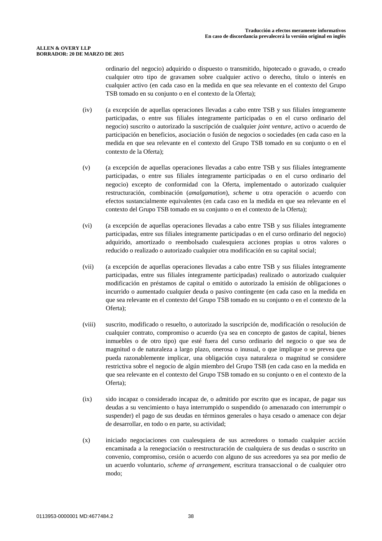ordinario del negocio) adquirido o dispuesto o transmitido, hipotecado o gravado, o creado cualquier otro tipo de gravamen sobre cualquier activo o derecho, título o interés en cualquier activo (en cada caso en la medida en que sea relevante en el contexto del Grupo TSB tomado en su conjunto o en el contexto de la Oferta);

- (iv) (a excepción de aquellas operaciones llevadas a cabo entre TSB y sus filiales íntegramente participadas, o entre sus filiales íntegramente participadas o en el curso ordinario del negocio) suscrito o autorizado la suscripción de cualquier *joint venture*, activo o acuerdo de participación en beneficios, asociación o fusión de negocios o sociedades (en cada caso en la medida en que sea relevante en el contexto del Grupo TSB tomado en su conjunto o en el contexto de la Oferta);
- (v) (a excepción de aquellas operaciones llevadas a cabo entre TSB y sus filiales íntegramente participadas, o entre sus filiales íntegramente participadas o en el curso ordinario del negocio) excepto de conformidad con la Oferta, implementado o autorizado cualquier restructuración, combinación (*amalgamation*), *scheme* u otra operación o acuerdo con efectos sustancialmente equivalentes (en cada caso en la medida en que sea relevante en el contexto del Grupo TSB tomado en su conjunto o en el contexto de la Oferta);
- (vi) (a excepción de aquellas operaciones llevadas a cabo entre TSB y sus filiales íntegramente participadas, entre sus filiales íntegramente participadas o en el curso ordinario del negocio) adquirido, amortizado o reembolsado cualesquiera acciones propias u otros valores o reducido o realizado o autorizado cualquier otra modificación en su capital social;
- (vii) (a excepción de aquellas operaciones llevadas a cabo entre TSB y sus filiales íntegramente participadas, entre sus filiales íntegramente participadas) realizado o autorizado cualquier modificación en préstamos de capital o emitido o autorizado la emisión de obligaciones o incurrido o aumentado cualquier deuda o pasivo contingente (en cada caso en la medida en que sea relevante en el contexto del Grupo TSB tomado en su conjunto o en el contexto de la Oferta);
- (viii) suscrito, modificado o resuelto, o autorizado la suscripción de, modificación o resolución de cualquier contrato, compromiso o acuerdo (ya sea en concepto de gastos de capital, bienes inmuebles o de otro tipo) que esté fuera del curso ordinario del negocio o que sea de magnitud o de naturaleza a largo plazo, onerosa o inusual, o que implique o se prevea que pueda razonablemente implicar, una obligación cuya naturaleza o magnitud se considere restrictiva sobre el negocio de algún miembro del Grupo TSB (en cada caso en la medida en que sea relevante en el contexto del Grupo TSB tomado en su conjunto o en el contexto de la Oferta);
- (ix) sido incapaz o considerado incapaz de, o admitido por escrito que es incapaz, de pagar sus deudas a su vencimiento o haya interrumpido o suspendido (o amenazado con interrumpir o suspender) el pago de sus deudas en términos generales o haya cesado o amenace con dejar de desarrollar, en todo o en parte, su actividad;
- (x) iniciado negociaciones con cualesquiera de sus acreedores o tomado cualquier acción encaminada a la renegociación o reestructuración de cualquiera de sus deudas o suscrito un convenio, compromiso, cesión o acuerdo con alguno de sus acreedores ya sea por medio de un acuerdo voluntario, *scheme of arrangement*, escritura transaccional o de cualquier otro modo;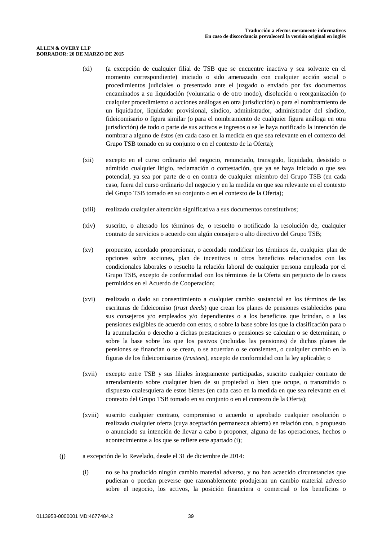#### **ALLEN & OVERY LLP BORRADOR: 20 DE MARZO DE 2015**

- (xi) (a excepción de cualquier filial de TSB que se encuentre inactiva y sea solvente en el momento correspondiente) iniciado o sido amenazado con cualquier acción social o procedimientos judiciales o presentado ante el juzgado o enviado por fax documentos encaminados a su liquidación (voluntaria o de otro modo), disolución o reorganización (o cualquier procedimiento o acciones análogas en otra jurisdicción) o para el nombramiento de un liquidador, liquidador provisional, síndico, administrador, administrador del síndico, fideicomisario o figura similar (o para el nombramiento de cualquier figura análoga en otra jurisdicción) de todo o parte de sus activos e ingresos o se le haya notificado la intención de nombrar a alguno de éstos (en cada caso en la medida en que sea relevante en el contexto del Grupo TSB tomado en su conjunto o en el contexto de la Oferta);
- (xii) excepto en el curso ordinario del negocio, renunciado, transigido, liquidado, desistido o admitido cualquier litigio, reclamación o contestación, que ya se haya iniciado o que sea potencial, ya sea por parte de o en contra de cualquier miembro del Grupo TSB (en cada caso, fuera del curso ordinario del negocio y en la medida en que sea relevante en el contexto del Grupo TSB tomado en su conjunto o en el contexto de la Oferta);
- (xiii) realizado cualquier alteración significativa a sus documentos constitutivos;
- (xiv) suscrito, o alterado los términos de, o resuelto o notificado la resolución de, cualquier contrato de servicios o acuerdo con algún consejero o alto directivo del Grupo TSB;
- (xv) propuesto, acordado proporcionar, o acordado modificar los términos de, cualquier plan de opciones sobre acciones, plan de incentivos u otros beneficios relacionados con las condicionales laborales o resuelto la relación laboral de cualquier persona empleada por el Grupo TSB, excepto de conformidad con los términos de la Oferta sin perjuicio de lo casos permitidos en el Acuerdo de Cooperación;
- (xvi) realizado o dado su consentimiento a cualquier cambio sustancial en los términos de las escrituras de fideicomiso (*trust deeds*) que crean los planes de pensiones establecidos para sus consejeros y/o empleados y/o dependientes o a los beneficios que brindan, o a las pensiones exigibles de acuerdo con estos, o sobre la base sobre los que la clasificación para o la acumulación o derecho a dichas prestaciones o pensiones se calculan o se determinan, o sobre la base sobre los que los pasivos (incluidas las pensiones) de dichos planes de pensiones se financian o se crean, o se acuerdan o se consienten, o cualquier cambio en la figuras de los fideicomisarios (*trustees*), excepto de conformidad con la ley aplicable; o
- (xvii) excepto entre TSB y sus filiales íntegramente participadas, suscrito cualquier contrato de arrendamiento sobre cualquier bien de su propiedad o bien que ocupe, o transmitido o dispuesto cualesquiera de estos bienes (en cada caso en la medida en que sea relevante en el contexto del Grupo TSB tomado en su conjunto o en el contexto de la Oferta);
- (xviii) suscrito cualquier contrato, compromiso o acuerdo o aprobado cualquier resolución o realizado cualquier oferta (cuya aceptación permanezca abierta) en relación con, o propuesto o anunciado su intención de llevar a cabo o proponer, alguna de las operaciones, hechos o acontecimientos a los que se refiere este apartado (i);
- (j) a excepción de lo Revelado, desde el 31 de diciembre de 2014:
	- (i) no se ha producido ningún cambio material adverso, y no han acaecido circunstancias que pudieran o puedan preverse que razonablemente produjeran un cambio material adverso sobre el negocio, los activos, la posición financiera o comercial o los beneficios o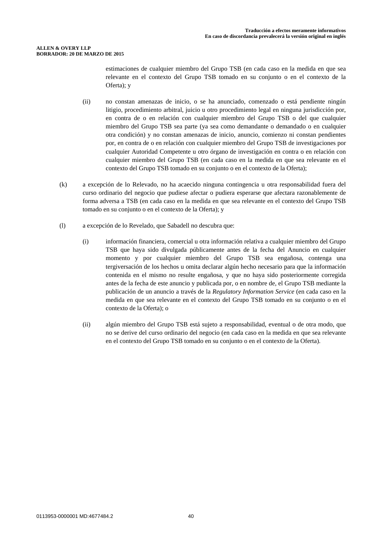#### **ALLEN & OVERY LLP BORRADOR: 20 DE MARZO DE 2015**

estimaciones de cualquier miembro del Grupo TSB (en cada caso en la medida en que sea relevante en el contexto del Grupo TSB tomado en su conjunto o en el contexto de la Oferta); y

- (ii) no constan amenazas de inicio, o se ha anunciado, comenzado o está pendiente ningún litigio, procedimiento arbitral, juicio u otro procedimiento legal en ninguna jurisdicción por, en contra de o en relación con cualquier miembro del Grupo TSB o del que cualquier miembro del Grupo TSB sea parte (ya sea como demandante o demandado o en cualquier otra condición) y no constan amenazas de inicio, anuncio, comienzo ni constan pendientes por, en contra de o en relación con cualquier miembro del Grupo TSB de investigaciones por cualquier Autoridad Competente u otro órgano de investigación en contra o en relación con cualquier miembro del Grupo TSB (en cada caso en la medida en que sea relevante en el contexto del Grupo TSB tomado en su conjunto o en el contexto de la Oferta);
- (k) a excepción de lo Relevado, no ha acaecido ninguna contingencia u otra responsabilidad fuera del curso ordinario del negocio que pudiese afectar o pudiera esperarse que afectara razonablemente de forma adversa a TSB (en cada caso en la medida en que sea relevante en el contexto del Grupo TSB tomado en su conjunto o en el contexto de la Oferta); y
- (l) a excepción de lo Revelado, que Sabadell no descubra que:
	- (i) información financiera, comercial u otra información relativa a cualquier miembro del Grupo TSB que haya sido divulgada públicamente antes de la fecha del Anuncio en cualquier momento y por cualquier miembro del Grupo TSB sea engañosa, contenga una tergiversación de los hechos u omita declarar algún hecho necesario para que la información contenida en el mismo no resulte engañosa, y que no haya sido posteriormente corregida antes de la fecha de este anuncio y publicada por, o en nombre de, el Grupo TSB mediante la publicación de un anuncio a través de la *Regulatory Information Service* (en cada caso en la medida en que sea relevante en el contexto del Grupo TSB tomado en su conjunto o en el contexto de la Oferta); o
	- (ii) algún miembro del Grupo TSB está sujeto a responsabilidad, eventual o de otra modo, que no se derive del curso ordinario del negocio (en cada caso en la medida en que sea relevante en el contexto del Grupo TSB tomado en su conjunto o en el contexto de la Oferta).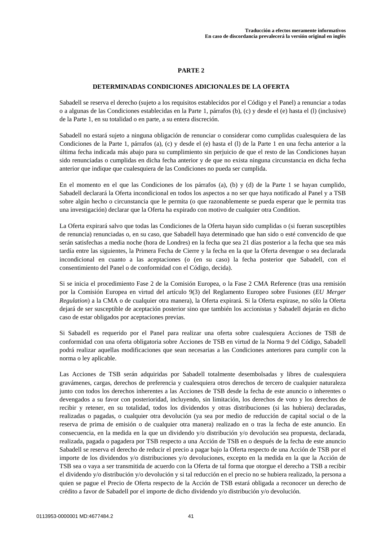## **PARTE 2**

## **DETERMINADAS CONDICIONES ADICIONALES DE LA OFERTA**

Sabadell se reserva el derecho (sujeto a los requisitos establecidos por el Código y el Panel) a renunciar a todas o a algunas de las Condiciones establecidas en la Parte 1, párrafos (b), (c) y desde el (e) hasta el (l) (inclusive) de la Parte 1, en su totalidad o en parte, a su entera discreción.

Sabadell no estará sujeto a ninguna obligación de renunciar o considerar como cumplidas cualesquiera de las Condiciones de la Parte 1, párrafos (a), (c) y desde el (e) hasta el (l) de la Parte 1 en una fecha anterior a la última fecha indicada más abajo para su cumplimiento sin perjuicio de que el resto de las Condiciones hayan sido renunciadas o cumplidas en dicha fecha anterior y de que no exista ninguna circunstancia en dicha fecha anterior que indique que cualesquiera de las Condiciones no pueda ser cumplida.

En el momento en el que las Condiciones de los párrafos (a), (b) y (d) de la Parte 1 se hayan cumplido, Sabadell declarará la Oferta incondicional en todos los aspectos a no ser que haya notificado al Panel y a TSB sobre algún hecho o circunstancia que le permita (o que razonablemente se pueda esperar que le permita tras una investigación) declarar que la Oferta ha expirado con motivo de cualquier otra Condition.

La Oferta expirará salvo que todas las Condiciones de la Oferta hayan sido cumplidas o (si fueran susceptibles de renuncia) renunciadas o, en su caso, que Sabadell haya determinado que han sido o esté convencido de que serán satisfechas a media noche (hora de Londres) en la fecha que sea 21 días posterior a la fecha que sea más tardía entre las siguientes, la Primera Fecha de Cierre y la fecha en la que la Oferta devengue o sea declarada incondicional en cuanto a las aceptaciones (o (en su caso) la fecha posterior que Sabadell, con el consentimiento del Panel o de conformidad con el Código, decida).

Si se inicia el procedimiento Fase 2 de la Comisión Europea, o la Fase 2 CMA Reference (tras una remisión por la Comisión Europea en virtud del artículo 9(3) del Reglamento Europeo sobre Fusiones (*EU Merger Regulation*) a la CMA o de cualquier otra manera), la Oferta expirará. Si la Oferta expirase, no sólo la Oferta dejará de ser susceptible de aceptación posterior sino que también los accionistas y Sabadell dejarán en dicho caso de estar obligados por aceptaciones previas.

Si Sabadell es requerido por el Panel para realizar una oferta sobre cualesquiera Acciones de TSB de conformidad con una oferta obligatoria sobre Acciones de TSB en virtud de la Norma 9 del Código, Sabadell podrá realizar aquellas modificaciones que sean necesarias a las Condiciones anteriores para cumplir con la norma o ley aplicable.

Las Acciones de TSB serán adquiridas por Sabadell totalmente desembolsadas y libres de cualesquiera gravámenes, cargas, derechos de preferencia y cualesquiera otros derechos de tercero de cualquier naturaleza junto con todos los derechos inherentes a las Acciones de TSB desde la fecha de este anuncio o inherentes o devengados a su favor con posterioridad, incluyendo, sin limitación, los derechos de voto y los derechos de recibir y retener, en su totalidad, todos los dividendos y otras distribuciones (si las hubiera) declaradas, realizadas o pagadas, o cualquier otra devolución (ya sea por medio de reducción de capital social o de la reserva de prima de emisión o de cualquier otra manera) realizado en o tras la fecha de este anuncio. En consecuencia, en la medida en la que un dividendo y/o distribución y/o devolución sea propuesta, declarada, realizada, pagada o pagadera por TSB respecto a una Acción de TSB en o después de la fecha de este anuncio Sabadell se reserva el derecho de reducir el precio a pagar bajo la Oferta respecto de una Acción de TSB por el importe de los dividendos y/o distribuciones y/o devoluciones, excepto en la medida en la que la Acción de TSB sea o vaya a ser transmitida de acuerdo con la Oferta de tal forma que otorgue el derecho a TSB a recibir el dividendo y/o distribución y/o devolución y si tal reducción en el precio no se hubiera realizado, la persona a quien se pague el Precio de Oferta respecto de la Acción de TSB estará obligada a reconocer un derecho de crédito a favor de Sabadell por el importe de dicho dividendo y/o distribución y/o devolución.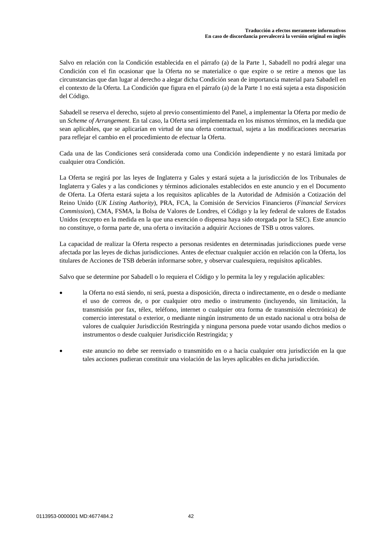Salvo en relación con la Condición establecida en el párrafo (a) de la Parte 1, Sabadell no podrá alegar una Condición con el fin ocasionar que la Oferta no se materialice o que expire o se retire a menos que las circunstancias que dan lugar al derecho a alegar dicha Condición sean de importancia material para Sabadell en el contexto de la Oferta. La Condición que figura en el párrafo (a) de la Parte 1 no está sujeta a esta disposición del Código.

Sabadell se reserva el derecho, sujeto al previo consentimiento del Panel, a implementar la Oferta por medio de un *Scheme of Arrangement*. En tal caso, la Oferta será implementada en los mismos términos, en la medida que sean aplicables, que se aplicarían en virtud de una oferta contractual, sujeta a las modificaciones necesarias para reflejar el cambio en el procedimiento de efectuar la Oferta.

Cada una de las Condiciones será considerada como una Condición independiente y no estará limitada por cualquier otra Condición.

La Oferta se regirá por las leyes de Inglaterra y Gales y estará sujeta a la jurisdicción de los Tribunales de Inglaterra y Gales y a las condiciones y términos adicionales establecidos en este anuncio y en el Documento de Oferta. La Oferta estará sujeta a los requisitos aplicables de la Autoridad de Admisión a Cotización del Reino Unido (*UK Listing Authority*), PRA, FCA, la Comisión de Servicios Financieros (*Financial Services Commission*), CMA, FSMA, la Bolsa de Valores de Londres, el Código y la ley federal de valores de Estados Unidos (excepto en la medida en la que una exención o dispensa haya sido otorgada por la SEC). Este anuncio no constituye, o forma parte de, una oferta o invitación a adquirir Acciones de TSB u otros valores.

La capacidad de realizar la Oferta respecto a personas residentes en determinadas jurisdicciones puede verse afectada por las leyes de dichas jurisdicciones. Antes de efectuar cualquier acción en relación con la Oferta, los titulares de Acciones de TSB deberán informarse sobre, y observar cualesquiera, requisitos aplicables.

Salvo que se determine por Sabadell o lo requiera el Código y lo permita la ley y regulación aplicables:

- la Oferta no está siendo, ni será, puesta a disposición, directa o indirectamente, en o desde o mediante el uso de correos de, o por cualquier otro medio o instrumento (incluyendo, sin limitación, la transmisión por fax, télex, teléfono, internet o cualquier otra forma de transmisión electrónica) de comercio interestatal o exterior, o mediante ningún instrumento de un estado nacional u otra bolsa de valores de cualquier Jurisdicción Restringida y ninguna persona puede votar usando dichos medios o instrumentos o desde cualquier Jurisdicción Restringida; y
- este anuncio no debe ser reenviado o transmitido en o a hacia cualquier otra jurisdicción en la que tales acciones pudieran constituir una violación de las leyes aplicables en dicha jurisdicción.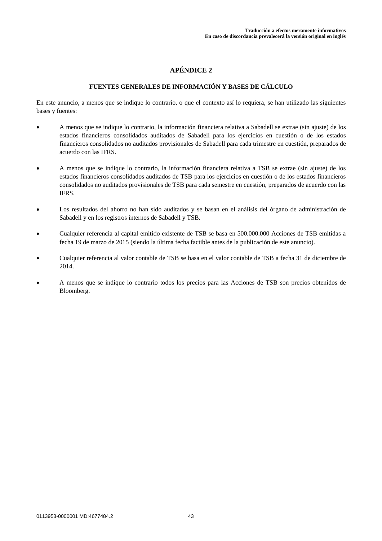# **FUENTES GENERALES DE INFORMACIÓN Y BASES DE CÁLCULO**

En este anuncio, a menos que se indique lo contrario, o que el contexto así lo requiera, se han utilizado las siguientes bases y fuentes:

- A menos que se indique lo contrario, la información financiera relativa a Sabadell se extrae (sin ajuste) de los estados financieros consolidados auditados de Sabadell para los ejercicios en cuestión o de los estados financieros consolidados no auditados provisionales de Sabadell para cada trimestre en cuestión, preparados de acuerdo con las IFRS.
- A menos que se indique lo contrario, la información financiera relativa a TSB se extrae (sin ajuste) de los estados financieros consolidados auditados de TSB para los ejercicios en cuestión o de los estados financieros consolidados no auditados provisionales de TSB para cada semestre en cuestión, preparados de acuerdo con las IFRS.
- Los resultados del ahorro no han sido auditados y se basan en el análisis del órgano de administración de Sabadell y en los registros internos de Sabadell y TSB.
- Cualquier referencia al capital emitido existente de TSB se basa en 500.000.000 Acciones de TSB emitidas a fecha 19 de marzo de 2015 (siendo la última fecha factible antes de la publicación de este anuncio).
- Cualquier referencia al valor contable de TSB se basa en el valor contable de TSB a fecha 31 de diciembre de 2014.
- A menos que se indique lo contrario todos los precios para las Acciones de TSB son precios obtenidos de Bloomberg.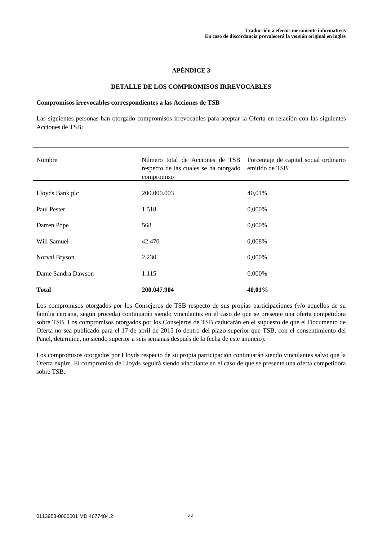#### **DETALLE DE LOS COMPROMISOS IRREVOCABLES**

#### **Compromisos irrevocables correspondientes a las Acciones de TSB**

Las siguientes personas han otorgado compromisos irrevocables para aceptar la Oferta en relación con las siguientes Acciones de TSB:

| Nombre             | Número total de Acciones de TSB<br>respecto de las cuales se ha otorgado<br>compromiso | Porcentaje de capital social ordinario<br>emitido de TSB |
|--------------------|----------------------------------------------------------------------------------------|----------------------------------------------------------|
| Lloyds Bank plc    | 200.000.003                                                                            | 40,01%                                                   |
| Paul Pester        | 1.518                                                                                  | 0,000%                                                   |
| Darren Pope        | 568                                                                                    | 0,000%                                                   |
| Will Samuel        | 42.470                                                                                 | 0,008%                                                   |
| Norval Bryson      | 2.230                                                                                  | 0,000%                                                   |
| Dame Sandra Dawson | 1.115                                                                                  | 0,000%                                                   |
| <b>Total</b>       | 200.047.904                                                                            | 40,01%                                                   |

Los compromisos otorgados por los Consejeros de TSB respecto de sus propias participaciones (y/o aquellos de su familia cercana, según proceda) continuarán siendo vinculantes en el caso de que se presente una oferta competidora sobre TSB. Los compromisos otorgados por los Consejeros de TSB caducarán en el supuesto de que el Documento de Oferta no sea publicado para el 17 de abril de 2015 (o dentro del plazo superior que TSB, con el consentimiento del Panel, determine, no siendo superior a seis semanas después de la fecha de este anuncio).

Los compromisos otorgados por Lloyds respecto de su propia participación continuarán siendo vinculantes salvo que la Oferta expire. El compromiso de Lloyds seguirá siendo vinculante en el caso de que se presente una oferta competidora sobre TSB.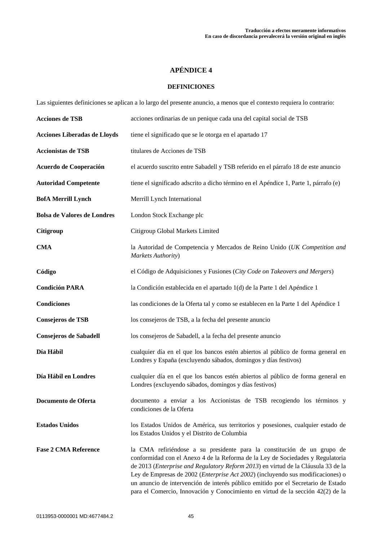## **DEFINICIONES**

Las siguientes definiciones se aplican a lo largo del presente anuncio, a menos que el contexto requiera lo contrario:

| <b>Acciones de TSB</b>              | acciones ordinarias de un penique cada una del capital social de TSB                                                                                                                                                                                                                                                                                                                                                                                                                                      |
|-------------------------------------|-----------------------------------------------------------------------------------------------------------------------------------------------------------------------------------------------------------------------------------------------------------------------------------------------------------------------------------------------------------------------------------------------------------------------------------------------------------------------------------------------------------|
| <b>Acciones Liberadas de Lloyds</b> | tiene el significado que se le otorga en el apartado 17                                                                                                                                                                                                                                                                                                                                                                                                                                                   |
| <b>Accionistas de TSB</b>           | titulares de Acciones de TSB                                                                                                                                                                                                                                                                                                                                                                                                                                                                              |
| Acuerdo de Cooperación              | el acuerdo suscrito entre Sabadell y TSB referido en el párrafo 18 de este anuncio                                                                                                                                                                                                                                                                                                                                                                                                                        |
| <b>Autoridad Competente</b>         | tiene el significado adscrito a dicho término en el Apéndice 1, Parte 1, párrafo (e)                                                                                                                                                                                                                                                                                                                                                                                                                      |
| <b>BofA Merrill Lynch</b>           | Merrill Lynch International                                                                                                                                                                                                                                                                                                                                                                                                                                                                               |
| <b>Bolsa de Valores de Londres</b>  | London Stock Exchange plc                                                                                                                                                                                                                                                                                                                                                                                                                                                                                 |
| <b>Citigroup</b>                    | Citigroup Global Markets Limited                                                                                                                                                                                                                                                                                                                                                                                                                                                                          |
| <b>CMA</b>                          | la Autoridad de Competencia y Mercados de Reino Unido (UK Competition and<br>Markets Authority)                                                                                                                                                                                                                                                                                                                                                                                                           |
| Código                              | el Código de Adquisiciones y Fusiones (City Code on Takeovers and Mergers)                                                                                                                                                                                                                                                                                                                                                                                                                                |
| <b>Condición PARA</b>               | la Condición establecida en el apartado 1(d) de la Parte 1 del Apéndice 1                                                                                                                                                                                                                                                                                                                                                                                                                                 |
| <b>Condiciones</b>                  | las condiciones de la Oferta tal y como se establecen en la Parte 1 del Apéndice 1                                                                                                                                                                                                                                                                                                                                                                                                                        |
| Consejeros de TSB                   | los consejeros de TSB, a la fecha del presente anuncio                                                                                                                                                                                                                                                                                                                                                                                                                                                    |
| <b>Consejeros de Sabadell</b>       | los consejeros de Sabadell, a la fecha del presente anuncio                                                                                                                                                                                                                                                                                                                                                                                                                                               |
| Día Hábil                           | cualquier día en el que los bancos estén abiertos al público de forma general en<br>Londres y España (excluyendo sábados, domingos y días festivos)                                                                                                                                                                                                                                                                                                                                                       |
| Día Hábil en Londres                | cualquier día en el que los bancos estén abiertos al público de forma general en<br>Londres (excluyendo sábados, domingos y días festivos)                                                                                                                                                                                                                                                                                                                                                                |
| Documento de Oferta                 | documento a enviar a los Accionistas de TSB recogiendo los términos y<br>condiciones de la Oferta                                                                                                                                                                                                                                                                                                                                                                                                         |
| <b>Estados Unidos</b>               | los Estados Unidos de América, sus territorios y posesiones, cualquier estado de<br>los Estados Unidos y el Distrito de Columbia                                                                                                                                                                                                                                                                                                                                                                          |
| <b>Fase 2 CMA Reference</b>         | la CMA refiriéndose a su presidente para la constitución de un grupo de<br>conformidad con el Anexo 4 de la Reforma de la Ley de Sociedades y Regulatoria<br>de 2013 (Enterprise and Regulatory Reform 2013) en virtud de la Cláusula 33 de la<br>Ley de Empresas de 2002 (Enterprise Act 2002) (incluyendo sus modificaciones) o<br>un anuncio de intervención de interés público emitido por el Secretario de Estado<br>para el Comercio, Innovación y Conocimiento en virtud de la sección 42(2) de la |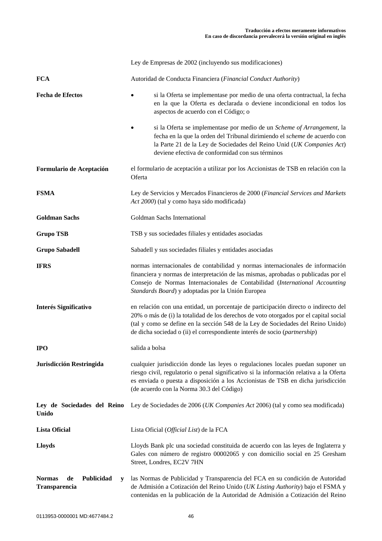|                                                         | Ley de Empresas de 2002 (incluyendo sus modificaciones)                                                                                                                                                                                                                                                                                        |
|---------------------------------------------------------|------------------------------------------------------------------------------------------------------------------------------------------------------------------------------------------------------------------------------------------------------------------------------------------------------------------------------------------------|
| <b>FCA</b>                                              | Autoridad de Conducta Financiera (Financial Conduct Authority)                                                                                                                                                                                                                                                                                 |
| <b>Fecha de Efectos</b>                                 | si la Oferta se implementase por medio de una oferta contractual, la fecha<br>en la que la Oferta es declarada o deviene incondicional en todos los<br>aspectos de acuerdo con el Código; o                                                                                                                                                    |
|                                                         | si la Oferta se implementase por medio de un Scheme of Arrangement, la<br>fecha en la que la orden del Tribunal dirimiendo el scheme de acuerdo con<br>la Parte 21 de la Ley de Sociedades del Reino Unid (UK Companies Act)<br>deviene efectiva de conformidad con sus términos                                                               |
| Formulario de Aceptación                                | el formulario de aceptación a utilizar por los Accionistas de TSB en relación con la<br>Oferta                                                                                                                                                                                                                                                 |
| <b>FSMA</b>                                             | Ley de Servicios y Mercados Financieros de 2000 (Financial Services and Markets<br>Act 2000) (tal y como haya sido modificada)                                                                                                                                                                                                                 |
| <b>Goldman Sachs</b>                                    | Goldman Sachs International                                                                                                                                                                                                                                                                                                                    |
| <b>Grupo TSB</b>                                        | TSB y sus sociedades filiales y entidades asociadas                                                                                                                                                                                                                                                                                            |
| <b>Grupo Sabadell</b>                                   | Sabadell y sus sociedades filiales y entidades asociadas                                                                                                                                                                                                                                                                                       |
| <b>IFRS</b>                                             | normas internacionales de contabilidad y normas internacionales de información<br>financiera y normas de interpretación de las mismas, aprobadas o publicadas por el<br>Consejo de Normas Internacionales de Contabilidad (International Accounting<br>Standards Board) y adoptadas por la Unión Europea                                       |
| <b>Interés Significativo</b>                            | en relación con una entidad, un porcentaje de participación directo o indirecto del<br>20% o más de (i) la totalidad de los derechos de voto otorgados por el capital social<br>(tal y como se define en la sección 548 de la Ley de Sociedades del Reino Unido)<br>de dicha sociedad o (ii) el correspondiente interés de socio (partnership) |
| <b>IPO</b>                                              | salida a bolsa                                                                                                                                                                                                                                                                                                                                 |
| Jurisdicción Restringida                                | cualquier jurisdicción donde las leyes o regulaciones locales puedan suponer un<br>riesgo civil, regulatorio o penal significativo si la información relativa a la Oferta<br>es enviada o puesta a disposición a los Accionistas de TSB en dicha jurisdicción<br>(de acuerdo con la Norma 30.3 del Código)                                     |
| Ley de Sociedades del Reino<br><b>Unido</b>             | Ley de Sociedades de 2006 (UK Companies Act 2006) (tal y como sea modificada)                                                                                                                                                                                                                                                                  |
| <b>Lista Oficial</b>                                    | Lista Oficial (Official List) de la FCA                                                                                                                                                                                                                                                                                                        |
| <b>Lloyds</b>                                           | Lloyds Bank plc una sociedad constituida de acuerdo con las leyes de Inglaterra y<br>Gales con número de registro 00002065 y con domicilio social en 25 Gresham<br>Street, Londres, EC2V 7HN                                                                                                                                                   |
| <b>Normas</b><br>Publicidad<br>de<br>y<br>Transparencia | las Normas de Publicidad y Transparencia del FCA en su condición de Autoridad<br>de Admisión a Cotización del Reino Unido (UK Listing Authority) bajo el FSMA y<br>contenidas en la publicación de la Autoridad de Admisión a Cotización del Reino                                                                                             |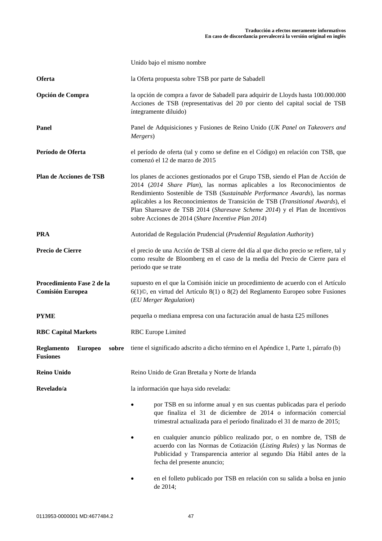|                                                       | Unido bajo el mismo nombre                                                                                                                                                                                                                                                                                                                                                                                                                                      |
|-------------------------------------------------------|-----------------------------------------------------------------------------------------------------------------------------------------------------------------------------------------------------------------------------------------------------------------------------------------------------------------------------------------------------------------------------------------------------------------------------------------------------------------|
| Oferta                                                | la Oferta propuesta sobre TSB por parte de Sabadell                                                                                                                                                                                                                                                                                                                                                                                                             |
| Opción de Compra                                      | la opción de compra a favor de Sabadell para adquirir de Lloyds hasta 100.000.000<br>Acciones de TSB (representativas del 20 por ciento del capital social de TSB<br>íntegramente diluido)                                                                                                                                                                                                                                                                      |
| Panel                                                 | Panel de Adquisiciones y Fusiones de Reino Unido (UK Panel on Takeovers and<br>Mergers)                                                                                                                                                                                                                                                                                                                                                                         |
| Período de Oferta                                     | el período de oferta (tal y como se define en el Código) en relación con TSB, que<br>comenzó el 12 de marzo de 2015                                                                                                                                                                                                                                                                                                                                             |
| Plan de Acciones de TSB                               | los planes de acciones gestionados por el Grupo TSB, siendo el Plan de Acción de<br>2014 (2014 Share Plan), las normas aplicables a los Reconocimientos de<br>Rendimiento Sostenible de TSB (Sustainable Performance Awards), las normas<br>aplicables a los Reconocimientos de Transición de TSB (Transitional Awards), el<br>Plan Sharesave de TSB 2014 (Sharesave Scheme 2014) y el Plan de Incentivos<br>sobre Acciones de 2014 (Share Incentive Plan 2014) |
| <b>PRA</b>                                            | Autoridad de Regulación Prudencial (Prudential Regulation Authority)                                                                                                                                                                                                                                                                                                                                                                                            |
| Precio de Cierre                                      | el precio de una Acción de TSB al cierre del día al que dicho precio se refiere, tal y<br>como resulte de Bloomberg en el caso de la media del Precio de Cierre para el<br>periodo que se trate                                                                                                                                                                                                                                                                 |
| Procedimiento Fase 2 de la<br><b>Comisión Europea</b> | supuesto en el que la Comisión inicie un procedimiento de acuerdo con el Artículo<br>$6(1)$ ©, en virtud del Artículo 8(1) o 8(2) del Reglamento Europeo sobre Fusiones<br>(EU Merger Regulation)                                                                                                                                                                                                                                                               |
| <b>PYME</b>                                           | pequeña o mediana empresa con una facturación anual de hasta £25 millones                                                                                                                                                                                                                                                                                                                                                                                       |
| <b>RBC Capital Markets</b>                            | <b>RBC</b> Europe Limited                                                                                                                                                                                                                                                                                                                                                                                                                                       |
| <b>Fusiones</b>                                       | Reglamento Europeo sobre tiene el significado adscrito a dicho término en el Apéndice 1, Parte 1, párrafo (b)                                                                                                                                                                                                                                                                                                                                                   |
| <b>Reino Unido</b>                                    | Reino Unido de Gran Bretaña y Norte de Irlanda                                                                                                                                                                                                                                                                                                                                                                                                                  |
| Revelado/a                                            | la información que haya sido revelada:                                                                                                                                                                                                                                                                                                                                                                                                                          |
|                                                       | por TSB en su informe anual y en sus cuentas publicadas para el período<br>que finaliza el 31 de diciembre de 2014 o información comercial<br>trimestral actualizada para el período finalizado el 31 de marzo de 2015;                                                                                                                                                                                                                                         |
|                                                       | en cualquier anuncio público realizado por, o en nombre de, TSB de<br>acuerdo con las Normas de Cotización (Listing Rules) y las Normas de<br>Publicidad y Transparencia anterior al segundo Día Hábil antes de la<br>fecha del presente anuncio;                                                                                                                                                                                                               |
|                                                       | en el folleto publicado por TSB en relación con su salida a bolsa en junio                                                                                                                                                                                                                                                                                                                                                                                      |

de 2014;